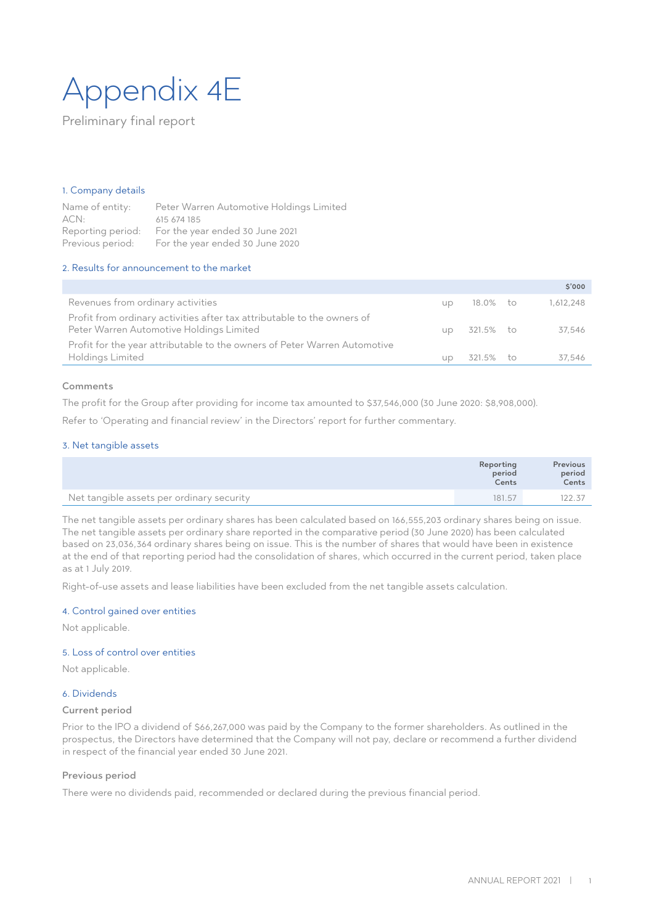# Appendix 4E

Preliminary final report

#### 1. Company details

Name of entity: Peter Warren Automotive Holdings Limited ACN: 615 674 185 Reporting period: For the year ended 30 June 2021 Previous period: For the year ended 30 June 2020

#### 2. Results for announcement to the market

|                                                                                                                     |           |              | 5'000     |
|---------------------------------------------------------------------------------------------------------------------|-----------|--------------|-----------|
| Revenues from ordinary activities                                                                                   | <b>UD</b> | 18.0% to     | 1,612,248 |
| Profit from ordinary activities after tax attributable to the owners of<br>Peter Warren Automotive Holdings Limited |           | up 321.5% to | 37,546    |
| Profit for the year attributable to the owners of Peter Warren Automotive                                           |           |              |           |
| Holdings Limited                                                                                                    | <b>UD</b> | 321.5% to    | 37.546    |

#### Comments

The profit for the Group after providing for income tax amounted to \$37,546,000 (30 June 2020: \$8,908,000).

Refer to 'Operating and financial review' in the Directors' report for further commentary.

#### 3. Net tangible assets

|                                           | Reporting<br>period<br>Cents | Previous<br>period<br>Cents |
|-------------------------------------------|------------------------------|-----------------------------|
| Net tangible assets per ordinary security | 181.57                       | 122.37                      |

The net tangible assets per ordinary shares has been calculated based on 166,555,203 ordinary shares being on issue. The net tangible assets per ordinary share reported in the comparative period (30 June 2020) has been calculated based on 23,036,364 ordinary shares being on issue. This is the number of shares that would have been in existence at the end of that reporting period had the consolidation of shares, which occurred in the current period, taken place as at 1 July 2019.

Right-of-use assets and lease liabilities have been excluded from the net tangible assets calculation.

#### 4. Control gained over entities

Not applicable.

#### 5. Loss of control over entities

Not applicable.

#### 6. Dividends

#### Current period

Prior to the IPO a dividend of \$66,267,000 was paid by the Company to the former shareholders. As outlined in the prospectus, the Directors have determined that the Company will not pay, declare or recommend a further dividend in respect of the financial year ended 30 June 2021.

#### Previous period

There were no dividends paid, recommended or declared during the previous financial period.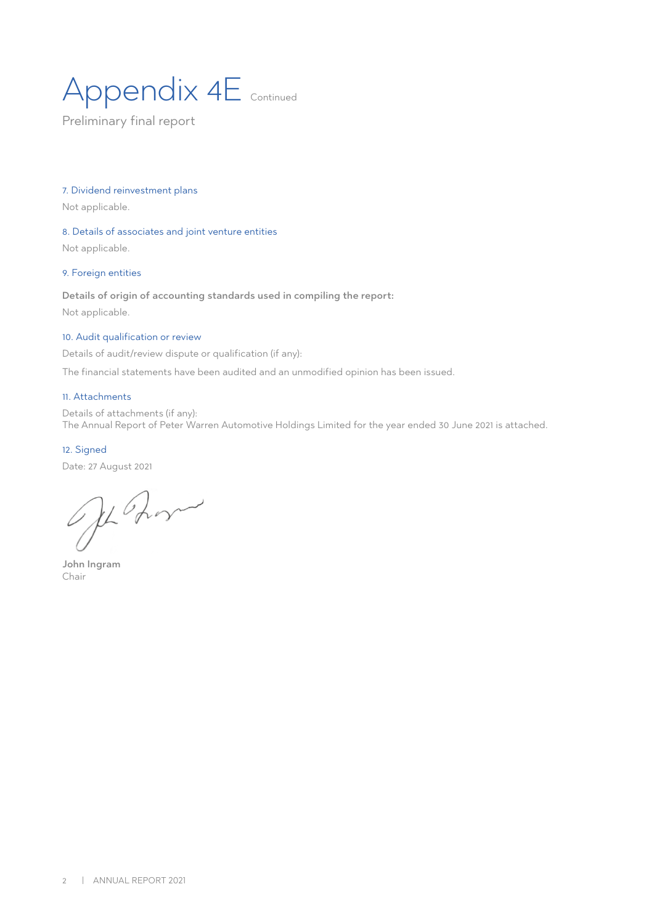# Appendix 4E Continued

Preliminary final report

#### 7. Dividend reinvestment plans

Not applicable.

#### 8. Details of associates and joint venture entities

Not applicable.

#### 9. Foreign entities

#### Details of origin of accounting standards used in compiling the report:

Not applicable.

#### 10. Audit qualification or review

Details of audit/review dispute or qualification (if any):

The financial statements have been audited and an unmodified opinion has been issued.

#### 11. Attachments

Details of attachments (if any): The Annual Report of Peter Warren Automotive Holdings Limited for the year ended 30 June 2021 is attached.

#### 12. Signed

Date: 27 August 2021

Je Rom

John Ingram Chair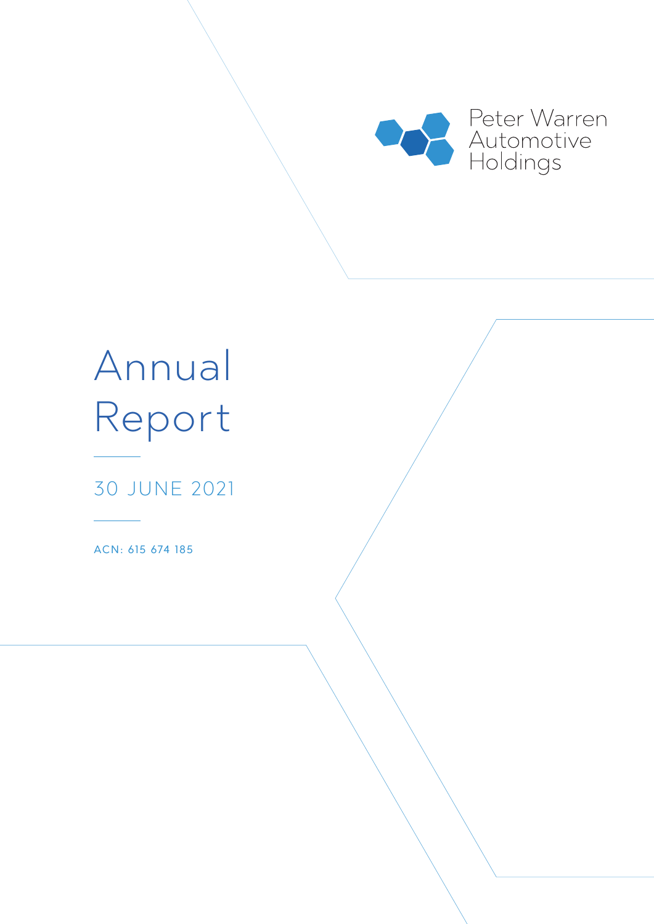

# Annual Report

30 JUNE 2021

ACN: 615 674 185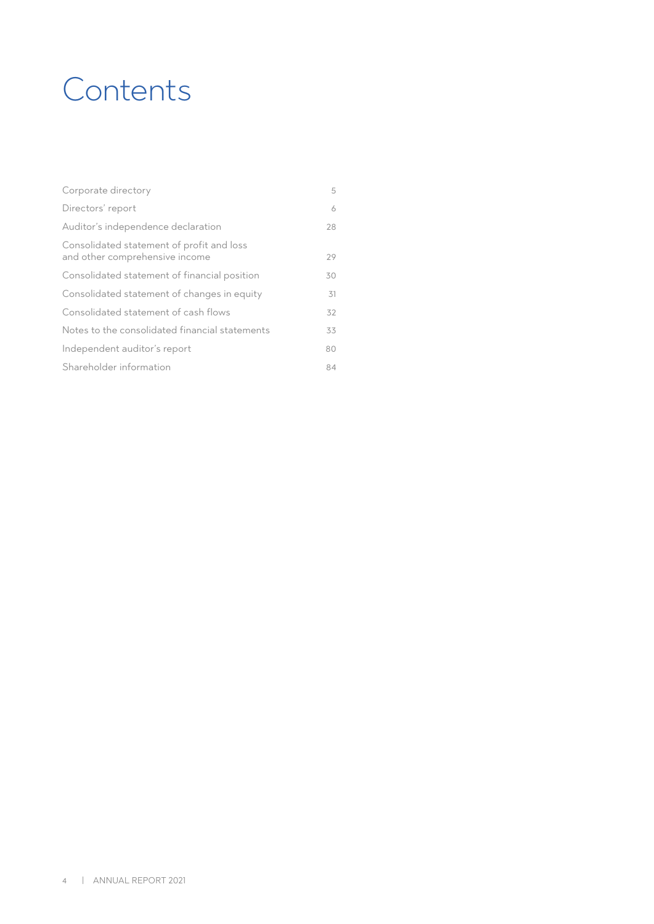### **Contents**

| Corporate directory                                                         | 5  |
|-----------------------------------------------------------------------------|----|
| Directors' report                                                           | 6  |
| Auditor's independence declaration                                          | 28 |
| Consolidated statement of profit and loss<br>and other comprehensive income | 29 |
| Consolidated statement of financial position                                | 30 |
| Consolidated statement of changes in equity                                 | 31 |
| Consolidated statement of cash flows                                        | 32 |
| Notes to the consolidated financial statements                              | 33 |
| Independent auditor's report                                                | 80 |
| Shareholder information                                                     | 84 |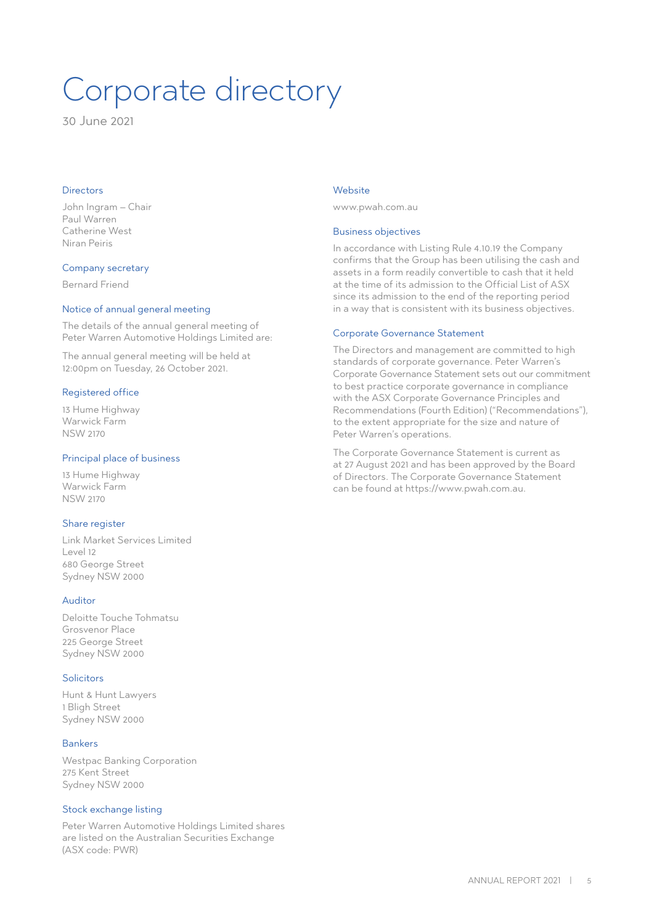# Corporate directory

30 June 2021

#### Directors

John Ingram – Chair Paul Warren Catherine West Niran Peiris

#### Company secretary

Bernard Friend

#### Notice of annual general meeting

The details of the annual general meeting of Peter Warren Automotive Holdings Limited are:

The annual general meeting will be held at 12:00pm on Tuesday, 26 October 2021.

#### Registered office

13 Hume Highway Warwick Farm NSW 2170

#### Principal place of business

13 Hume Highway Warwick Farm NSW 2170

#### Share register

Link Market Services Limited Level 12 680 George Street Sydney NSW 2000

#### Auditor

Deloitte Touche Tohmatsu Grosvenor Place 225 George Street Sydney NSW 2000

#### **Solicitors**

Hunt & Hunt Lawyers 1 Bligh Street Sydney NSW 2000

#### Bankers

Westpac Banking Corporation 275 Kent Street Sydney NSW 2000

#### Stock exchange listing

Peter Warren Automotive Holdings Limited shares are listed on the Australian Securities Exchange (ASX code: PWR)

#### Website

www.pwah.com.au

#### Business objectives

In accordance with Listing Rule 4.10.19 the Company confirms that the Group has been utilising the cash and assets in a form readily convertible to cash that it held at the time of its admission to the Official List of ASX since its admission to the end of the reporting period in a way that is consistent with its business objectives.

#### Corporate Governance Statement

The Directors and management are committed to high standards of corporate governance. Peter Warren's Corporate Governance Statement sets out our commitment to best practice corporate governance in compliance with the ASX Corporate Governance Principles and Recommendations (Fourth Edition) ("Recommendations"), to the extent appropriate for the size and nature of Peter Warren's operations.

The Corporate Governance Statement is current as at 27 August 2021 and has been approved by the Board of Directors. The Corporate Governance Statement can be found at https://www.pwah.com.au.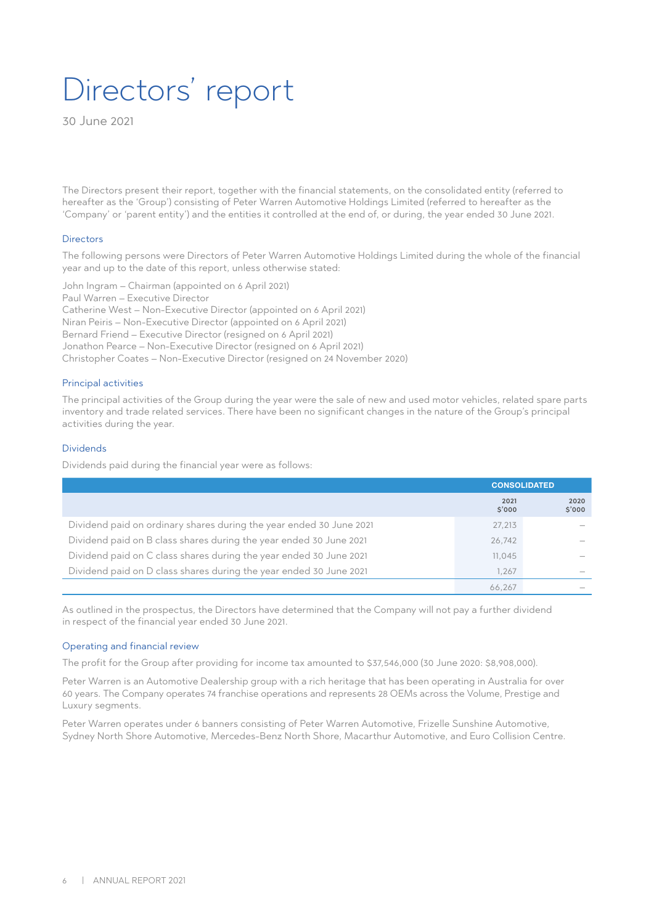### Directors' report

30 June 2021

The Directors present their report, together with the financial statements, on the consolidated entity (referred to hereafter as the 'Group') consisting of Peter Warren Automotive Holdings Limited (referred to hereafter as the 'Company' or 'parent entity') and the entities it controlled at the end of, or during, the year ended 30 June 2021.

#### Directors

The following persons were Directors of Peter Warren Automotive Holdings Limited during the whole of the financial year and up to the date of this report, unless otherwise stated:

John Ingram – Chairman (appointed on 6 April 2021) Paul Warren – Executive Director Catherine West – Non-Executive Director (appointed on 6 April 2021) Niran Peiris – Non-Executive Director (appointed on 6 April 2021) Bernard Friend – Executive Director (resigned on 6 April 2021) Jonathon Pearce – Non-Executive Director (resigned on 6 April 2021) Christopher Coates – Non-Executive Director (resigned on 24 November 2020)

#### Principal activities

The principal activities of the Group during the year were the sale of new and used motor vehicles, related spare parts inventory and trade related services. There have been no significant changes in the nature of the Group's principal activities during the year.

#### Dividends

Dividends paid during the financial year were as follows:

|                                                                     | <b>CONSOLIDATED</b> |                                 |
|---------------------------------------------------------------------|---------------------|---------------------------------|
|                                                                     | 2021<br>\$'000      | 2020<br>\$'000                  |
| Dividend paid on ordinary shares during the year ended 30 June 2021 | 27,213              |                                 |
| Dividend paid on B class shares during the year ended 30 June 2021  | 26,742              |                                 |
| Dividend paid on C class shares during the year ended 30 June 2021  | 11,045              |                                 |
| Dividend paid on D class shares during the year ended 30 June 2021  | 1.267               | $\hspace{0.1mm}-\hspace{0.1mm}$ |
|                                                                     | 66.267              |                                 |

As outlined in the prospectus, the Directors have determined that the Company will not pay a further dividend in respect of the financial year ended 30 June 2021.

#### Operating and financial review

The profit for the Group after providing for income tax amounted to \$37,546,000 (30 June 2020: \$8,908,000).

Peter Warren is an Automotive Dealership group with a rich heritage that has been operating in Australia for over 60 years. The Company operates 74 franchise operations and represents 28 OEMs across the Volume, Prestige and Luxury segments.

Peter Warren operates under 6 banners consisting of Peter Warren Automotive, Frizelle Sunshine Automotive, Sydney North Shore Automotive, Mercedes-Benz North Shore, Macarthur Automotive, and Euro Collision Centre.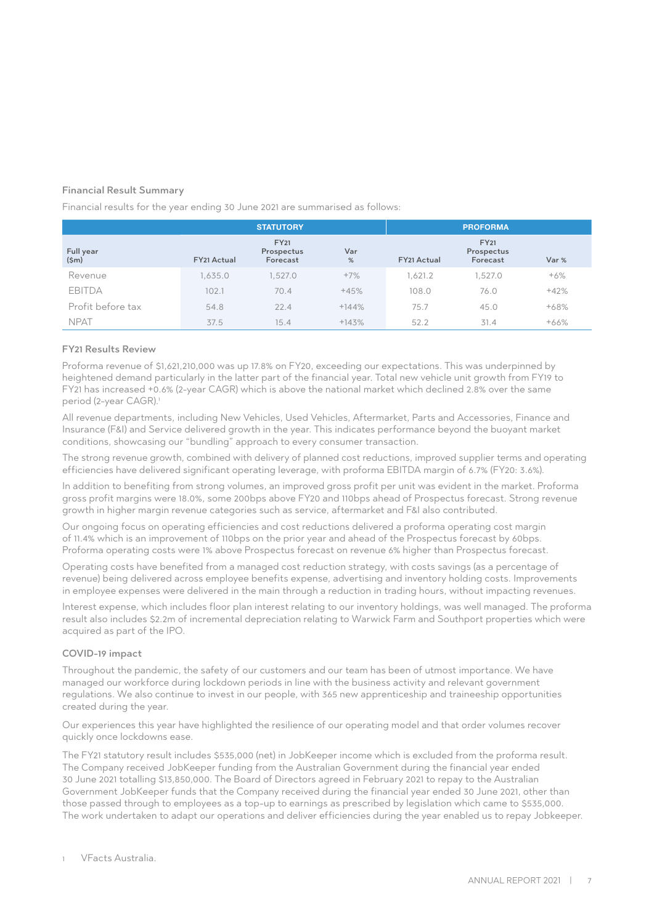#### Financial Result Summary

Financial results for the year ending 30 June 2021 are summarised as follows:

|                   |             | <b>STATUTORY</b>                      |          |             | <b>PROFORMA</b>                       |        |
|-------------------|-------------|---------------------------------------|----------|-------------|---------------------------------------|--------|
| Full year<br>(Sm) | FY21 Actual | <b>FY21</b><br>Prospectus<br>Forecast | Var<br>% | FY21 Actual | <b>FY21</b><br>Prospectus<br>Forecast | Var %  |
| Revenue           | 1.635.0     | 1,527.0                               | $+7%$    | 1.621.2     | 1,527.0                               | $+6%$  |
| <b>EBITDA</b>     | 102.1       | 70.4                                  | $+45%$   | 108.0       | 76.0                                  | $+42%$ |
| Profit before tax | 54.8        | 22.4                                  | $+144%$  | 75.7        | 45.0                                  | $+68%$ |
| <b>NPAT</b>       | 37.5        | 15.4                                  | $+143%$  | 52.2        | 31.4                                  | $+66%$ |

#### FY21 Results Review

Proforma revenue of \$1,621,210,000 was up 17.8% on FY20, exceeding our expectations. This was underpinned by heightened demand particularly in the latter part of the financial year. Total new vehicle unit growth from FY19 to FY21 has increased +0.6% (2-year CAGR) which is above the national market which declined 2.8% over the same period (2-year CAGR).<sup>1</sup>

All revenue departments, including New Vehicles, Used Vehicles, Aftermarket, Parts and Accessories, Finance and Insurance (F&I) and Service delivered growth in the year. This indicates performance beyond the buoyant market conditions, showcasing our "bundling" approach to every consumer transaction.

The strong revenue growth, combined with delivery of planned cost reductions, improved supplier terms and operating efficiencies have delivered significant operating leverage, with proforma EBITDA margin of 6.7% (FY20: 3.6%).

In addition to benefiting from strong volumes, an improved gross profit per unit was evident in the market. Proforma gross profit margins were 18.0%, some 200bps above FY20 and 110bps ahead of Prospectus forecast. Strong revenue growth in higher margin revenue categories such as service, aftermarket and F&I also contributed.

Our ongoing focus on operating efficiencies and cost reductions delivered a proforma operating cost margin of 11.4% which is an improvement of 110bps on the prior year and ahead of the Prospectus forecast by 60bps. Proforma operating costs were 1% above Prospectus forecast on revenue 6% higher than Prospectus forecast.

Operating costs have benefited from a managed cost reduction strategy, with costs savings (as a percentage of revenue) being delivered across employee benefits expense, advertising and inventory holding costs. Improvements in employee expenses were delivered in the main through a reduction in trading hours, without impacting revenues.

Interest expense, which includes floor plan interest relating to our inventory holdings, was well managed. The proforma result also includes \$2.2m of incremental depreciation relating to Warwick Farm and Southport properties which were acquired as part of the IPO.

#### COVID-19 impact

Throughout the pandemic, the safety of our customers and our team has been of utmost importance. We have managed our workforce during lockdown periods in line with the business activity and relevant government regulations. We also continue to invest in our people, with 365 new apprenticeship and traineeship opportunities created during the year.

Our experiences this year have highlighted the resilience of our operating model and that order volumes recover quickly once lockdowns ease.

The FY21 statutory result includes \$535,000 (net) in JobKeeper income which is excluded from the proforma result. The Company received JobKeeper funding from the Australian Government during the financial year ended 30 June 2021 totalling \$13,850,000. The Board of Directors agreed in February 2021 to repay to the Australian Government JobKeeper funds that the Company received during the financial year ended 30 June 2021, other than those passed through to employees as a top-up to earnings as prescribed by legislation which came to \$535,000. The work undertaken to adapt our operations and deliver efficiencies during the year enabled us to repay Jobkeeper.

1 VFacts Australia.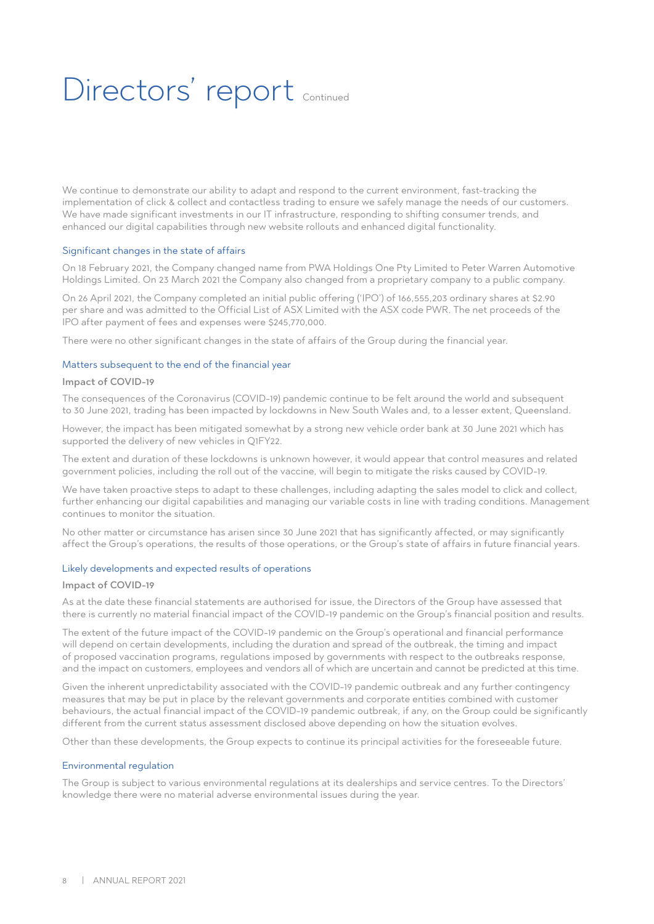# Directors' report continued

We continue to demonstrate our ability to adapt and respond to the current environment, fast-tracking the implementation of click & collect and contactless trading to ensure we safely manage the needs of our customers. We have made significant investments in our IT infrastructure, responding to shifting consumer trends, and enhanced our digital capabilities through new website rollouts and enhanced digital functionality.

#### Significant changes in the state of affairs

On 18 February 2021, the Company changed name from PWA Holdings One Pty Limited to Peter Warren Automotive Holdings Limited. On 23 March 2021 the Company also changed from a proprietary company to a public company.

On 26 April 2021, the Company completed an initial public offering ('IPO') of 166,555,203 ordinary shares at \$2.90 per share and was admitted to the Official List of ASX Limited with the ASX code PWR. The net proceeds of the IPO after payment of fees and expenses were \$245,770,000.

There were no other significant changes in the state of affairs of the Group during the financial year.

#### Matters subsequent to the end of the financial year

#### Impact of COVID-19

The consequences of the Coronavirus (COVID-19) pandemic continue to be felt around the world and subsequent to 30 June 2021, trading has been impacted by lockdowns in New South Wales and, to a lesser extent, Queensland.

However, the impact has been mitigated somewhat by a strong new vehicle order bank at 30 June 2021 which has supported the delivery of new vehicles in Q1FY22.

The extent and duration of these lockdowns is unknown however, it would appear that control measures and related government policies, including the roll out of the vaccine, will begin to mitigate the risks caused by COVID-19.

We have taken proactive steps to adapt to these challenges, including adapting the sales model to click and collect, further enhancing our digital capabilities and managing our variable costs in line with trading conditions. Management continues to monitor the situation.

No other matter or circumstance has arisen since 30 June 2021 that has significantly affected, or may significantly affect the Group's operations, the results of those operations, or the Group's state of affairs in future financial years.

#### Likely developments and expected results of operations

#### Impact of COVID-19

As at the date these financial statements are authorised for issue, the Directors of the Group have assessed that there is currently no material financial impact of the COVID-19 pandemic on the Group's financial position and results.

The extent of the future impact of the COVID-19 pandemic on the Group's operational and financial performance will depend on certain developments, including the duration and spread of the outbreak, the timing and impact of proposed vaccination programs, regulations imposed by governments with respect to the outbreaks response, and the impact on customers, employees and vendors all of which are uncertain and cannot be predicted at this time.

Given the inherent unpredictability associated with the COVID-19 pandemic outbreak and any further contingency measures that may be put in place by the relevant governments and corporate entities combined with customer behaviours, the actual financial impact of the COVID-19 pandemic outbreak, if any, on the Group could be significantly different from the current status assessment disclosed above depending on how the situation evolves.

Other than these developments, the Group expects to continue its principal activities for the foreseeable future.

#### Environmental regulation

The Group is subject to various environmental regulations at its dealerships and service centres. To the Directors' knowledge there were no material adverse environmental issues during the year.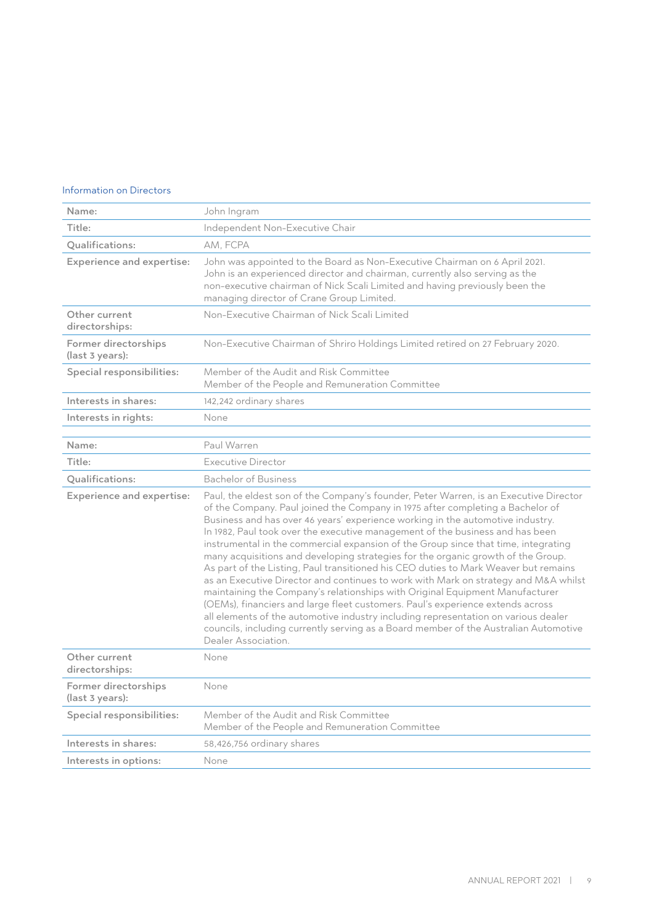#### Information on Directors

| Name:                                   | John Ingram                                                                                                                                                                                                                                                                                                                                                                                                                                                                                                                                                                                                                                                                                                                                                                                                                                                                                                                                                                                                                                                               |
|-----------------------------------------|---------------------------------------------------------------------------------------------------------------------------------------------------------------------------------------------------------------------------------------------------------------------------------------------------------------------------------------------------------------------------------------------------------------------------------------------------------------------------------------------------------------------------------------------------------------------------------------------------------------------------------------------------------------------------------------------------------------------------------------------------------------------------------------------------------------------------------------------------------------------------------------------------------------------------------------------------------------------------------------------------------------------------------------------------------------------------|
| Title:                                  | Independent Non-Executive Chair                                                                                                                                                                                                                                                                                                                                                                                                                                                                                                                                                                                                                                                                                                                                                                                                                                                                                                                                                                                                                                           |
| Qualifications:                         | AM. FCPA                                                                                                                                                                                                                                                                                                                                                                                                                                                                                                                                                                                                                                                                                                                                                                                                                                                                                                                                                                                                                                                                  |
| <b>Experience and expertise:</b>        | John was appointed to the Board as Non-Executive Chairman on 6 April 2021.<br>John is an experienced director and chairman, currently also serving as the<br>non-executive chairman of Nick Scali Limited and having previously been the<br>managing director of Crane Group Limited.                                                                                                                                                                                                                                                                                                                                                                                                                                                                                                                                                                                                                                                                                                                                                                                     |
| Other current<br>directorships:         | Non-Executive Chairman of Nick Scali Limited                                                                                                                                                                                                                                                                                                                                                                                                                                                                                                                                                                                                                                                                                                                                                                                                                                                                                                                                                                                                                              |
| Former directorships<br>(last 3 years): | Non-Executive Chairman of Shriro Holdings Limited retired on 27 February 2020.                                                                                                                                                                                                                                                                                                                                                                                                                                                                                                                                                                                                                                                                                                                                                                                                                                                                                                                                                                                            |
| Special responsibilities:               | Member of the Audit and Risk Committee<br>Member of the People and Remuneration Committee                                                                                                                                                                                                                                                                                                                                                                                                                                                                                                                                                                                                                                                                                                                                                                                                                                                                                                                                                                                 |
| Interests in shares:                    | 142,242 ordinary shares                                                                                                                                                                                                                                                                                                                                                                                                                                                                                                                                                                                                                                                                                                                                                                                                                                                                                                                                                                                                                                                   |
| Interests in rights:                    | None                                                                                                                                                                                                                                                                                                                                                                                                                                                                                                                                                                                                                                                                                                                                                                                                                                                                                                                                                                                                                                                                      |
|                                         |                                                                                                                                                                                                                                                                                                                                                                                                                                                                                                                                                                                                                                                                                                                                                                                                                                                                                                                                                                                                                                                                           |
| Name:                                   | Paul Warren                                                                                                                                                                                                                                                                                                                                                                                                                                                                                                                                                                                                                                                                                                                                                                                                                                                                                                                                                                                                                                                               |
| Title:                                  | Executive Director                                                                                                                                                                                                                                                                                                                                                                                                                                                                                                                                                                                                                                                                                                                                                                                                                                                                                                                                                                                                                                                        |
| Qualifications:                         | <b>Bachelor of Business</b>                                                                                                                                                                                                                                                                                                                                                                                                                                                                                                                                                                                                                                                                                                                                                                                                                                                                                                                                                                                                                                               |
| <b>Experience and expertise:</b>        | Paul, the eldest son of the Company's founder, Peter Warren, is an Executive Director<br>of the Company. Paul joined the Company in 1975 after completing a Bachelor of<br>Business and has over 46 years' experience working in the automotive industry.<br>In 1982, Paul took over the executive management of the business and has been<br>instrumental in the commercial expansion of the Group since that time, integrating<br>many acquisitions and developing strategies for the organic growth of the Group.<br>As part of the Listing, Paul transitioned his CEO duties to Mark Weaver but remains<br>as an Executive Director and continues to work with Mark on strategy and M&A whilst<br>maintaining the Company's relationships with Original Equipment Manufacturer<br>(OEMs), financiers and large fleet customers. Paul's experience extends across<br>all elements of the automotive industry including representation on various dealer<br>councils, including currently serving as a Board member of the Australian Automotive<br>Dealer Association. |
| Other current<br>directorships:         | None                                                                                                                                                                                                                                                                                                                                                                                                                                                                                                                                                                                                                                                                                                                                                                                                                                                                                                                                                                                                                                                                      |
| Former directorships<br>(last 3 years): | None                                                                                                                                                                                                                                                                                                                                                                                                                                                                                                                                                                                                                                                                                                                                                                                                                                                                                                                                                                                                                                                                      |
| Special responsibilities:               | Member of the Audit and Risk Committee<br>Member of the People and Remuneration Committee                                                                                                                                                                                                                                                                                                                                                                                                                                                                                                                                                                                                                                                                                                                                                                                                                                                                                                                                                                                 |
| Interests in shares:                    | 58,426,756 ordinary shares                                                                                                                                                                                                                                                                                                                                                                                                                                                                                                                                                                                                                                                                                                                                                                                                                                                                                                                                                                                                                                                |
| Interests in options:                   | None                                                                                                                                                                                                                                                                                                                                                                                                                                                                                                                                                                                                                                                                                                                                                                                                                                                                                                                                                                                                                                                                      |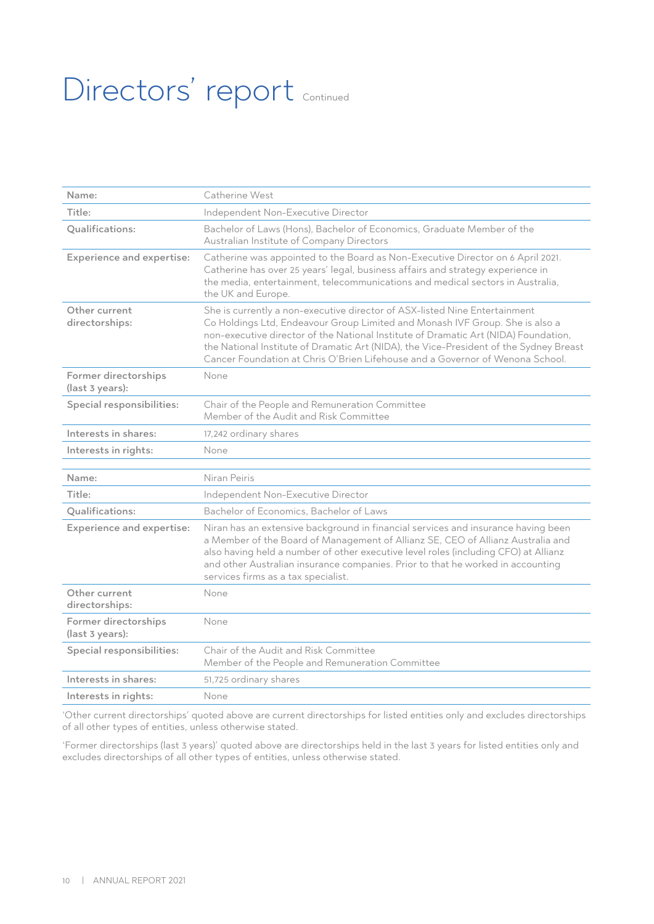# Directors' report Continued

| Name:                                   | Catherine West                                                                                                                                                                                                                                                                                                                                                                                                               |
|-----------------------------------------|------------------------------------------------------------------------------------------------------------------------------------------------------------------------------------------------------------------------------------------------------------------------------------------------------------------------------------------------------------------------------------------------------------------------------|
| Title:                                  | Independent Non-Executive Director                                                                                                                                                                                                                                                                                                                                                                                           |
| Qualifications:                         | Bachelor of Laws (Hons), Bachelor of Economics, Graduate Member of the<br>Australian Institute of Company Directors                                                                                                                                                                                                                                                                                                          |
| <b>Experience and expertise:</b>        | Catherine was appointed to the Board as Non-Executive Director on 6 April 2021.<br>Catherine has over 25 years' legal, business affairs and strategy experience in<br>the media, entertainment, telecommunications and medical sectors in Australia,<br>the UK and Europe.                                                                                                                                                   |
| Other current<br>directorships:         | She is currently a non-executive director of ASX-listed Nine Entertainment<br>Co Holdings Ltd, Endeavour Group Limited and Monash IVF Group. She is also a<br>non-executive director of the National Institute of Dramatic Art (NIDA) Foundation,<br>the National Institute of Dramatic Art (NIDA), the Vice-President of the Sydney Breast<br>Cancer Foundation at Chris O'Brien Lifehouse and a Governor of Wenona School. |
| Former directorships<br>(last 3 years): | None                                                                                                                                                                                                                                                                                                                                                                                                                         |
| Special responsibilities:               | Chair of the People and Remuneration Committee<br>Member of the Audit and Risk Committee                                                                                                                                                                                                                                                                                                                                     |
| Interests in shares:                    | 17,242 ordinary shares                                                                                                                                                                                                                                                                                                                                                                                                       |
| Interests in rights:                    | None                                                                                                                                                                                                                                                                                                                                                                                                                         |
|                                         |                                                                                                                                                                                                                                                                                                                                                                                                                              |
| Name:                                   | Niran Peiris                                                                                                                                                                                                                                                                                                                                                                                                                 |
| Title:                                  | Independent Non-Executive Director                                                                                                                                                                                                                                                                                                                                                                                           |
| Qualifications:                         | Bachelor of Economics, Bachelor of Laws                                                                                                                                                                                                                                                                                                                                                                                      |
| <b>Experience and expertise:</b>        | Niran has an extensive background in financial services and insurance having been<br>a Member of the Board of Management of Allianz SE, CEO of Allianz Australia and<br>also having held a number of other executive level roles (including CFO) at Allianz<br>and other Australian insurance companies. Prior to that he worked in accounting<br>services firms as a tax specialist.                                        |
| Other current<br>directorships:         | None                                                                                                                                                                                                                                                                                                                                                                                                                         |
| Former directorships<br>(last 3 years): | None                                                                                                                                                                                                                                                                                                                                                                                                                         |
| Special responsibilities:               | Chair of the Audit and Risk Committee<br>Member of the People and Remuneration Committee                                                                                                                                                                                                                                                                                                                                     |
| Interests in shares:                    | 51,725 ordinary shares                                                                                                                                                                                                                                                                                                                                                                                                       |
| Interests in rights:                    | None                                                                                                                                                                                                                                                                                                                                                                                                                         |

'Other current directorships' quoted above are current directorships for listed entities only and excludes directorships of all other types of entities, unless otherwise stated.

'Former directorships (last 3 years)' quoted above are directorships held in the last 3 years for listed entities only and excludes directorships of all other types of entities, unless otherwise stated.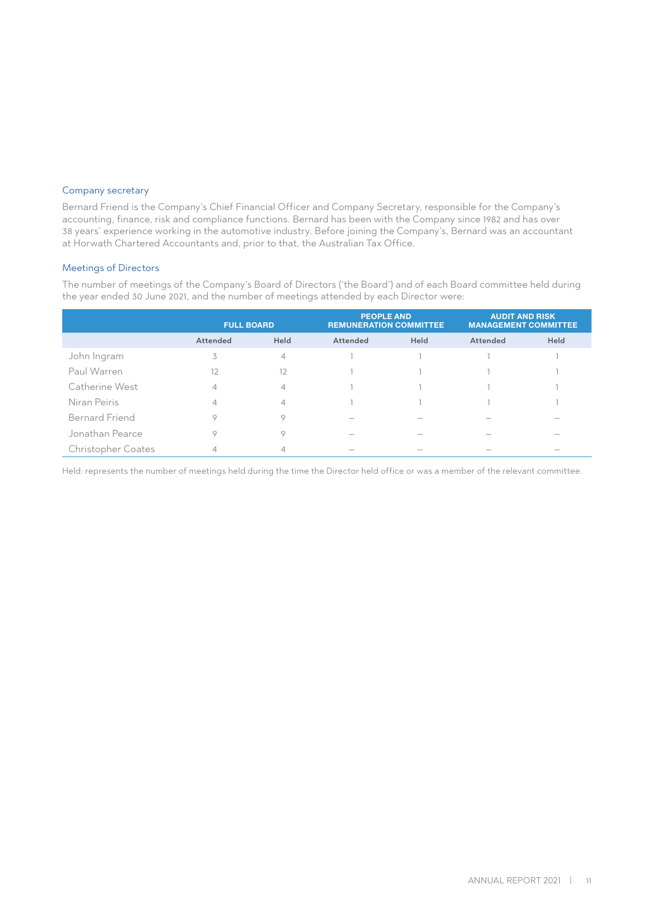#### Company secretary

Bernard Friend is the Company's Chief Financial Officer and Company Secretary, responsible for the Company's accounting, finance, risk and compliance functions. Bernard has been with the Company since 1982 and has over 38 years' experience working in the automotive industry. Before joining the Company's, Bernard was an accountant at Horwath Chartered Accountants and, prior to that, the Australian Tax Office.

#### Meetings of Directors

The number of meetings of the Company's Board of Directors ('the Board') and of each Board committee held during the year ended 30 June 2021, and the number of meetings attended by each Director were:

|                           | <b>FULL BOARD</b> |                | <b>PEOPLE AND</b><br><b>REMUNERATION COMMITTEE</b> |      | <b>AUDIT AND RISK</b><br><b>MANAGEMENT COMMITTEE</b> |      |
|---------------------------|-------------------|----------------|----------------------------------------------------|------|------------------------------------------------------|------|
|                           | Attended          | Held           | Attended                                           | Held | Attended                                             | Held |
| John Ingram               | 3                 | $\overline{4}$ |                                                    |      |                                                      |      |
| Paul Warren               | 12                | 12             |                                                    |      |                                                      |      |
| Catherine West            |                   | $\overline{4}$ |                                                    |      |                                                      |      |
| Niran Peiris              |                   | $\overline{4}$ |                                                    |      |                                                      |      |
| <b>Bernard Friend</b>     |                   | 9              |                                                    |      |                                                      |      |
| Jonathan Pearce           | n                 | 9              |                                                    |      |                                                      |      |
| <b>Christopher Coates</b> |                   |                |                                                    |      |                                                      |      |

Held: represents the number of meetings held during the time the Director held office or was a member of the relevant committee.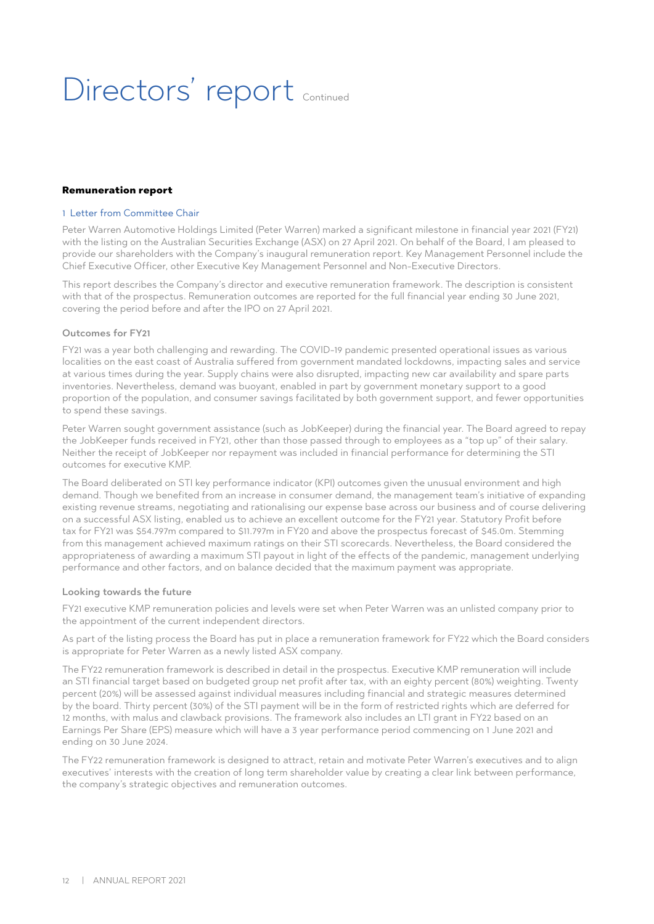# Directors' report continued

#### Remuneration report

#### 1 Letter from Committee Chair

Peter Warren Automotive Holdings Limited (Peter Warren) marked a significant milestone in financial year 2021 (FY21) with the listing on the Australian Securities Exchange (ASX) on 27 April 2021. On behalf of the Board, I am pleased to provide our shareholders with the Company's inaugural remuneration report. Key Management Personnel include the Chief Executive Officer, other Executive Key Management Personnel and Non-Executive Directors.

This report describes the Company's director and executive remuneration framework. The description is consistent with that of the prospectus. Remuneration outcomes are reported for the full financial year ending 30 June 2021, covering the period before and after the IPO on 27 April 2021.

#### Outcomes for FY21

FY21 was a year both challenging and rewarding. The COVID-19 pandemic presented operational issues as various localities on the east coast of Australia suffered from government mandated lockdowns, impacting sales and service at various times during the year. Supply chains were also disrupted, impacting new car availability and spare parts inventories. Nevertheless, demand was buoyant, enabled in part by government monetary support to a good proportion of the population, and consumer savings facilitated by both government support, and fewer opportunities to spend these savings.

Peter Warren sought government assistance (such as JobKeeper) during the financial year. The Board agreed to repay the JobKeeper funds received in FY21, other than those passed through to employees as a "top up" of their salary. Neither the receipt of JobKeeper nor repayment was included in financial performance for determining the STI outcomes for executive KMP.

The Board deliberated on STI key performance indicator (KPI) outcomes given the unusual environment and high demand. Though we benefited from an increase in consumer demand, the management team's initiative of expanding existing revenue streams, negotiating and rationalising our expense base across our business and of course delivering on a successful ASX listing, enabled us to achieve an excellent outcome for the FY21 year. Statutory Profit before tax for FY21 was \$54.797m compared to \$11.797m in FY20 and above the prospectus forecast of \$45.0m. Stemming from this management achieved maximum ratings on their STI scorecards. Nevertheless, the Board considered the appropriateness of awarding a maximum STI payout in light of the effects of the pandemic, management underlying performance and other factors, and on balance decided that the maximum payment was appropriate.

#### Looking towards the future

FY21 executive KMP remuneration policies and levels were set when Peter Warren was an unlisted company prior to the appointment of the current independent directors.

As part of the listing process the Board has put in place a remuneration framework for FY22 which the Board considers is appropriate for Peter Warren as a newly listed ASX company.

The FY22 remuneration framework is described in detail in the prospectus. Executive KMP remuneration will include an STI financial target based on budgeted group net profit after tax, with an eighty percent (80%) weighting. Twenty percent (20%) will be assessed against individual measures including financial and strategic measures determined by the board. Thirty percent (30%) of the STI payment will be in the form of restricted rights which are deferred for 12 months, with malus and clawback provisions. The framework also includes an LTI grant in FY22 based on an Earnings Per Share (EPS) measure which will have a 3 year performance period commencing on 1 June 2021 and ending on 30 June 2024.

The FY22 remuneration framework is designed to attract, retain and motivate Peter Warren's executives and to align executives' interests with the creation of long term shareholder value by creating a clear link between performance, the company's strategic objectives and remuneration outcomes.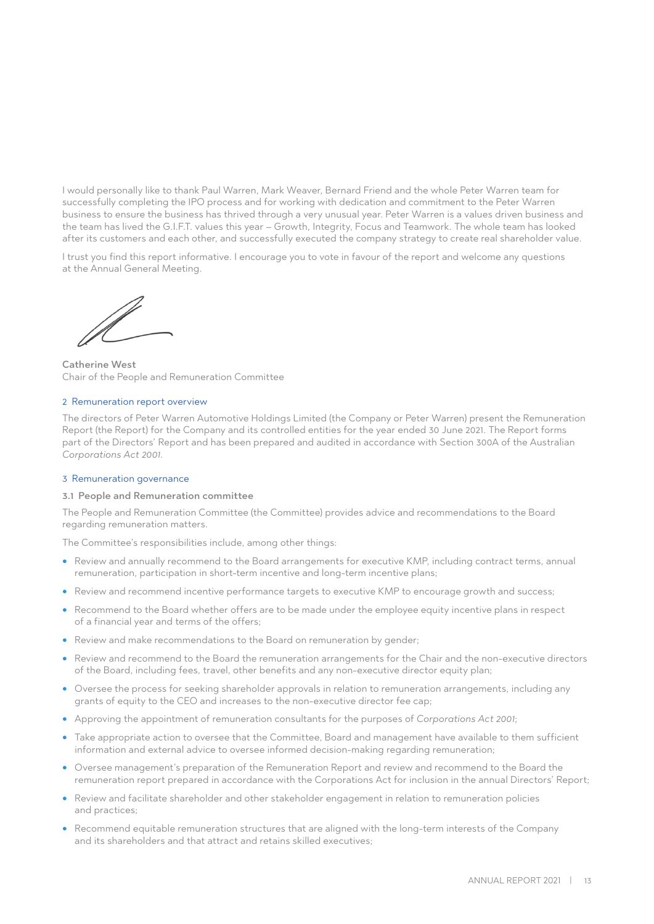I would personally like to thank Paul Warren, Mark Weaver, Bernard Friend and the whole Peter Warren team for successfully completing the IPO process and for working with dedication and commitment to the Peter Warren business to ensure the business has thrived through a very unusual year. Peter Warren is a values driven business and the team has lived the G.I.F.T. values this year – Growth, Integrity, Focus and Teamwork. The whole team has looked after its customers and each other, and successfully executed the company strategy to create real shareholder value.

I trust you find this report informative. I encourage you to vote in favour of the report and welcome any questions at the Annual General Meeting.

Catherine West Chair of the People and Remuneration Committee

#### 2 Remuneration report overview

The directors of Peter Warren Automotive Holdings Limited (the Company or Peter Warren) present the Remuneration Report (the Report) for the Company and its controlled entities for the year ended 30 June 2021. The Report forms part of the Directors' Report and has been prepared and audited in accordance with Section 300A of the Australian *Corporations Act 2001*.

#### 3 Remuneration governance

#### 3.1 People and Remuneration committee

The People and Remuneration Committee (the Committee) provides advice and recommendations to the Board regarding remuneration matters.

The Committee's responsibilities include, among other things:

- Review and annually recommend to the Board arrangements for executive KMP, including contract terms, annual remuneration, participation in short-term incentive and long-term incentive plans;
- Review and recommend incentive performance targets to executive KMP to encourage growth and success;
- Recommend to the Board whether offers are to be made under the employee equity incentive plans in respect of a financial year and terms of the offers;
- Review and make recommendations to the Board on remuneration by gender;
- Review and recommend to the Board the remuneration arrangements for the Chair and the non-executive directors of the Board, including fees, travel, other benefits and any non-executive director equity plan;
- Oversee the process for seeking shareholder approvals in relation to remuneration arrangements, including any grants of equity to the CEO and increases to the non-executive director fee cap;
- Approving the appointment of remuneration consultants for the purposes of *Corporations Act 2001*;
- Take appropriate action to oversee that the Committee, Board and management have available to them sufficient information and external advice to oversee informed decision-making regarding remuneration;
- Oversee management's preparation of the Remuneration Report and review and recommend to the Board the remuneration report prepared in accordance with the Corporations Act for inclusion in the annual Directors' Report;
- Review and facilitate shareholder and other stakeholder engagement in relation to remuneration policies and practices;
- Recommend equitable remuneration structures that are aligned with the long-term interests of the Company and its shareholders and that attract and retains skilled executives;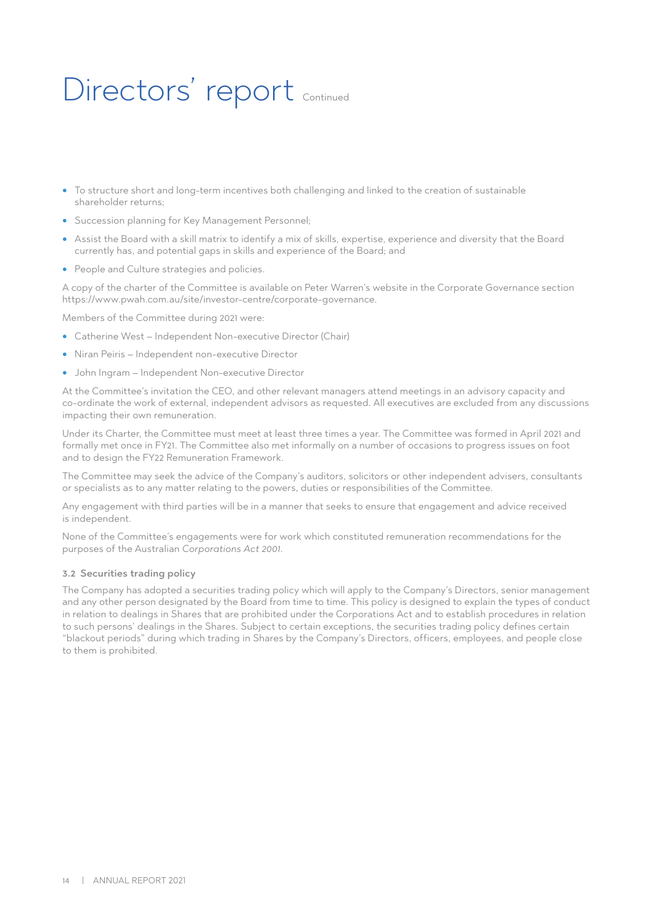# Directors' report continued

- To structure short and long-term incentives both challenging and linked to the creation of sustainable shareholder returns;
- Succession planning for Key Management Personnel;
- Assist the Board with a skill matrix to identify a mix of skills, expertise, experience and diversity that the Board currently has, and potential gaps in skills and experience of the Board; and
- People and Culture strategies and policies.

A copy of the charter of the Committee is available on Peter Warren's website in the Corporate Governance section https://www.pwah.com.au/site/investor-centre/corporate-governance.

Members of the Committee during 2021 were:

- Catherine West Independent Non-executive Director (Chair)
- Niran Peiris Independent non-executive Director
- John Ingram Independent Non-executive Director

At the Committee's invitation the CEO, and other relevant managers attend meetings in an advisory capacity and co-ordinate the work of external, independent advisors as requested. All executives are excluded from any discussions impacting their own remuneration.

Under its Charter, the Committee must meet at least three times a year. The Committee was formed in April 2021 and formally met once in FY21. The Committee also met informally on a number of occasions to progress issues on foot and to design the FY22 Remuneration Framework.

The Committee may seek the advice of the Company's auditors, solicitors or other independent advisers, consultants or specialists as to any matter relating to the powers, duties or responsibilities of the Committee.

Any engagement with third parties will be in a manner that seeks to ensure that engagement and advice received is independent.

None of the Committee's engagements were for work which constituted remuneration recommendations for the purposes of the Australian *Corporations Act 2001*.

#### 3.2 Securities trading policy

The Company has adopted a securities trading policy which will apply to the Company's Directors, senior management and any other person designated by the Board from time to time. This policy is designed to explain the types of conduct in relation to dealings in Shares that are prohibited under the Corporations Act and to establish procedures in relation to such persons' dealings in the Shares. Subject to certain exceptions, the securities trading policy defines certain "blackout periods" during which trading in Shares by the Company's Directors, officers, employees, and people close to them is prohibited.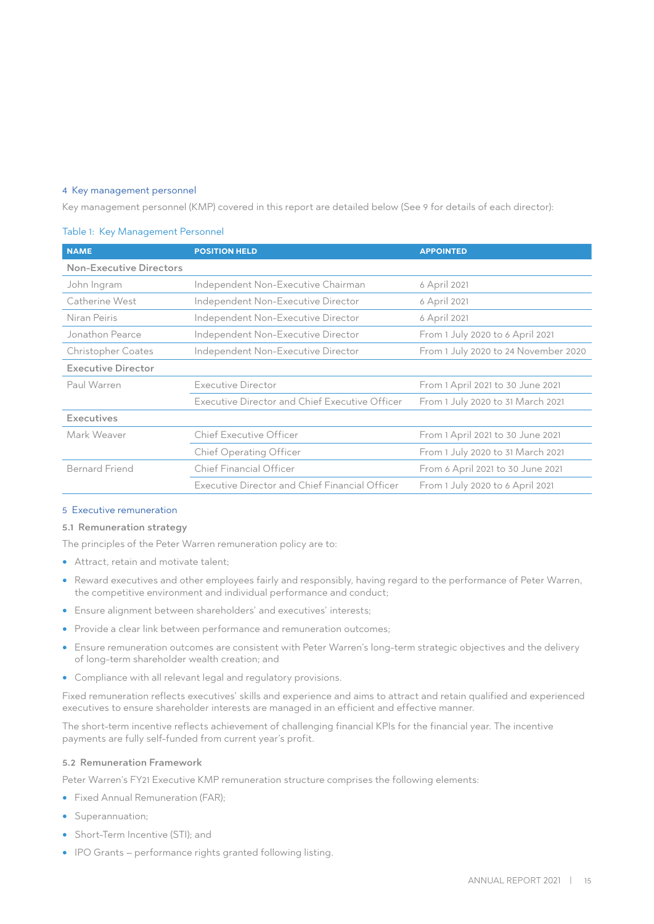#### 4 Key management personnel

Key management personnel (KMP) covered in this report are detailed below (See 9 for details of each director):

#### Table 1: Key Management Personnel

| <b>NAME</b>               | <b>POSITION HELD</b>                                                       | <b>APPOINTED</b>                  |
|---------------------------|----------------------------------------------------------------------------|-----------------------------------|
| Non-Executive Directors   |                                                                            |                                   |
| John Ingram               | Independent Non-Executive Chairman                                         | 6 April 2021                      |
| Catherine West            | Independent Non-Executive Director                                         | 6 April 2021                      |
| Niran Peiris              | Independent Non-Executive Director                                         | 6 April 2021                      |
| Jonathon Pearce           | Independent Non-Executive Director                                         | From 1 July 2020 to 6 April 2021  |
| <b>Christopher Coates</b> | From 1 July 2020 to 24 November 2020<br>Independent Non-Executive Director |                                   |
| <b>Executive Director</b> |                                                                            |                                   |
| Paul Warren               | Executive Director                                                         | From 1 April 2021 to 30 June 2021 |
|                           | Executive Director and Chief Executive Officer                             | From 1 July 2020 to 31 March 2021 |
| <b>Executives</b>         |                                                                            |                                   |
| Mark Weaver               | <b>Chief Executive Officer</b>                                             | From 1 April 2021 to 30 June 2021 |
|                           | <b>Chief Operating Officer</b>                                             | From 1 July 2020 to 31 March 2021 |
| <b>Bernard Friend</b>     | Chief Financial Officer                                                    | From 6 April 2021 to 30 June 2021 |
|                           | Executive Director and Chief Financial Officer                             | From 1 July 2020 to 6 April 2021  |

#### 5 Executive remuneration

#### 5.1 Remuneration strategy

The principles of the Peter Warren remuneration policy are to:

- Attract, retain and motivate talent;
- Reward executives and other employees fairly and responsibly, having regard to the performance of Peter Warren, the competitive environment and individual performance and conduct;
- Ensure alignment between shareholders' and executives' interests;
- Provide a clear link between performance and remuneration outcomes;
- Ensure remuneration outcomes are consistent with Peter Warren's long-term strategic objectives and the delivery of long-term shareholder wealth creation; and
- Compliance with all relevant legal and regulatory provisions.

Fixed remuneration reflects executives' skills and experience and aims to attract and retain qualified and experienced executives to ensure shareholder interests are managed in an efficient and effective manner.

The short-term incentive reflects achievement of challenging financial KPIs for the financial year. The incentive payments are fully self-funded from current year's profit.

#### 5.2 Remuneration Framework

Peter Warren's FY21 Executive KMP remuneration structure comprises the following elements:

- Fixed Annual Remuneration (FAR);
- Superannuation;
- Short-Term Incentive (STI); and
- IPO Grants performance rights granted following listing.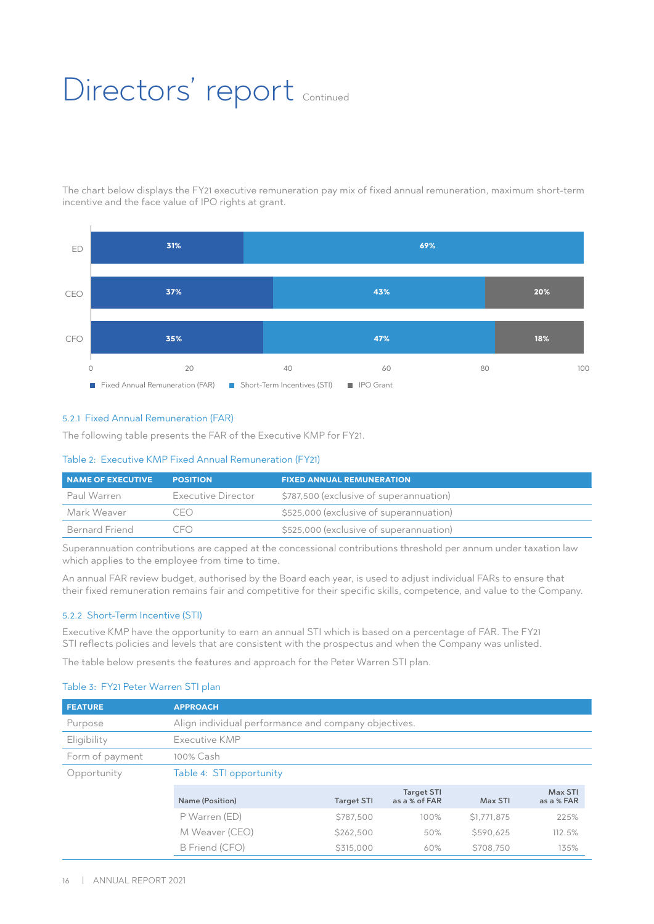# Directors' report Continued

The chart below displays the FY21 executive remuneration pay mix of fixed annual remuneration, maximum short-term incentive and the face value of IPO rights at grant.



#### 5.2.1 Fixed Annual Remuneration (FAR)

The following table presents the FAR of the Executive KMP for FY21.

#### Table 2: Executive KMP Fixed Annual Remuneration (FY21)

| NAME OF EXECUTIVE | <b>POSITION</b>      | <b>FIXED ANNUAL REMUNERATION</b>        |
|-------------------|----------------------|-----------------------------------------|
| Paul Warren       | Executive Director   | \$787,500 (exclusive of superannuation) |
| Mark Weaver       | CEO                  | \$525,000 (exclusive of superannuation) |
| Bernard Friend    | $($ $\vdash$ $($ $)$ | \$525,000 (exclusive of superannuation) |

Superannuation contributions are capped at the concessional contributions threshold per annum under taxation law which applies to the employee from time to time.

An annual FAR review budget, authorised by the Board each year, is used to adjust individual FARs to ensure that their fixed remuneration remains fair and competitive for their specific skills, competence, and value to the Company.

#### 5.2.2 Short-Term Incentive (STI)

Executive KMP have the opportunity to earn an annual STI which is based on a percentage of FAR. The FY21 STI reflects policies and levels that are consistent with the prospectus and when the Company was unlisted.

The table below presents the features and approach for the Peter Warren STI plan.

| <b>FEATURE</b>  | <b>APPROACH</b>                                      |                   |                                    |             |                       |
|-----------------|------------------------------------------------------|-------------------|------------------------------------|-------------|-----------------------|
| Purpose         | Align individual performance and company objectives. |                   |                                    |             |                       |
| Eligibility     | Executive KMP                                        |                   |                                    |             |                       |
| Form of payment | 100% Cash                                            |                   |                                    |             |                       |
| Opportunity     | Table 4: STI opportunity                             |                   |                                    |             |                       |
|                 | Name (Position)                                      | <b>Target STI</b> | <b>Target STI</b><br>as a % of FAR | Max STI     | Max STI<br>as a % FAR |
|                 | P Warren (ED)                                        | \$787,500         | 100%                               | \$1,771,875 | 225%                  |
|                 | M Weaver (CEO)                                       | \$262,500         | 50%                                | \$590.625   | 112.5%                |
|                 | B Friend (CFO)                                       | \$315,000         | 60%                                | \$708,750   | 135%                  |

#### Table 3: FY21 Peter Warren STI plan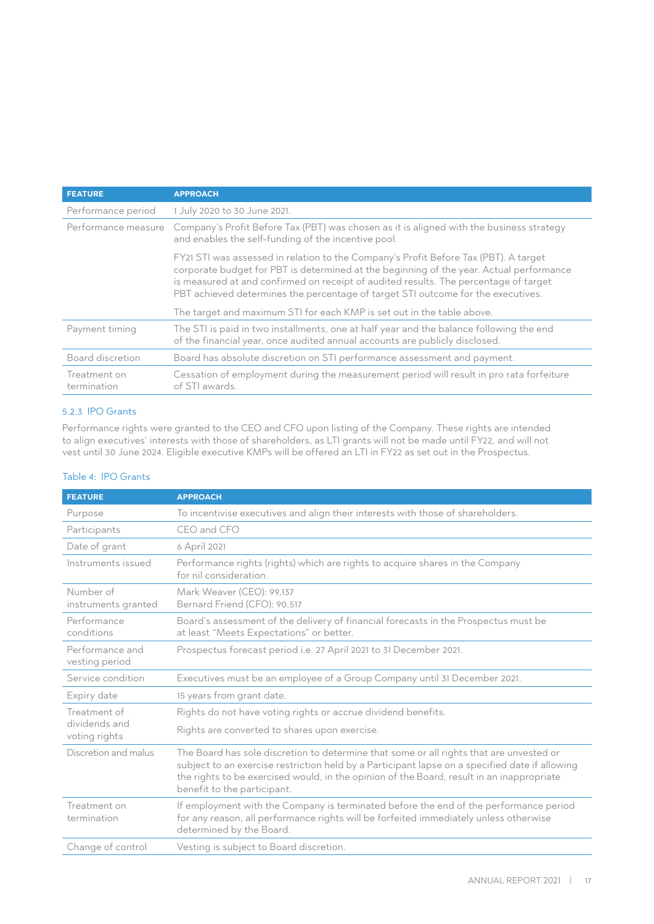| <b>FEATURE</b>              | <b>APPROACH</b>                                                                                                                                                                                                                                                                                                                                             |
|-----------------------------|-------------------------------------------------------------------------------------------------------------------------------------------------------------------------------------------------------------------------------------------------------------------------------------------------------------------------------------------------------------|
| Performance period          | 1 July 2020 to 30 June 2021.                                                                                                                                                                                                                                                                                                                                |
| Performance measure         | Company's Profit Before Tax (PBT) was chosen as it is aligned with the business strategy<br>and enables the self-funding of the incentive pool.                                                                                                                                                                                                             |
|                             | FY21 STI was assessed in relation to the Company's Profit Before Tax (PBT). A target<br>corporate budget for PBT is determined at the beginning of the year. Actual performance<br>is measured at and confirmed on receipt of audited results. The percentage of target<br>PBT achieved determines the percentage of target STI outcome for the executives. |
|                             | The target and maximum STI for each KMP is set out in the table above.                                                                                                                                                                                                                                                                                      |
| Payment timing              | The STI is paid in two installments, one at half year and the balance following the end<br>of the financial year, once audited annual accounts are publicly disclosed.                                                                                                                                                                                      |
| Board discretion            | Board has absolute discretion on STI performance assessment and payment.                                                                                                                                                                                                                                                                                    |
| Treatment on<br>termination | Cessation of employment during the measurement period will result in pro rata forfeiture<br>of STI awards.                                                                                                                                                                                                                                                  |

#### 5.2.3 IPO Grants

Performance rights were granted to the CEO and CFO upon listing of the Company. These rights are intended to align executives' interests with those of shareholders, as LTI grants will not be made until FY22, and will not vest until 30 June 2024. Eligible executive KMPs will be offered an LTI in FY22 as set out in the Prospectus.

#### Table 4: IPO Grants

| <b>FEATURE</b>                    | <b>APPROACH</b>                                                                                                                                                                                                                                                                                                       |  |  |  |  |  |
|-----------------------------------|-----------------------------------------------------------------------------------------------------------------------------------------------------------------------------------------------------------------------------------------------------------------------------------------------------------------------|--|--|--|--|--|
| Purpose                           | To incentivise executives and align their interests with those of shareholders.                                                                                                                                                                                                                                       |  |  |  |  |  |
| Participants                      | CEO and CFO                                                                                                                                                                                                                                                                                                           |  |  |  |  |  |
| Date of grant                     | 6 April 2021                                                                                                                                                                                                                                                                                                          |  |  |  |  |  |
| Instruments issued                | Performance rights (rights) which are rights to acquire shares in the Company<br>for nil consideration.                                                                                                                                                                                                               |  |  |  |  |  |
| Number of<br>instruments granted  | Mark Weaver (CEO): 99,137<br>Bernard Friend (CFO): 90.517                                                                                                                                                                                                                                                             |  |  |  |  |  |
| Performance<br>conditions         | Board's assessment of the delivery of financial forecasts in the Prospectus must be<br>at least "Meets Expectations" or better.                                                                                                                                                                                       |  |  |  |  |  |
| Performance and<br>vesting period | Prospectus forecast period i.e. 27 April 2021 to 31 December 2021.                                                                                                                                                                                                                                                    |  |  |  |  |  |
| Service condition                 | Executives must be an employee of a Group Company until 31 December 2021.                                                                                                                                                                                                                                             |  |  |  |  |  |
| Expiry date                       | 15 years from grant date.                                                                                                                                                                                                                                                                                             |  |  |  |  |  |
| Treatment of                      | Rights do not have voting rights or accrue dividend benefits.                                                                                                                                                                                                                                                         |  |  |  |  |  |
| dividends and<br>voting rights    | Rights are converted to shares upon exercise.                                                                                                                                                                                                                                                                         |  |  |  |  |  |
| Discretion and malus              | The Board has sole discretion to determine that some or all rights that are unvested or<br>subject to an exercise restriction held by a Participant lapse on a specified date if allowing<br>the rights to be exercised would, in the opinion of the Board, result in an inappropriate<br>benefit to the participant. |  |  |  |  |  |
| Treatment on<br>termination       | If employment with the Company is terminated before the end of the performance period<br>for any reason, all performance rights will be forfeited immediately unless otherwise<br>determined by the Board.                                                                                                            |  |  |  |  |  |
| Change of control                 | Vesting is subject to Board discretion.                                                                                                                                                                                                                                                                               |  |  |  |  |  |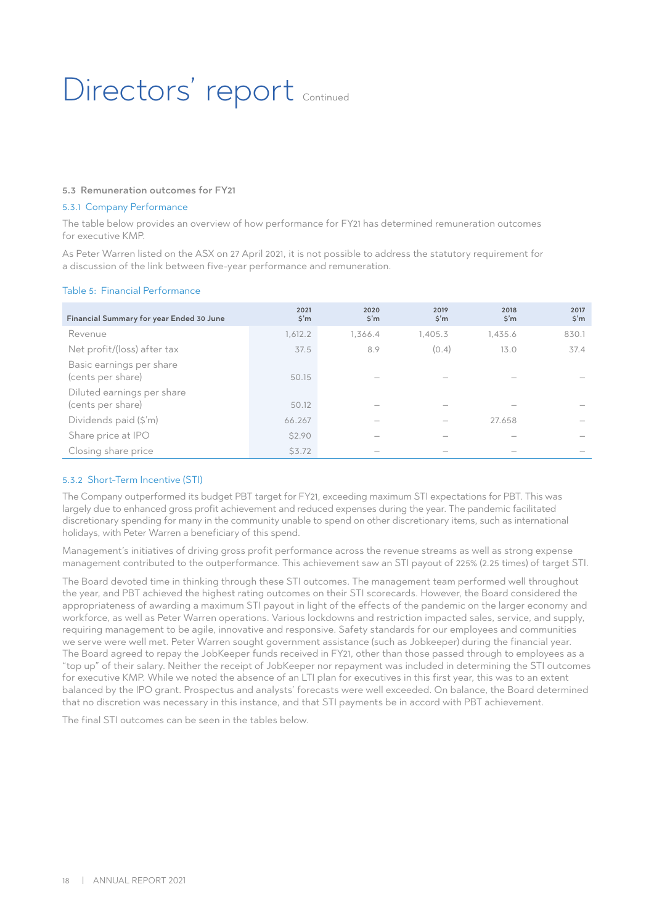### Directors' report continued

#### 5.3 Remuneration outcomes for FY21

#### 5.3.1 Company Performance

The table below provides an overview of how performance for FY21 has determined remuneration outcomes for executive KMP.

As Peter Warren listed on the ASX on 27 April 2021, it is not possible to address the statutory requirement for a discussion of the link between five-year performance and remuneration.

#### Table 5: Financial Performance

| Financial Summary for year Ended 30 June        | 2021<br>$\mathsf{S}'\mathsf{m}$ | 2020<br>$\sin$ | 2019<br>$\sin$ | 2018<br>$\mathsf{S}'\mathsf{m}$ | 2017<br>$\sin$ |
|-------------------------------------------------|---------------------------------|----------------|----------------|---------------------------------|----------------|
| Revenue                                         | 1,612.2                         | 1.366.4        | 1,405.3        | 1,435.6                         | 830.1          |
| Net profit/(loss) after tax                     | 37.5                            | 8.9            | (0.4)          | 13.0                            | 37.4           |
| Basic earnings per share<br>(cents per share)   | 50.15                           |                |                |                                 |                |
| Diluted earnings per share<br>(cents per share) | 50.12                           |                |                |                                 |                |
| Dividends paid (\$'m)                           | 66.267                          |                |                | 27.658                          |                |
| Share price at IPO                              | \$2.90                          |                |                |                                 |                |
| Closing share price                             | <b>\$3.72</b>                   |                |                |                                 |                |

#### 5.3.2 Short-Term Incentive (STI)

The Company outperformed its budget PBT target for FY21, exceeding maximum STI expectations for PBT. This was largely due to enhanced gross profit achievement and reduced expenses during the year. The pandemic facilitated discretionary spending for many in the community unable to spend on other discretionary items, such as international holidays, with Peter Warren a beneficiary of this spend.

Management's initiatives of driving gross profit performance across the revenue streams as well as strong expense management contributed to the outperformance. This achievement saw an STI payout of 225% (2.25 times) of target STI.

The Board devoted time in thinking through these STI outcomes. The management team performed well throughout the year, and PBT achieved the highest rating outcomes on their STI scorecards. However, the Board considered the appropriateness of awarding a maximum STI payout in light of the effects of the pandemic on the larger economy and workforce, as well as Peter Warren operations. Various lockdowns and restriction impacted sales, service, and supply, requiring management to be agile, innovative and responsive. Safety standards for our employees and communities we serve were well met. Peter Warren sought government assistance (such as Jobkeeper) during the financial year. The Board agreed to repay the JobKeeper funds received in FY21, other than those passed through to employees as a "top up" of their salary. Neither the receipt of JobKeeper nor repayment was included in determining the STI outcomes for executive KMP. While we noted the absence of an LTI plan for executives in this first year, this was to an extent balanced by the IPO grant. Prospectus and analysts' forecasts were well exceeded. On balance, the Board determined that no discretion was necessary in this instance, and that STI payments be in accord with PBT achievement.

The final STI outcomes can be seen in the tables below.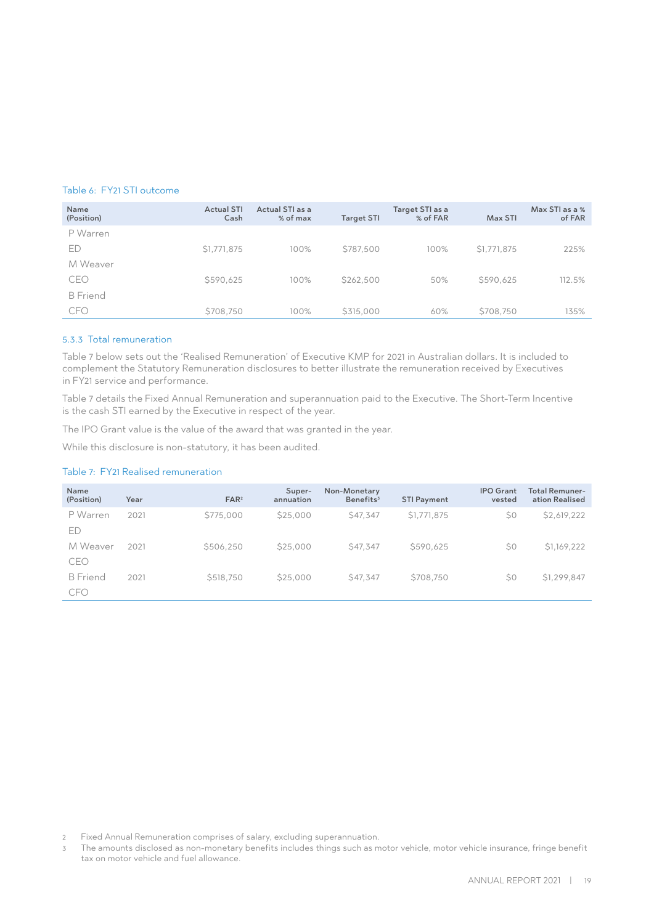#### Table 6: FY21 STI outcome

| Name<br>(Position) | <b>Actual STI</b><br>Cash | Actual STI as a<br>% of max | <b>Target STI</b> | Target STI as a<br>% of FAR | Max STI     | Max STI as a %<br>of FAR |
|--------------------|---------------------------|-----------------------------|-------------------|-----------------------------|-------------|--------------------------|
| P Warren           |                           |                             |                   |                             |             |                          |
| ED                 | \$1,771,875               | 100%                        | \$787,500         | 100%                        | \$1,771,875 | 225%                     |
| M Weaver           |                           |                             |                   |                             |             |                          |
| CEO                | \$590,625                 | 100%                        | \$262,500         | 50%                         | \$590.625   | 112.5%                   |
| <b>B</b> Friend    |                           |                             |                   |                             |             |                          |
| <b>CFO</b>         | \$708,750                 | 100%                        | \$315,000         | 60%                         | \$708,750   | 135%                     |

#### 5.3.3 Total remuneration

Table 7 below sets out the 'Realised Remuneration' of Executive KMP for 2021 in Australian dollars. It is included to complement the Statutory Remuneration disclosures to better illustrate the remuneration received by Executives in FY21 service and performance.

Table 7 details the Fixed Annual Remuneration and superannuation paid to the Executive. The Short-Term Incentive is the cash STI earned by the Executive in respect of the year.

The IPO Grant value is the value of the award that was granted in the year.

While this disclosure is non-statutory, it has been audited.

#### Table 7: FY21 Realised remuneration

| Name<br>(Position)            | Year | FAR <sup>2</sup> | Super-<br>annuation | Non-Monetary<br>Benefits <sup>3</sup> | <b>STI Payment</b> | <b>IPO</b> Grant<br>vested | <b>Total Remuner-</b><br>ation Realised |
|-------------------------------|------|------------------|---------------------|---------------------------------------|--------------------|----------------------------|-----------------------------------------|
| P Warren<br>ED                | 2021 | \$775,000        | \$25,000            | S47.347                               | \$1,771,875        | \$0                        | \$2,619,222                             |
| M Weaver<br>CEO               | 2021 | \$506,250        | \$25,000            | S47.347                               | \$590,625          | \$0                        | \$1,169,222                             |
| <b>B</b> Friend<br><b>CFO</b> | 2021 | \$518,750        | \$25,000            | \$47,347                              | \$708,750          | \$0                        | \$1,299,847                             |

2 Fixed Annual Remuneration comprises of salary, excluding superannuation.

3 The amounts disclosed as non-monetary benefits includes things such as motor vehicle, motor vehicle insurance, fringe benefit tax on motor vehicle and fuel allowance.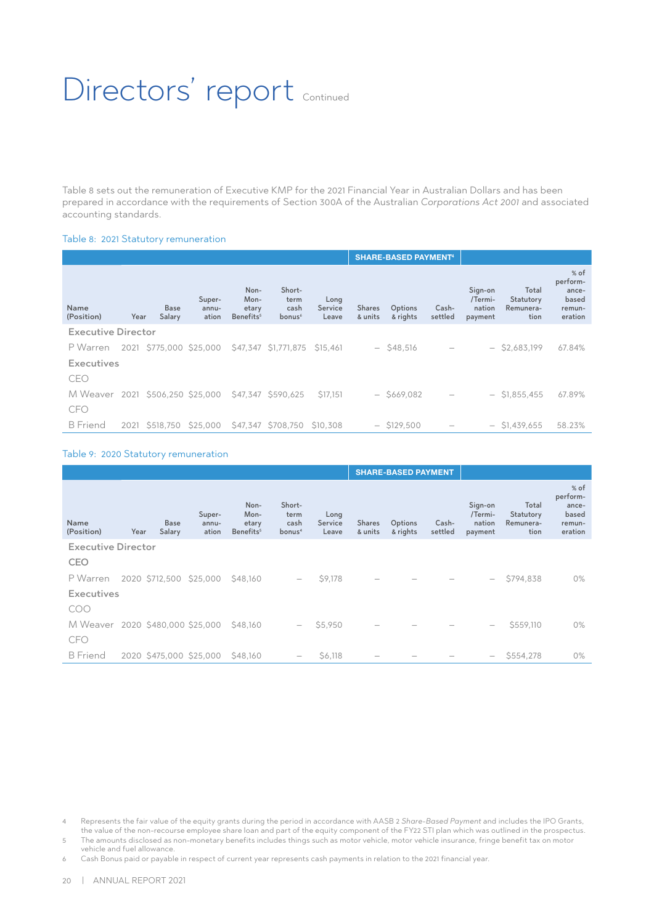### Directors' report Continued

Table 8 sets out the remuneration of Executive KMP for the 2021 Financial Year in Australian Dollars and has been prepared in accordance with the requirements of Section 300A of the Australian *Corporations Act 2001* and associated accounting standards.

#### Table 8: 2021 Statutory remuneration

|                                  |      |                         |                          |                                                |                                              |                          | <b>SHARE-BASED PAYMENT<sup>4</sup></b> |                     |                  |                                         |                                         |                                                           |
|----------------------------------|------|-------------------------|--------------------------|------------------------------------------------|----------------------------------------------|--------------------------|----------------------------------------|---------------------|------------------|-----------------------------------------|-----------------------------------------|-----------------------------------------------------------|
| <b>Name</b><br>(Position)        | Year | <b>Base</b><br>Salary   | Super-<br>annu-<br>ation | Non-<br>Mon-<br>etary<br>Benefits <sup>5</sup> | Short-<br>term<br>cash<br>bonus <sup>6</sup> | Long<br>Service<br>Leave | <b>Shares</b><br>& units               | Options<br>& rights | Cash-<br>settled | Sign-on<br>/Termi-<br>nation<br>payment | Total<br>Statutory<br>Remunera-<br>tion | $%$ of<br>perform-<br>ance-<br>based<br>remun-<br>eration |
| <b>Executive Director</b>        |      |                         |                          |                                                |                                              |                          |                                        |                     |                  |                                         |                                         |                                                           |
| P Warren                         |      | 2021 \$775,000 \$25,000 |                          |                                                | \$47,347 \$1,771,875                         | S <sub>15</sub> .461     |                                        | $-$ \$48,516        |                  |                                         | $-$ \$2,683,199                         | 67.84%                                                    |
| Executives                       |      |                         |                          |                                                |                                              |                          |                                        |                     |                  |                                         |                                         |                                                           |
| CEO                              |      |                         |                          |                                                |                                              |                          |                                        |                     |                  |                                         |                                         |                                                           |
| M Weaver 2021 \$506,250 \$25,000 |      |                         |                          |                                                | \$47.347 \$590.625                           | <b>\$17.151</b>          |                                        | $-$ \$669,082       |                  |                                         | $-$ \$1,855,455                         | 67.89%                                                    |
| <b>CFO</b>                       |      |                         |                          |                                                |                                              |                          |                                        |                     |                  |                                         |                                         |                                                           |
| <b>B</b> Friend                  |      | 2021 \$518.750          | \$25,000                 |                                                | \$47,347 \$708,750                           | S10.308                  |                                        | $-$ \$129.500       |                  |                                         | $-$ \$1,439,655                         | 58.23%                                                    |

#### Table 9: 2020 Statutory remuneration

|                                  |                |                       |                          |                                                |                                              |                          |                          | <b>SHARE-BASED PAYMENT</b> |                  |                                         |                                         |                                                           |
|----------------------------------|----------------|-----------------------|--------------------------|------------------------------------------------|----------------------------------------------|--------------------------|--------------------------|----------------------------|------------------|-----------------------------------------|-----------------------------------------|-----------------------------------------------------------|
| Name<br>(Position)               | Year           | <b>Base</b><br>Salary | Super-<br>annu-<br>ation | Non-<br>Mon-<br>etary<br>Benefits <sup>5</sup> | Short-<br>term<br>cash<br>bonus <sup>4</sup> | Long<br>Service<br>Leave | <b>Shares</b><br>& units | Options<br>& rights        | Cash-<br>settled | Sign-on<br>/Termi-<br>nation<br>payment | Total<br>Statutory<br>Remunera-<br>tion | $%$ of<br>perform-<br>ance-<br>based<br>remun-<br>eration |
| <b>Executive Director</b>        |                |                       |                          |                                                |                                              |                          |                          |                            |                  |                                         |                                         |                                                           |
| <b>CEO</b>                       |                |                       |                          |                                                |                                              |                          |                          |                            |                  |                                         |                                         |                                                           |
| P Warren                         | 2020 \$712,500 |                       | \$25,000                 | \$48,160                                       | $\qquad \qquad$                              | \$9,178                  |                          |                            |                  | $\overline{\phantom{0}}$                | \$794,838                               | 0%                                                        |
| <b>Executives</b>                |                |                       |                          |                                                |                                              |                          |                          |                            |                  |                                         |                                         |                                                           |
| COO                              |                |                       |                          |                                                |                                              |                          |                          |                            |                  |                                         |                                         |                                                           |
| M Weaver 2020 \$480,000 \$25,000 |                |                       |                          | \$48,160                                       | $\qquad \qquad -$                            | \$5,950                  |                          |                            |                  |                                         | \$559,110                               | 0%                                                        |
| <b>CFO</b>                       |                |                       |                          |                                                |                                              |                          |                          |                            |                  |                                         |                                         |                                                           |
| <b>B</b> Friend                  |                |                       | 2020 \$475,000 \$25,000  | S48.160                                        | $\overline{\phantom{m}}$                     | \$6,118                  |                          |                            |                  |                                         | \$554,278                               | $0\%$                                                     |

- 4 Represents the fair value of the equity grants during the period in accordance with AASB 2 *Share-Based Payment* and includes the IPO Grants, the value of the non-recourse employee share loan and part of the equity component of the FY22 STI plan which was outlined in the prospectus.
- 5 The amounts disclosed as non-monetary benefits includes things such as motor vehicle, motor vehicle insurance, fringe benefit tax on motor vehicle and fuel allowance.

6 Cash Bonus paid or payable in respect of current year represents cash payments in relation to the 2021 financial year.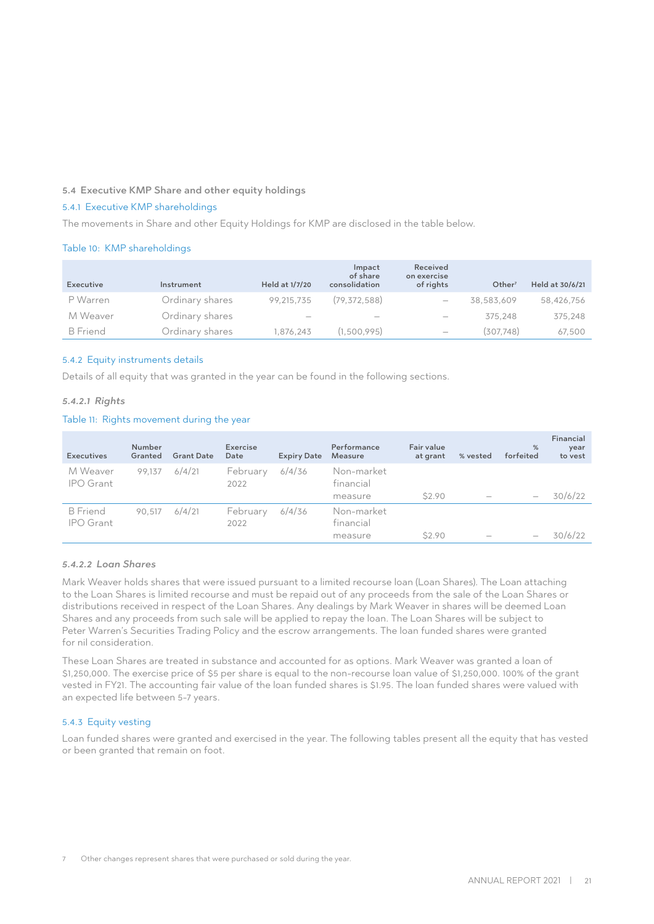#### 5.4 Executive KMP Share and other equity holdings

#### 5.4.1 Executive KMP shareholdings

The movements in Share and other Equity Holdings for KMP are disclosed in the table below.

#### Table 10: KMP shareholdings

| Executive       | Instrument      | Held at 1/7/20                  | Impact<br>of share<br>consolidation | Received<br>on exercise<br>of rights | Other <sup>7</sup> | Held at 30/6/21 |
|-----------------|-----------------|---------------------------------|-------------------------------------|--------------------------------------|--------------------|-----------------|
| P Warren        | Ordinary shares | 99.215.735                      | (79, 372, 588)                      | $\overline{\phantom{0}}$             | 38,583,609         | 58,426,756      |
| M Weaver        | Ordinary shares | $\hspace{0.1mm}-\hspace{0.1mm}$ | $\hspace{0.1mm}-\hspace{0.1mm}$     | $\qquad \qquad$                      | 375.248            | 375,248         |
| <b>B</b> Friend | Ordinary shares | 1.876.243                       | (1,500,995)                         | $\overline{\phantom{m}}$             | (307.748)          | 67.500          |

#### 5.4.2 Equity instruments details

Details of all equity that was granted in the year can be found in the following sections.

#### *5.4.2.1 Rights*

#### Table 11: Rights movement during the year

| <b>Executives</b>                   | Number<br>Granted | <b>Grant Date</b> | Exercise<br>Date | <b>Expiry Date</b> | Performance<br>Measure             | Fair value<br>at grant | % vested | %<br>forfeited    | Financial<br>year<br>to vest |
|-------------------------------------|-------------------|-------------------|------------------|--------------------|------------------------------------|------------------------|----------|-------------------|------------------------------|
| M Weaver<br><b>IPO</b> Grant        | 99.137            | 6/4/21            | February<br>2022 | 6/4/36             | Non-market<br>financial<br>measure | \$2.90                 |          |                   | 30/6/22                      |
| <b>B</b> Friend<br><b>IPO</b> Grant | 90.517            | 6/4/21            | February<br>2022 | 6/4/36             | Non-market<br>financial<br>measure | \$2.90                 |          | $\hspace{0.05cm}$ | 30/6/22                      |

#### *5.4.2.2 Loan Shares*

Mark Weaver holds shares that were issued pursuant to a limited recourse loan (Loan Shares). The Loan attaching to the Loan Shares is limited recourse and must be repaid out of any proceeds from the sale of the Loan Shares or distributions received in respect of the Loan Shares. Any dealings by Mark Weaver in shares will be deemed Loan Shares and any proceeds from such sale will be applied to repay the loan. The Loan Shares will be subject to Peter Warren's Securities Trading Policy and the escrow arrangements. The loan funded shares were granted for nil consideration.

These Loan Shares are treated in substance and accounted for as options. Mark Weaver was granted a loan of \$1,250,000. The exercise price of \$5 per share is equal to the non-recourse loan value of \$1,250,000. 100% of the grant vested in FY21. The accounting fair value of the loan funded shares is \$1.95. The loan funded shares were valued with an expected life between 5-7 years.

#### 5.4.3 Equity vesting

Loan funded shares were granted and exercised in the year. The following tables present all the equity that has vested or been granted that remain on foot.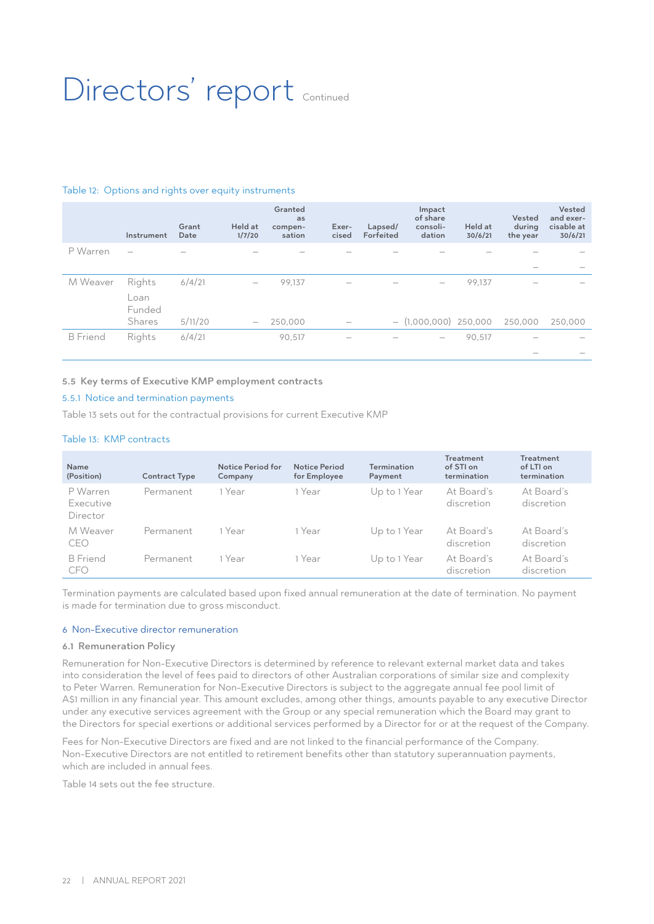### Directors' report Continued

#### Table 12: Options and rights over equity instruments

|                 | Instrument                                | Grant<br>Date     | Held at<br>1/7/20        | Granted<br>as<br>compen-<br>sation | Exer-<br>cised           | Lapsed/<br>Forfeited | Impact<br>of share<br>consoli-<br>dation                   | Held at<br>30/6/21 | Vested<br>during<br>the year | Vested<br>and exer-<br>cisable at<br>30/6/21 |
|-----------------|-------------------------------------------|-------------------|--------------------------|------------------------------------|--------------------------|----------------------|------------------------------------------------------------|--------------------|------------------------------|----------------------------------------------|
| P Warren        |                                           |                   |                          |                                    |                          |                      |                                                            |                    |                              |                                              |
| M Weaver        | Rights<br>Loan<br>Funded<br><b>Shares</b> | 6/4/21<br>5/11/20 | $\overline{\phantom{0}}$ | 99,137<br>250,000                  | $\overline{\phantom{a}}$ |                      | $\hspace{0.1mm}-\hspace{0.1mm}$<br>$-$ (1,000,000) 250,000 | 99,137             | 250,000                      | 250,000                                      |
| <b>B</b> Friend | Rights                                    | 6/4/21            |                          | 90,517                             |                          |                      | $\hspace{0.1mm}-\hspace{0.1mm}$                            | 90,517             |                              |                                              |

#### 5.5 Key terms of Executive KMP employment contracts

#### 5.5.1 Notice and termination payments

Table 13 sets out for the contractual provisions for current Executive KMP

#### Table 13: KMP contracts

| Name<br>(Position)                | <b>Contract Type</b> | Notice Period for<br>Company | <b>Notice Period</b><br>for Employee | <b>Termination</b><br>Payment | <b>Treatment</b><br>of STI on<br>termination | <b>Treatment</b><br>of LTI on<br>termination |
|-----------------------------------|----------------------|------------------------------|--------------------------------------|-------------------------------|----------------------------------------------|----------------------------------------------|
| P Warren<br>Executive<br>Director | Permanent            | 1 Year                       | 1 Year                               | Up to 1 Year                  | At Board's<br>discretion                     | At Board's<br>discretion                     |
| M Weaver<br>CEO                   | Permanent            | 1 Year                       | 1 Year                               | Up to 1 Year                  | At Board's<br>discretion                     | At Board's<br>discretion                     |
| <b>B</b> Friend<br><b>CFO</b>     | Permanent            | 1 Year                       | 1 Year                               | Up to 1 Year                  | At Board's<br>discretion                     | At Board's<br>discretion                     |

Termination payments are calculated based upon fixed annual remuneration at the date of termination. No payment is made for termination due to gross misconduct.

#### 6 Non-Executive director remuneration

#### 6.1 Remuneration Policy

Remuneration for Non-Executive Directors is determined by reference to relevant external market data and takes into consideration the level of fees paid to directors of other Australian corporations of similar size and complexity to Peter Warren. Remuneration for Non-Executive Directors is subject to the aggregate annual fee pool limit of A\$1 million in any financial year. This amount excludes, among other things, amounts payable to any executive Director under any executive services agreement with the Group or any special remuneration which the Board may grant to the Directors for special exertions or additional services performed by a Director for or at the request of the Company.

Fees for Non-Executive Directors are fixed and are not linked to the financial performance of the Company. Non‑Executive Directors are not entitled to retirement benefits other than statutory superannuation payments, which are included in annual fees.

Table 14 sets out the fee structure.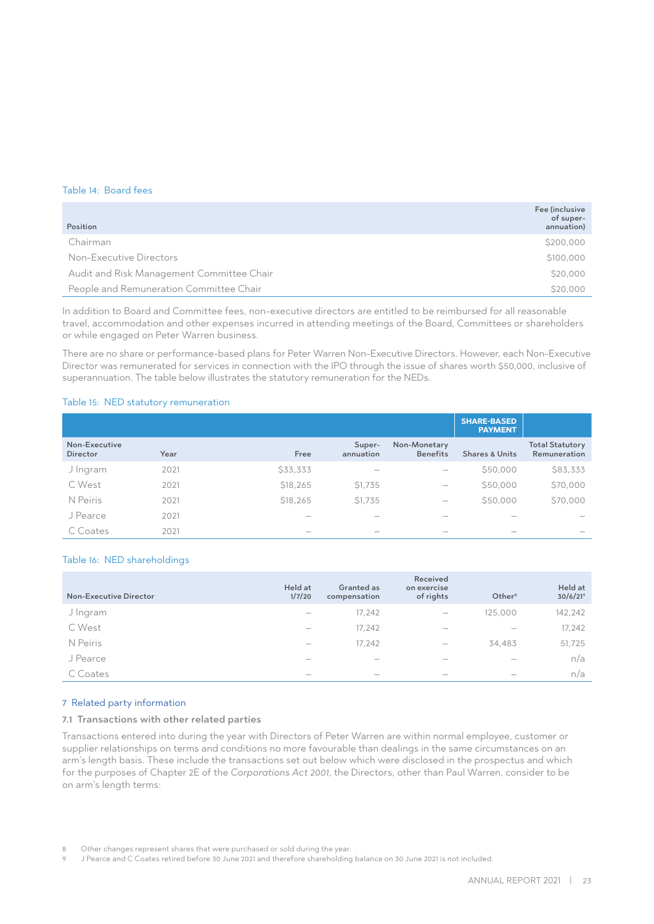#### Table 14: Board fees

| Position                                  | Fee (inclusive<br>of super-<br>annuation) |
|-------------------------------------------|-------------------------------------------|
| Chairman                                  | \$200,000                                 |
| Non-Executive Directors                   | \$100,000                                 |
| Audit and Risk Management Committee Chair | \$20,000                                  |
| People and Remuneration Committee Chair   | \$20,000                                  |

In addition to Board and Committee fees, non-executive directors are entitled to be reimbursed for all reasonable travel, accommodation and other expenses incurred in attending meetings of the Board, Committees or shareholders or while engaged on Peter Warren business.

There are no share or performance-based plans for Peter Warren Non-Executive Directors. However, each Non-Executive Director was remunerated for services in connection with the IPO through the issue of shares worth \$50,000, inclusive of superannuation. The table below illustrates the statutory remuneration for the NEDs.

#### Table 15: NED statutory remuneration

|                                  |      |                          |                                 |                                 | <b>SHARE-BASED</b><br><b>PAYMENT</b> |                                        |
|----------------------------------|------|--------------------------|---------------------------------|---------------------------------|--------------------------------------|----------------------------------------|
| Non-Executive<br><b>Director</b> | Year | Free                     | Super-<br>annuation             | Non-Monetary<br><b>Benefits</b> | <b>Shares &amp; Units</b>            | <b>Total Statutory</b><br>Remuneration |
| J Ingram                         | 2021 | \$33,333                 | $\hspace{0.05cm}$               |                                 | \$50,000                             | \$83,333                               |
| C West                           | 2021 | \$18,265                 | \$1,735                         |                                 | \$50,000                             | \$70,000                               |
| N Peiris                         | 2021 | \$18,265                 | \$1,735                         | $\hspace{0.1mm}-\hspace{0.1mm}$ | \$50,000                             | \$70,000                               |
| J Pearce                         | 2021 | $\overline{\phantom{a}}$ | $\hspace{0.1mm}-\hspace{0.1mm}$ |                                 | $\hspace{0.1mm}-\hspace{0.1mm}$      | $\hspace{0.1mm}-\hspace{0.1mm}$        |
| C Coates                         | 2021 |                          | $\overline{\phantom{a}}$        |                                 |                                      |                                        |

#### Table 16: NED shareholdings

| Non-Executive Director | Held at<br>1/7/20               | Granted as<br>compensation | Received<br>on exercise<br>of rights | Other <sup>8</sup>              | Held at<br>$30/6/21^{\circ}$ |
|------------------------|---------------------------------|----------------------------|--------------------------------------|---------------------------------|------------------------------|
| J Ingram               | $\hspace{0.1mm}-\hspace{0.1mm}$ | 17.242                     | $\overbrace{\phantom{12333}}$        | 125,000                         | 142,242                      |
| C West                 | $\hspace{0.1mm}-\hspace{0.1mm}$ | 17,242                     | $\hspace{0.05cm}$                    | $\hspace{0.1mm}-\hspace{0.1mm}$ | 17,242                       |
| N Peiris               | $\hspace{0.1mm}-\hspace{0.1mm}$ | 17.242                     | $\hspace{0.1mm}-\hspace{0.1mm}$      | 34,483                          | 51,725                       |
| J Pearce               | $\overline{\phantom{a}}$        | $\overline{\phantom{a}}$   | $\hspace{0.05cm}$                    | $\overline{\phantom{a}}$        | n/a                          |
| C Coates               |                                 | $\overline{\phantom{a}}$   | $\hspace{0.05cm}$                    |                                 | n/a                          |

#### 7 Related party information

#### 7.1 Transactions with other related parties

Transactions entered into during the year with Directors of Peter Warren are within normal employee, customer or supplier relationships on terms and conditions no more favourable than dealings in the same circumstances on an arm's length basis. These include the transactions set out below which were disclosed in the prospectus and which for the purposes of Chapter 2E of the *Corporations Act 2001*, the Directors, other than Paul Warren, consider to be on arm's length terms:

<sup>8</sup> Other changes represent shares that were purchased or sold during the year.

<sup>9</sup> J Pearce and C Coates retired before 30 June 2021 and therefore shareholding balance on 30 June 2021 is not included.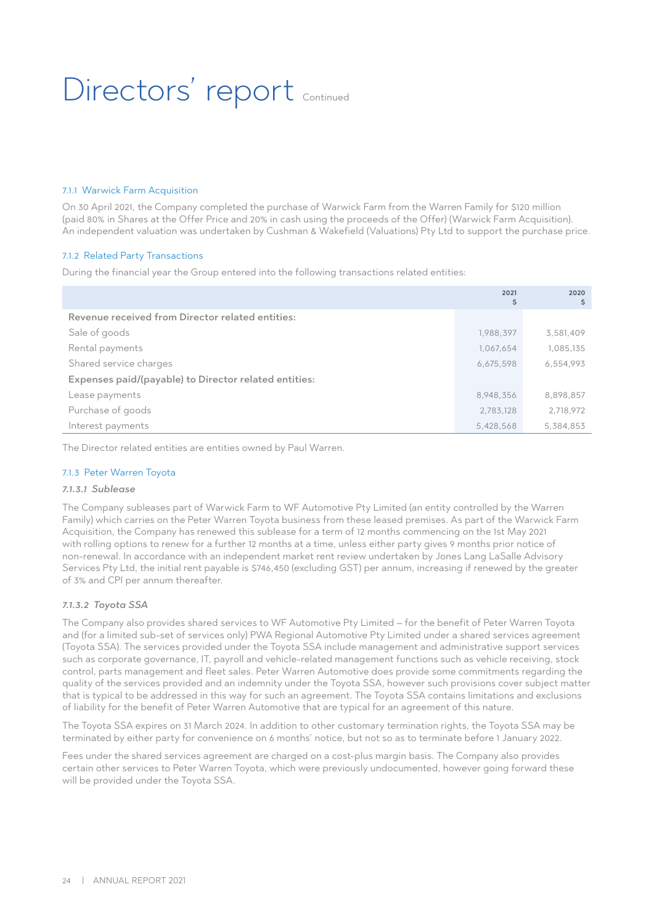## Directors' report continued

#### 7.1.1 Warwick Farm Acquisition

On 30 April 2021, the Company completed the purchase of Warwick Farm from the Warren Family for \$120 million (paid 80% in Shares at the Offer Price and 20% in cash using the proceeds of the Offer) (Warwick Farm Acquisition). An independent valuation was undertaken by Cushman & Wakefield (Valuations) Pty Ltd to support the purchase price.

#### 7.1.2 Related Party Transactions

During the financial year the Group entered into the following transactions related entities:

|                                                       | 2021<br>\$ | 2020<br>\$ |
|-------------------------------------------------------|------------|------------|
| Revenue received from Director related entities:      |            |            |
| Sale of goods                                         | 1,988,397  | 3,581,409  |
| Rental payments                                       | 1,067,654  | 1,085,135  |
| Shared service charges                                | 6,675,598  | 6,554,993  |
| Expenses paid/(payable) to Director related entities: |            |            |
| Lease payments                                        | 8,948,356  | 8,898,857  |
| Purchase of goods                                     | 2,783,128  | 2,718,972  |
| Interest payments                                     | 5,428,568  | 5,384,853  |

The Director related entities are entities owned by Paul Warren.

#### 7.1.3 Peter Warren Toyota

#### *7.1.3.1 Sublease*

The Company subleases part of Warwick Farm to WF Automotive Pty Limited (an entity controlled by the Warren Family) which carries on the Peter Warren Toyota business from these leased premises. As part of the Warwick Farm Acquisition, the Company has renewed this sublease for a term of 12 months commencing on the 1st May 2021 with rolling options to renew for a further 12 months at a time, unless either party gives 9 months prior notice of non-renewal. In accordance with an independent market rent review undertaken by Jones Lang LaSalle Advisory Services Pty Ltd, the initial rent payable is \$746,450 (excluding GST) per annum, increasing if renewed by the greater of 3% and CPI per annum thereafter.

#### *7.1.3.2 Toyota SSA*

The Company also provides shared services to WF Automotive Pty Limited – for the benefit of Peter Warren Toyota and (for a limited sub-set of services only) PWA Regional Automotive Pty Limited under a shared services agreement (Toyota SSA). The services provided under the Toyota SSA include management and administrative support services such as corporate governance, IT, payroll and vehicle-related management functions such as vehicle receiving, stock control, parts management and fleet sales. Peter Warren Automotive does provide some commitments regarding the quality of the services provided and an indemnity under the Toyota SSA, however such provisions cover subject matter that is typical to be addressed in this way for such an agreement. The Toyota SSA contains limitations and exclusions of liability for the benefit of Peter Warren Automotive that are typical for an agreement of this nature.

The Toyota SSA expires on 31 March 2024. In addition to other customary termination rights, the Toyota SSA may be terminated by either party for convenience on 6 months' notice, but not so as to terminate before 1 January 2022.

Fees under the shared services agreement are charged on a cost-plus margin basis. The Company also provides certain other services to Peter Warren Toyota, which were previously undocumented, however going forward these will be provided under the Toyota SSA.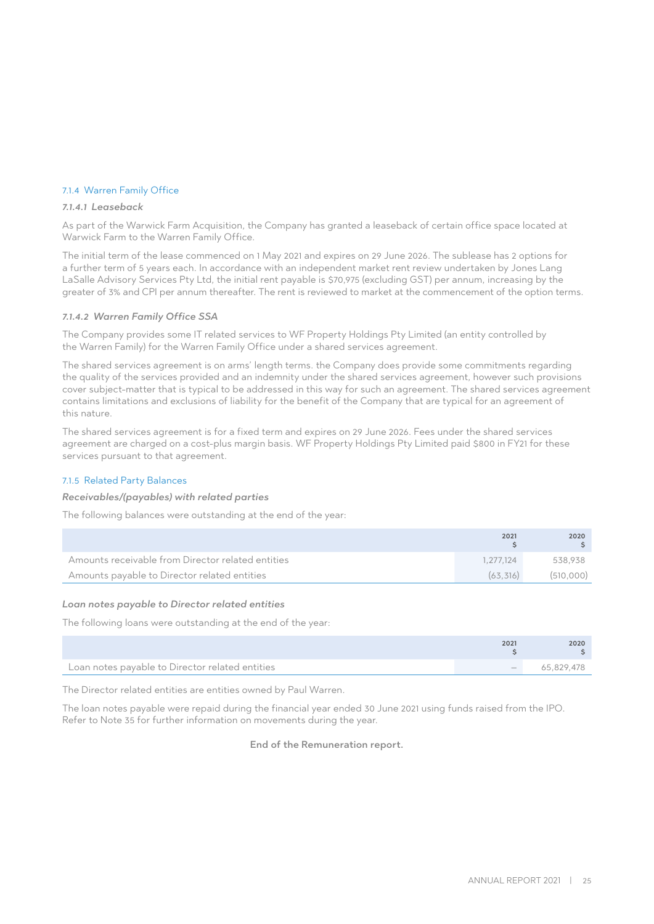#### 7.1.4 Warren Family Office

#### *7.1.4.1 Leaseback*

As part of the Warwick Farm Acquisition, the Company has granted a leaseback of certain office space located at Warwick Farm to the Warren Family Office.

The initial term of the lease commenced on 1 May 2021 and expires on 29 June 2026. The sublease has 2 options for a further term of 5 years each. In accordance with an independent market rent review undertaken by Jones Lang LaSalle Advisory Services Pty Ltd, the initial rent payable is \$70,975 (excluding GST) per annum, increasing by the greater of 3% and CPI per annum thereafter. The rent is reviewed to market at the commencement of the option terms.

#### *7.1.4.2 Warren Family Office SSA*

The Company provides some IT related services to WF Property Holdings Pty Limited (an entity controlled by the Warren Family) for the Warren Family Office under a shared services agreement.

The shared services agreement is on arms' length terms. the Company does provide some commitments regarding the quality of the services provided and an indemnity under the shared services agreement, however such provisions cover subject-matter that is typical to be addressed in this way for such an agreement. The shared services agreement contains limitations and exclusions of liability for the benefit of the Company that are typical for an agreement of this nature.

The shared services agreement is for a fixed term and expires on 29 June 2026. Fees under the shared services agreement are charged on a cost-plus margin basis. WF Property Holdings Pty Limited paid \$800 in FY21 for these services pursuant to that agreement.

#### 7.1.5 Related Party Balances

#### *Receivables/(payables) with related parties*

The following balances were outstanding at the end of the year:

|                                                   | 2021      | 2020      |
|---------------------------------------------------|-----------|-----------|
| Amounts receivable from Director related entities | 1.277.124 | 538.938   |
| Amounts payable to Director related entities      | (63.316)  | (510.000) |

#### *Loan notes payable to Director related entities*

The following loans were outstanding at the end of the year:

|                                                 | 2021 | 2020       |
|-------------------------------------------------|------|------------|
| Loan notes payable to Director related entities |      | 65.829.478 |

The Director related entities are entities owned by Paul Warren.

The loan notes payable were repaid during the financial year ended 30 June 2021 using funds raised from the IPO. Refer to Note 35 for further information on movements during the year.

End of the Remuneration report.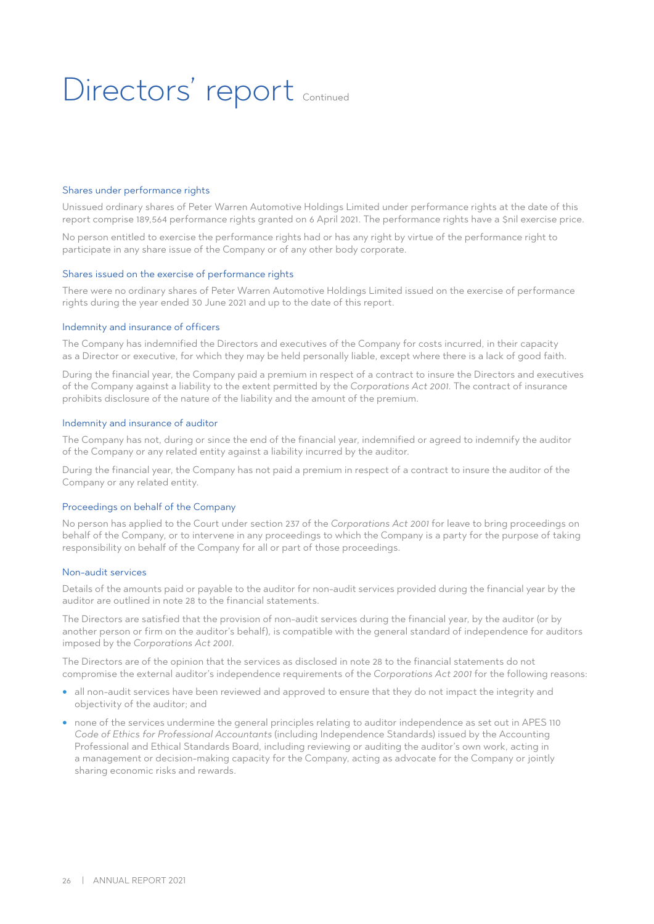# Directors' report continued

#### Shares under performance rights

Unissued ordinary shares of Peter Warren Automotive Holdings Limited under performance rights at the date of this report comprise 189,564 performance rights granted on 6 April 2021. The performance rights have a \$nil exercise price.

No person entitled to exercise the performance rights had or has any right by virtue of the performance right to participate in any share issue of the Company or of any other body corporate.

#### Shares issued on the exercise of performance rights

There were no ordinary shares of Peter Warren Automotive Holdings Limited issued on the exercise of performance rights during the year ended 30 June 2021 and up to the date of this report.

#### Indemnity and insurance of officers

The Company has indemnified the Directors and executives of the Company for costs incurred, in their capacity as a Director or executive, for which they may be held personally liable, except where there is a lack of good faith.

During the financial year, the Company paid a premium in respect of a contract to insure the Directors and executives of the Company against a liability to the extent permitted by the *Corporations Act 2001*. The contract of insurance prohibits disclosure of the nature of the liability and the amount of the premium.

#### Indemnity and insurance of auditor

The Company has not, during or since the end of the financial year, indemnified or agreed to indemnify the auditor of the Company or any related entity against a liability incurred by the auditor.

During the financial year, the Company has not paid a premium in respect of a contract to insure the auditor of the Company or any related entity.

#### Proceedings on behalf of the Company

No person has applied to the Court under section 237 of the *Corporations Act 2001* for leave to bring proceedings on behalf of the Company, or to intervene in any proceedings to which the Company is a party for the purpose of taking responsibility on behalf of the Company for all or part of those proceedings.

#### Non-audit services

Details of the amounts paid or payable to the auditor for non-audit services provided during the financial year by the auditor are outlined in note 28 to the financial statements.

The Directors are satisfied that the provision of non-audit services during the financial year, by the auditor (or by another person or firm on the auditor's behalf), is compatible with the general standard of independence for auditors imposed by the *Corporations Act 2001*.

The Directors are of the opinion that the services as disclosed in note 28 to the financial statements do not compromise the external auditor's independence requirements of the *Corporations Act 2001* for the following reasons:

- all non-audit services have been reviewed and approved to ensure that they do not impact the integrity and objectivity of the auditor; and
- none of the services undermine the general principles relating to auditor independence as set out in APES 110 *Code of Ethics for Professional Accountants* (including Independence Standards) issued by the Accounting Professional and Ethical Standards Board, including reviewing or auditing the auditor's own work, acting in a management or decision-making capacity for the Company, acting as advocate for the Company or jointly sharing economic risks and rewards.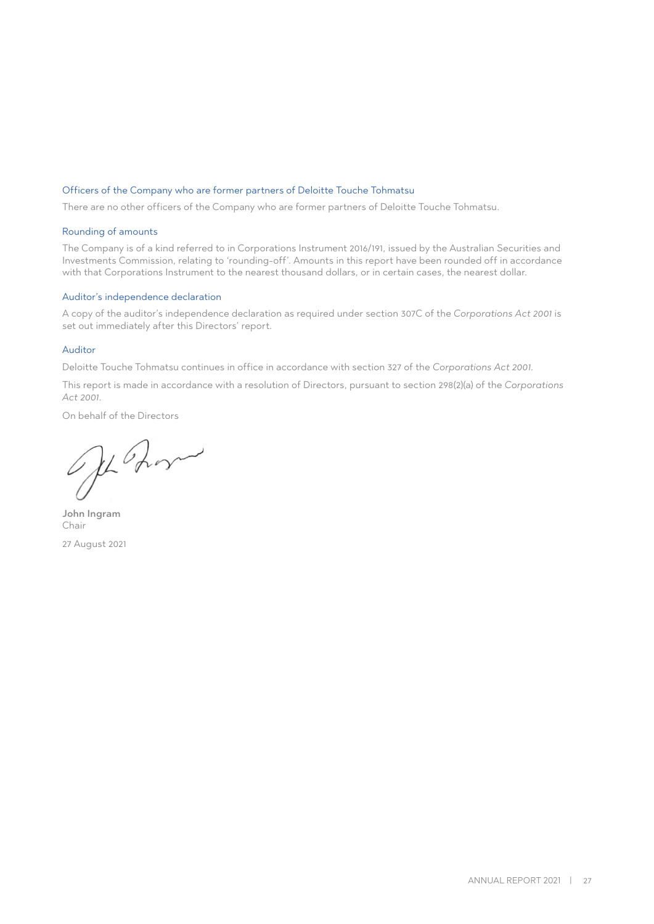#### Officers of the Company who are former partners of Deloitte Touche Tohmatsu

There are no other officers of the Company who are former partners of Deloitte Touche Tohmatsu.

#### Rounding of amounts

The Company is of a kind referred to in Corporations Instrument 2016/191, issued by the Australian Securities and Investments Commission, relating to 'rounding-off'. Amounts in this report have been rounded off in accordance with that Corporations Instrument to the nearest thousand dollars, or in certain cases, the nearest dollar.

#### Auditor's independence declaration

A copy of the auditor's independence declaration as required under section 307C of the *Corporations Act 2001* is set out immediately after this Directors' report.

#### Auditor

Deloitte Touche Tohmatsu continues in office in accordance with section 327 of the *Corporations Act 2001*.

This report is made in accordance with a resolution of Directors, pursuant to section 298(2)(a) of the *Corporations Act 2001*.

On behalf of the Directors

Je Zon

John Ingram Chair 27 August 2021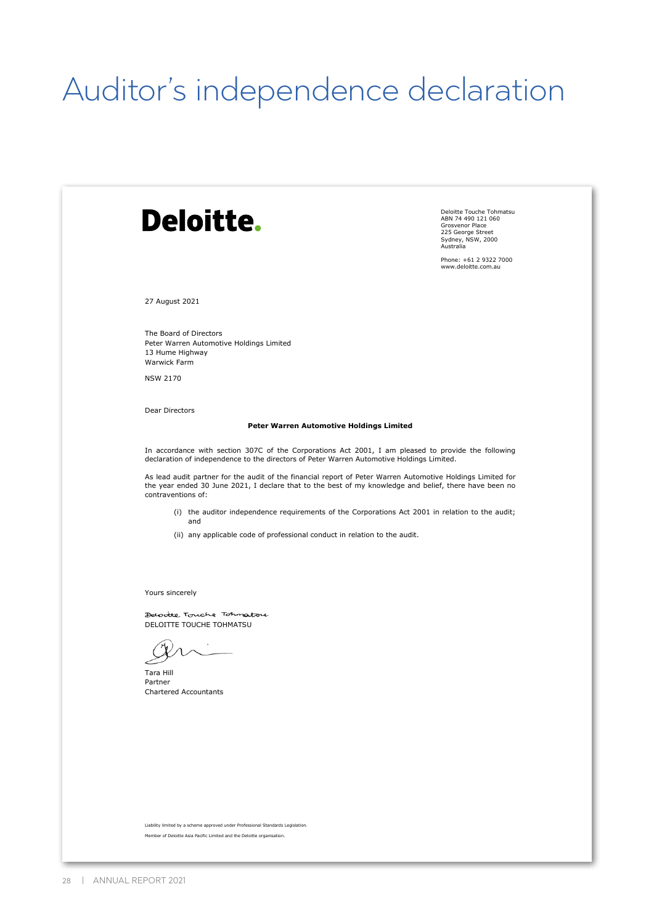# Auditor's independence declaration

| <b>Deloitte.</b>                                                                                                                                                                                                                            | Deloitte Touche Tohmatsu<br>ABN 74 490 121 060<br>Grosvenor Place<br>225 George Street<br>Sydney, NSW, 2000<br>Australia |
|---------------------------------------------------------------------------------------------------------------------------------------------------------------------------------------------------------------------------------------------|--------------------------------------------------------------------------------------------------------------------------|
|                                                                                                                                                                                                                                             | Phone: +61 2 9322 7000<br>www.deloitte.com.au                                                                            |
| 27 August 2021                                                                                                                                                                                                                              |                                                                                                                          |
| The Board of Directors<br>Peter Warren Automotive Holdings Limited<br>13 Hume Highway<br>Warwick Farm                                                                                                                                       |                                                                                                                          |
| <b>NSW 2170</b>                                                                                                                                                                                                                             |                                                                                                                          |
| Dear Directors                                                                                                                                                                                                                              |                                                                                                                          |
| Peter Warren Automotive Holdings Limited                                                                                                                                                                                                    |                                                                                                                          |
| In accordance with section 307C of the Corporations Act 2001, I am pleased to provide the following<br>declaration of independence to the directors of Peter Warren Automotive Holdings Limited.                                            |                                                                                                                          |
| As lead audit partner for the audit of the financial report of Peter Warren Automotive Holdings Limited for<br>the year ended 30 June 2021, I declare that to the best of my knowledge and belief, there have been no<br>contraventions of: |                                                                                                                          |
| (i) the auditor independence requirements of the Corporations Act 2001 in relation to the audit;<br>and                                                                                                                                     |                                                                                                                          |
| (ii) any applicable code of professional conduct in relation to the audit.                                                                                                                                                                  |                                                                                                                          |
|                                                                                                                                                                                                                                             |                                                                                                                          |
|                                                                                                                                                                                                                                             |                                                                                                                          |
| Yours sincerely                                                                                                                                                                                                                             |                                                                                                                          |
| Delocite Touche Tohnatou<br>DELOITTE TOUCHE TOHMATSU                                                                                                                                                                                        |                                                                                                                          |
|                                                                                                                                                                                                                                             |                                                                                                                          |
| Tara Hill<br>Partner                                                                                                                                                                                                                        |                                                                                                                          |
| <b>Chartered Accountants</b>                                                                                                                                                                                                                |                                                                                                                          |
|                                                                                                                                                                                                                                             |                                                                                                                          |
|                                                                                                                                                                                                                                             |                                                                                                                          |
|                                                                                                                                                                                                                                             |                                                                                                                          |
|                                                                                                                                                                                                                                             |                                                                                                                          |
|                                                                                                                                                                                                                                             |                                                                                                                          |
| Liability limited by a scheme approved under Professional Standards Legislation.                                                                                                                                                            |                                                                                                                          |
| Member of Deloitte Asia Pacific Limited and the Deloitte organisation.                                                                                                                                                                      |                                                                                                                          |
|                                                                                                                                                                                                                                             |                                                                                                                          |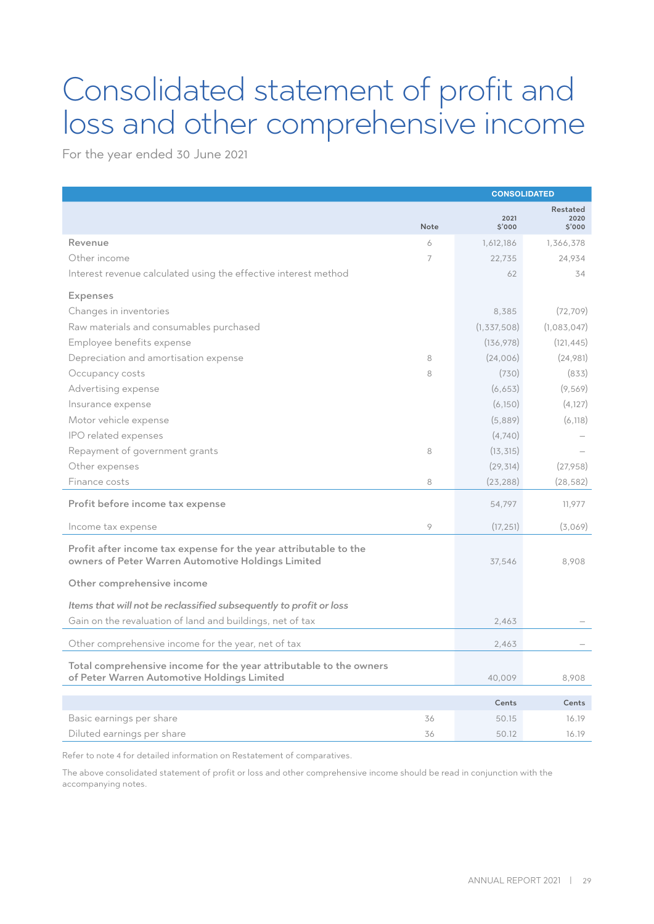### Consolidated statement of profit and loss and other comprehensive income

For the year ended 30 June 2021

|                                                                                                                        |      | <b>CONSOLIDATED</b> |                            |  |
|------------------------------------------------------------------------------------------------------------------------|------|---------------------|----------------------------|--|
|                                                                                                                        | Note | 2021<br>\$'000      | Restated<br>2020<br>\$'000 |  |
| Revenue                                                                                                                | 6    | 1,612,186           | 1,366,378                  |  |
| Other income                                                                                                           | 7    | 22.735              | 24,934                     |  |
| Interest revenue calculated using the effective interest method                                                        |      | 62                  | 34                         |  |
| <b>Expenses</b>                                                                                                        |      |                     |                            |  |
| Changes in inventories                                                                                                 |      | 8,385               | (72, 709)                  |  |
| Raw materials and consumables purchased                                                                                |      | (1, 337, 508)       | (1,083,047)                |  |
| Employee benefits expense                                                                                              |      | (136, 978)          | (121, 445)                 |  |
| Depreciation and amortisation expense                                                                                  | 8    | (24,006)            | (24,981)                   |  |
| Occupancy costs                                                                                                        | 8    | (730)               | (833)                      |  |
| Advertising expense                                                                                                    |      | (6,653)             | (9,569)                    |  |
| Insurance expense                                                                                                      |      | (6,150)             | (4, 127)                   |  |
| Motor vehicle expense                                                                                                  |      | (5,889)             | (6, 118)                   |  |
| IPO related expenses                                                                                                   |      | (4,740)             |                            |  |
| Repayment of government grants                                                                                         | 8    | (13, 315)           |                            |  |
| Other expenses                                                                                                         |      | (29, 314)           | (27,958)                   |  |
| Finance costs                                                                                                          | 8    | (23, 288)           | (28, 582)                  |  |
| Profit before income tax expense                                                                                       |      | 54,797              | 11,977                     |  |
| Income tax expense                                                                                                     | 9    | (17, 251)           | (3,069)                    |  |
| Profit after income tax expense for the year attributable to the<br>owners of Peter Warren Automotive Holdings Limited |      | 37.546              | 8.908                      |  |
| Other comprehensive income                                                                                             |      |                     |                            |  |
| Items that will not be reclassified subsequently to profit or loss                                                     |      |                     |                            |  |
| Gain on the revaluation of land and buildings, net of tax                                                              |      | 2,463               |                            |  |
| Other comprehensive income for the year, net of tax                                                                    |      | 2,463               |                            |  |
| Total comprehensive income for the year attributable to the owners<br>of Peter Warren Automotive Holdings Limited      |      | 40.009              | 8,908                      |  |
|                                                                                                                        |      | Cents               | Cents                      |  |
| Basic earnings per share                                                                                               | 36   | 50.15               | 16.19                      |  |
| Diluted earnings per share                                                                                             | 36   | 50.12               | 16.19                      |  |

Refer to note 4 for detailed information on Restatement of comparatives.

The above consolidated statement of profit or loss and other comprehensive income should be read in conjunction with the accompanying notes.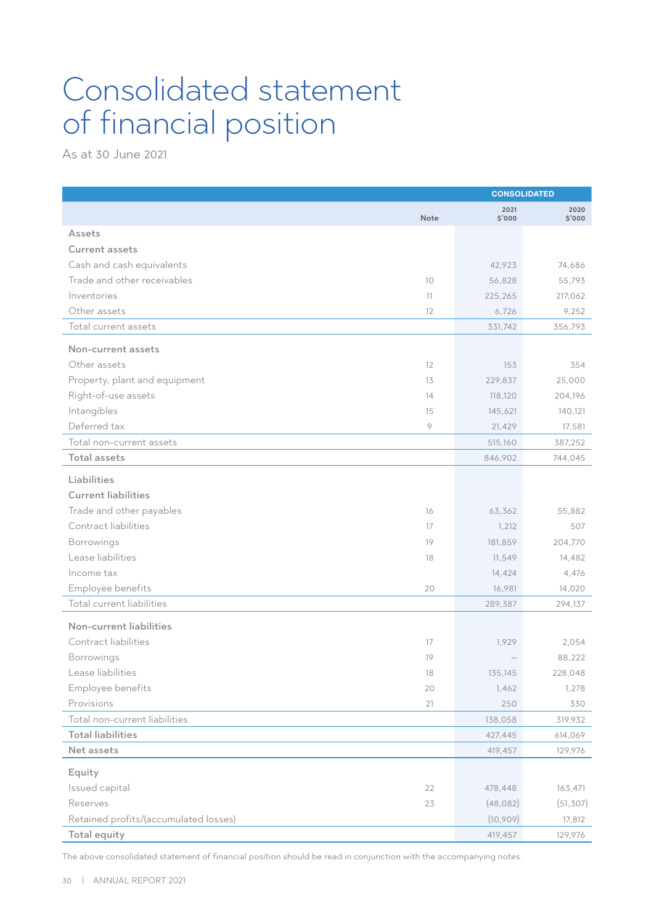### Consolidated statement of financial position

As at 30 June 2021

|                                       |      | <b>CONSOLIDATED</b> |                |  |
|---------------------------------------|------|---------------------|----------------|--|
|                                       | Note | 2021<br>\$'000      | 2020<br>\$'000 |  |
| Assets                                |      |                     |                |  |
| <b>Current assets</b>                 |      |                     |                |  |
| Cash and cash equivalents             |      | 42,923              | 74,686         |  |
| Trade and other receivables           | 10   | 56,828              | 55,793         |  |
| Inventories                           | 11   | 225,265             | 217,062        |  |
| Other assets                          | 12   | 6,726               | 9,252          |  |
| Total current assets                  |      | 331,742             | 356,793        |  |
| Non-current assets                    |      |                     |                |  |
| Other assets                          | 12   | 153                 | 354            |  |
| Property, plant and equipment         | 13   | 229,837             | 25,000         |  |
| Right-of-use assets                   | 14   | 118,120             | 204,196        |  |
| Intangibles                           | 15   | 145,621             | 140,121        |  |
| Deferred tax                          | 9    | 21,429              | 17,581         |  |
| Total non-current assets              |      | 515,160             | 387,252        |  |
| <b>Total assets</b>                   |      | 846,902             | 744,045        |  |
| Liabilities                           |      |                     |                |  |
| <b>Current liabilities</b>            |      |                     |                |  |
| Trade and other payables              | 16   | 63,362              | 55,882         |  |
| Contract liabilities                  | 17   | 1,212               | 507            |  |
| Borrowings                            | 19   | 181,859             | 204,770        |  |
| Lease liabilities                     | 18   | 11,549              | 14,482         |  |
| Income tax                            |      | 14,424              | 4,476          |  |
| Employee benefits                     | 20   | 16,981              | 14,020         |  |
| Total current liabilities             |      | 289,387             | 294,137        |  |
| Non-current liabilities               |      |                     |                |  |
| Contract liabilities                  | 17   | 1,929               | 2,054          |  |
| Borrowings                            | 19   |                     | 88,222         |  |
| Lease liabilities                     | 18   | 135,145             | 228,048        |  |
| Employee benefits                     | 20   | 1,462               | 1,278          |  |
| Provisions                            | 21   | 250                 | 330            |  |
| Total non-current liabilities         |      | 138,058             | 319,932        |  |
| <b>Total liabilities</b>              |      | 427,445             | 614,069        |  |
| Net assets                            |      | 419,457             | 129,976        |  |
| Equity                                |      |                     |                |  |
| Issued capital                        | 22   | 478,448             | 163,471        |  |
| Reserves                              | 23   | (48, 082)           | (51, 307)      |  |
| Retained profits/(accumulated losses) |      | (10,909)            | 17,812         |  |
| Total equity                          |      | 419,457             | 129,976        |  |

The above consolidated statement of financial position should be read in conjunction with the accompanying notes.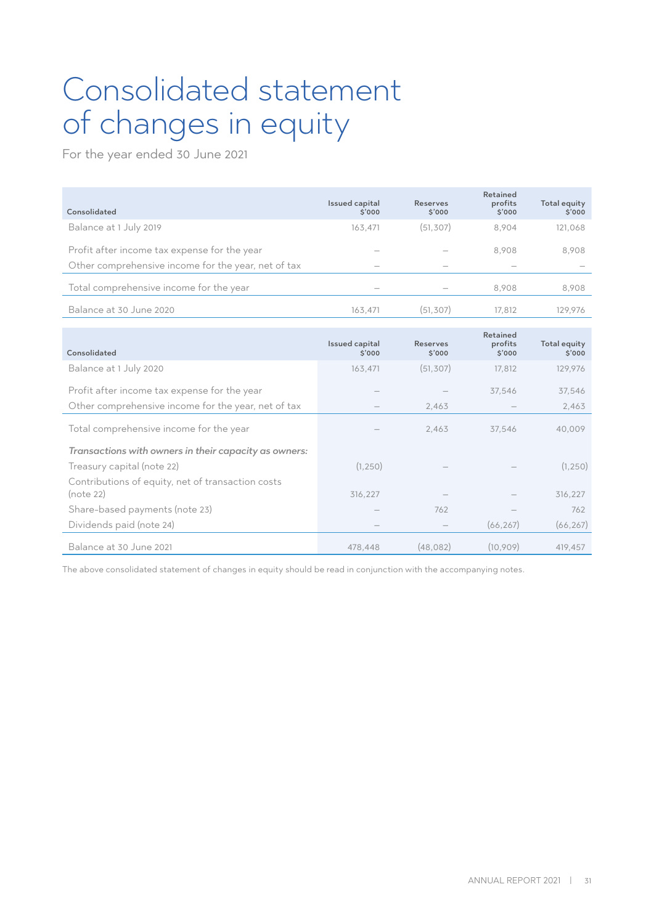### Consolidated statement of changes in equity

For the year ended 30 June 2021

| Consolidated                                        | Issued capital<br>5'000  | <b>Reserves</b><br>\$'000 | Retained<br>profits<br>\$'000 | Total equity<br>\$'000 |
|-----------------------------------------------------|--------------------------|---------------------------|-------------------------------|------------------------|
| Balance at 1 July 2019                              | 163,471                  | (51, 307)                 | 8.904                         | 121,068                |
| Profit after income tax expense for the year        | $\hspace{0.05cm}$        |                           | 8.908                         | 8,908                  |
| Other comprehensive income for the year, net of tax | $\overline{\phantom{a}}$ |                           |                               |                        |
| Total comprehensive income for the year             | $\hspace{0.05cm}$        |                           | 8.908                         | 8,908                  |
| Balance at 30 June 2020                             | 163.471                  | (51,307)                  | 17.812                        | 129.976                |

| Consolidated                                          | Issued capital<br>5'000 | <b>Reserves</b><br>\$'000 | Retained<br>profits<br>\$'000 | <b>Total equity</b><br>\$'000 |
|-------------------------------------------------------|-------------------------|---------------------------|-------------------------------|-------------------------------|
| Balance at 1 July 2020                                | 163,471                 | (51, 307)                 | 17,812                        | 129,976                       |
| Profit after income tax expense for the year          |                         |                           | 37,546                        | 37,546                        |
| Other comprehensive income for the year, net of tax   |                         | 2,463                     |                               | 2,463                         |
| Total comprehensive income for the year               |                         | 2,463                     | 37,546                        | 40,009                        |
| Transactions with owners in their capacity as owners: |                         |                           |                               |                               |
| Treasury capital (note 22)                            | (1, 250)                |                           |                               | (1, 250)                      |
| Contributions of equity, net of transaction costs     |                         |                           |                               |                               |
| (note 22)                                             | 316,227                 |                           |                               | 316,227                       |
| Share-based payments (note 23)                        |                         | 762                       |                               | 762                           |
| Dividends paid (note 24)                              |                         |                           | (66, 267)                     | (66, 267)                     |
| Balance at 30 June 2021                               | 478.448                 | (48.082)                  | (10,909)                      | 419,457                       |

The above consolidated statement of changes in equity should be read in conjunction with the accompanying notes.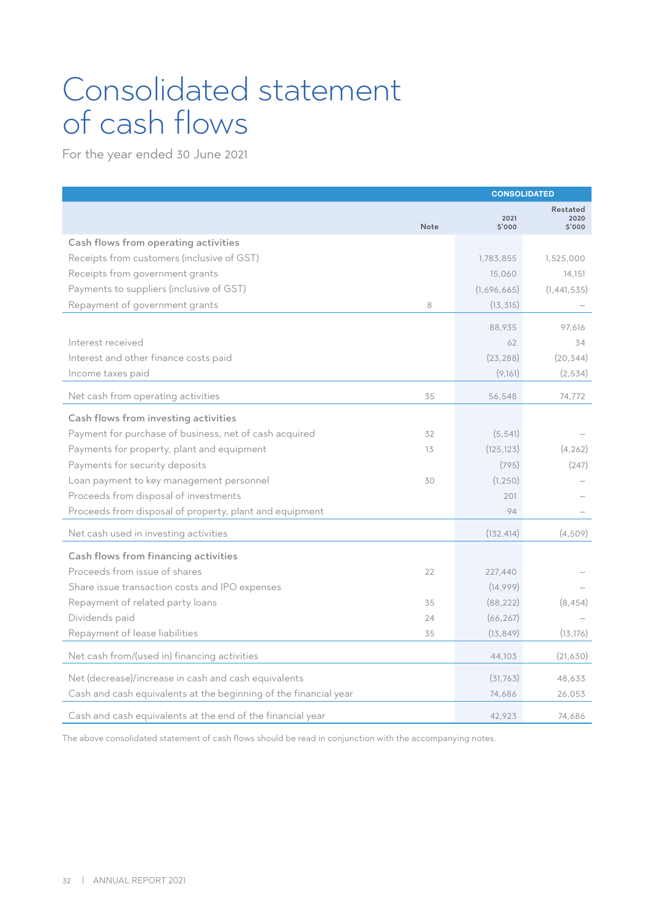### Consolidated statement of cash flows

For the year ended 30 June 2021

|                                                                  |      | <b>CONSOLIDATED</b> |                           |  |
|------------------------------------------------------------------|------|---------------------|---------------------------|--|
|                                                                  | Note | 2021<br>S'000       | Restated<br>2020<br>5'000 |  |
| Cash flows from operating activities                             |      |                     |                           |  |
| Receipts from customers (inclusive of GST)                       |      | 1,783,855           | 1,525,000                 |  |
| Receipts from government grants                                  |      | 15,060              | 14,151                    |  |
| Payments to suppliers (inclusive of GST)                         |      | (1,696,665)         | (1, 441, 535)             |  |
| Repayment of government grants                                   | 8    | (13, 315)           |                           |  |
|                                                                  |      | 88,935              | 97,616                    |  |
| Interest received                                                |      | 62                  | 34                        |  |
| Interest and other finance costs paid                            |      | (23, 288)           | (20, 344)                 |  |
| Income taxes paid                                                |      | (9,161)             | (2, 534)                  |  |
| Net cash from operating activities                               | 35   | 56,548              | 74,772                    |  |
|                                                                  |      |                     |                           |  |
| Cash flows from investing activities                             |      |                     |                           |  |
| Payment for purchase of business, net of cash acquired           | 32   | (5, 541)            |                           |  |
| Payments for property, plant and equipment                       | 13   | (125, 123)          | (4, 262)                  |  |
| Payments for security deposits                                   |      | (795)               | (247)                     |  |
| Loan payment to key management personnel                         | 30   | (1, 250)            |                           |  |
| Proceeds from disposal of investments                            |      | 201                 |                           |  |
| Proceeds from disposal of property, plant and equipment          |      | 94                  |                           |  |
| Net cash used in investing activities                            |      | (132, 414)          | (4,509)                   |  |
| Cash flows from financing activities                             |      |                     |                           |  |
| Proceeds from issue of shares                                    | 22   | 227,440             |                           |  |
| Share issue transaction costs and IPO expenses                   |      | (14,999)            |                           |  |
| Repayment of related party loans                                 | 35   | (88, 222)           | (8, 454)                  |  |
| Dividends paid                                                   | 24   | (66, 267)           |                           |  |
| Repayment of lease liabilities                                   | 35   | (13, 849)           | (13, 176)                 |  |
| Net cash from/(used in) financing activities                     |      | 44,103              | (21, 630)                 |  |
| Net (decrease)/increase in cash and cash equivalents             |      | (31,763)            | 48,633                    |  |
| Cash and cash equivalents at the beginning of the financial year |      | 74,686              | 26,053                    |  |
| Cash and cash equivalents at the end of the financial year       |      | 42,923              | 74,686                    |  |

The above consolidated statement of cash flows should be read in conjunction with the accompanying notes.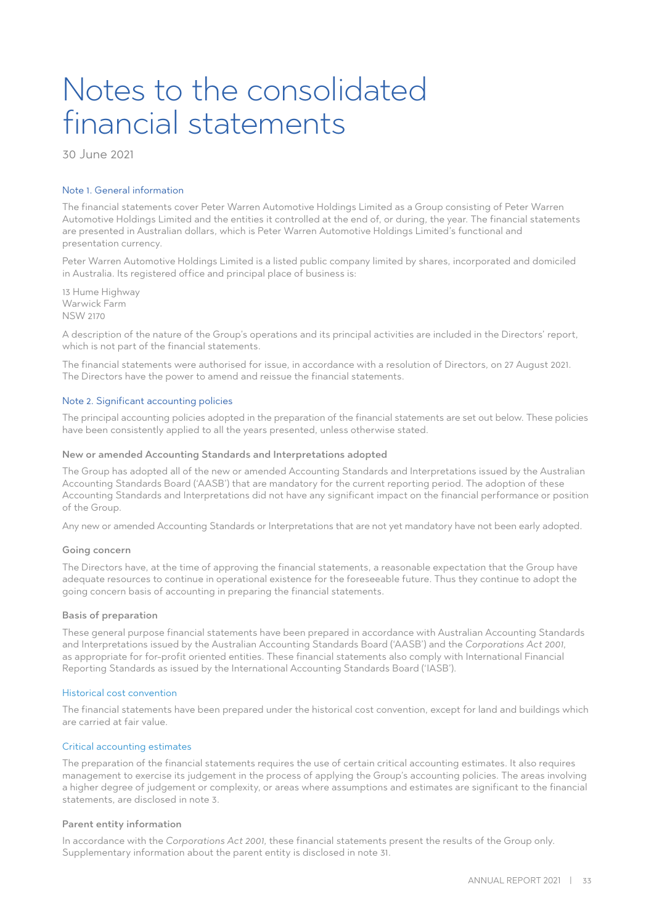### Notes to the consolidated financial statements

30 June 2021

#### Note 1. General information

The financial statements cover Peter Warren Automotive Holdings Limited as a Group consisting of Peter Warren Automotive Holdings Limited and the entities it controlled at the end of, or during, the year. The financial statements are presented in Australian dollars, which is Peter Warren Automotive Holdings Limited's functional and presentation currency.

Peter Warren Automotive Holdings Limited is a listed public company limited by shares, incorporated and domiciled in Australia. Its registered office and principal place of business is:

13 Hume Highway Warwick Farm NSW 2170

A description of the nature of the Group's operations and its principal activities are included in the Directors' report, which is not part of the financial statements.

The financial statements were authorised for issue, in accordance with a resolution of Directors, on 27 August 2021. The Directors have the power to amend and reissue the financial statements.

#### Note 2. Significant accounting policies

The principal accounting policies adopted in the preparation of the financial statements are set out below. These policies have been consistently applied to all the years presented, unless otherwise stated.

#### New or amended Accounting Standards and Interpretations adopted

The Group has adopted all of the new or amended Accounting Standards and Interpretations issued by the Australian Accounting Standards Board ('AASB') that are mandatory for the current reporting period. The adoption of these Accounting Standards and Interpretations did not have any significant impact on the financial performance or position of the Group.

Any new or amended Accounting Standards or Interpretations that are not yet mandatory have not been early adopted.

#### Going concern

The Directors have, at the time of approving the financial statements, a reasonable expectation that the Group have adequate resources to continue in operational existence for the foreseeable future. Thus they continue to adopt the going concern basis of accounting in preparing the financial statements.

#### Basis of preparation

These general purpose financial statements have been prepared in accordance with Australian Accounting Standards and Interpretations issued by the Australian Accounting Standards Board ('AASB') and the *Corporations Act 2001*, as appropriate for for-profit oriented entities. These financial statements also comply with International Financial Reporting Standards as issued by the International Accounting Standards Board ('IASB').

#### Historical cost convention

The financial statements have been prepared under the historical cost convention, except for land and buildings which are carried at fair value.

#### Critical accounting estimates

The preparation of the financial statements requires the use of certain critical accounting estimates. It also requires management to exercise its judgement in the process of applying the Group's accounting policies. The areas involving a higher degree of judgement or complexity, or areas where assumptions and estimates are significant to the financial statements, are disclosed in note 3.

#### Parent entity information

In accordance with the *Corporations Act 2001*, these financial statements present the results of the Group only. Supplementary information about the parent entity is disclosed in note 31.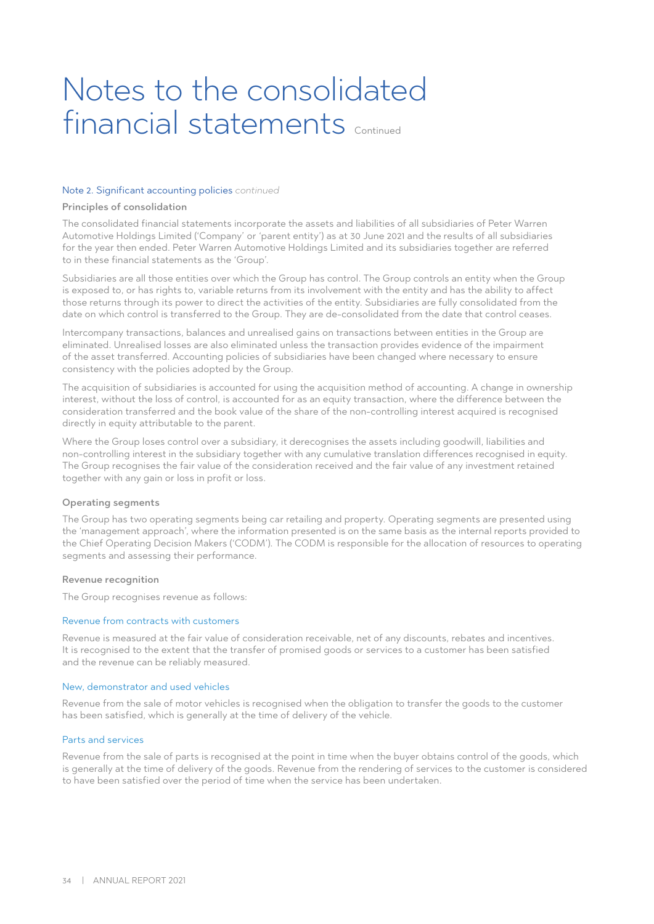### Notes to the consolidated financial statements continued

#### Note 2. Significant accounting policies *continued*

#### Principles of consolidation

The consolidated financial statements incorporate the assets and liabilities of all subsidiaries of Peter Warren Automotive Holdings Limited ('Company' or 'parent entity') as at 30 June 2021 and the results of all subsidiaries for the year then ended. Peter Warren Automotive Holdings Limited and its subsidiaries together are referred to in these financial statements as the 'Group'.

Subsidiaries are all those entities over which the Group has control. The Group controls an entity when the Group is exposed to, or has rights to, variable returns from its involvement with the entity and has the ability to affect those returns through its power to direct the activities of the entity. Subsidiaries are fully consolidated from the date on which control is transferred to the Group. They are de-consolidated from the date that control ceases.

Intercompany transactions, balances and unrealised gains on transactions between entities in the Group are eliminated. Unrealised losses are also eliminated unless the transaction provides evidence of the impairment of the asset transferred. Accounting policies of subsidiaries have been changed where necessary to ensure consistency with the policies adopted by the Group.

The acquisition of subsidiaries is accounted for using the acquisition method of accounting. A change in ownership interest, without the loss of control, is accounted for as an equity transaction, where the difference between the consideration transferred and the book value of the share of the non-controlling interest acquired is recognised directly in equity attributable to the parent.

Where the Group loses control over a subsidiary, it derecognises the assets including goodwill, liabilities and non-controlling interest in the subsidiary together with any cumulative translation differences recognised in equity. The Group recognises the fair value of the consideration received and the fair value of any investment retained together with any gain or loss in profit or loss.

#### Operating segments

The Group has two operating segments being car retailing and property. Operating segments are presented using the 'management approach', where the information presented is on the same basis as the internal reports provided to the Chief Operating Decision Makers ('CODM'). The CODM is responsible for the allocation of resources to operating segments and assessing their performance.

#### Revenue recognition

The Group recognises revenue as follows:

#### Revenue from contracts with customers

Revenue is measured at the fair value of consideration receivable, net of any discounts, rebates and incentives. It is recognised to the extent that the transfer of promised goods or services to a customer has been satisfied and the revenue can be reliably measured.

#### New, demonstrator and used vehicles

Revenue from the sale of motor vehicles is recognised when the obligation to transfer the goods to the customer has been satisfied, which is generally at the time of delivery of the vehicle.

#### Parts and services

Revenue from the sale of parts is recognised at the point in time when the buyer obtains control of the goods, which is generally at the time of delivery of the goods. Revenue from the rendering of services to the customer is considered to have been satisfied over the period of time when the service has been undertaken.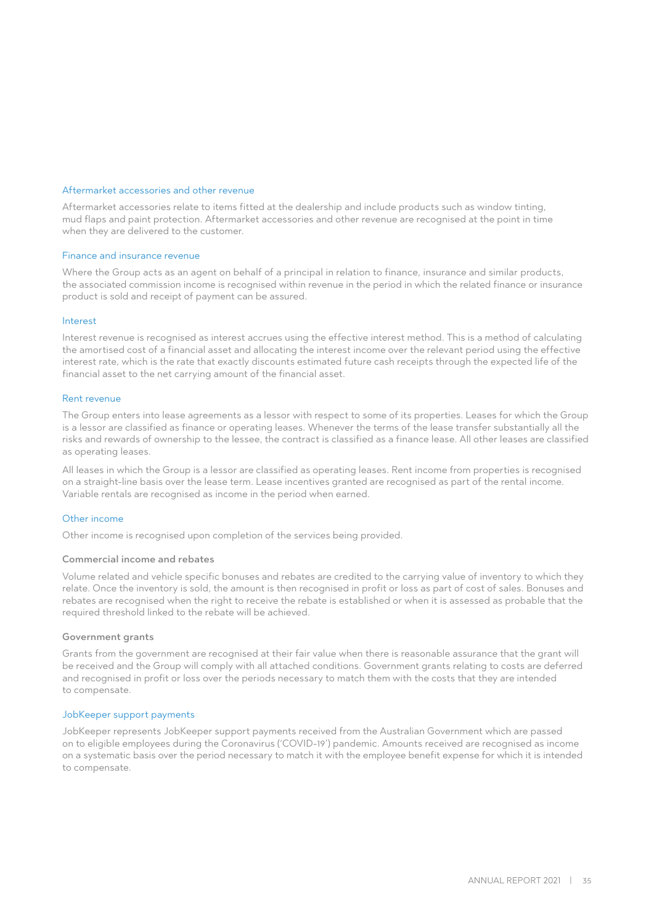#### Aftermarket accessories and other revenue

Aftermarket accessories relate to items fitted at the dealership and include products such as window tinting, mud flaps and paint protection. Aftermarket accessories and other revenue are recognised at the point in time when they are delivered to the customer.

#### Finance and insurance revenue

Where the Group acts as an agent on behalf of a principal in relation to finance, insurance and similar products, the associated commission income is recognised within revenue in the period in which the related finance or insurance product is sold and receipt of payment can be assured.

#### Interest

Interest revenue is recognised as interest accrues using the effective interest method. This is a method of calculating the amortised cost of a financial asset and allocating the interest income over the relevant period using the effective interest rate, which is the rate that exactly discounts estimated future cash receipts through the expected life of the financial asset to the net carrying amount of the financial asset.

#### Rent revenue

The Group enters into lease agreements as a lessor with respect to some of its properties. Leases for which the Group is a lessor are classified as finance or operating leases. Whenever the terms of the lease transfer substantially all the risks and rewards of ownership to the lessee, the contract is classified as a finance lease. All other leases are classified as operating leases.

All leases in which the Group is a lessor are classified as operating leases. Rent income from properties is recognised on a straight-line basis over the lease term. Lease incentives granted are recognised as part of the rental income. Variable rentals are recognised as income in the period when earned.

#### Other income

Other income is recognised upon completion of the services being provided.

#### Commercial income and rebates

Volume related and vehicle specific bonuses and rebates are credited to the carrying value of inventory to which they relate. Once the inventory is sold, the amount is then recognised in profit or loss as part of cost of sales. Bonuses and rebates are recognised when the right to receive the rebate is established or when it is assessed as probable that the required threshold linked to the rebate will be achieved.

#### Government grants

Grants from the government are recognised at their fair value when there is reasonable assurance that the grant will be received and the Group will comply with all attached conditions. Government grants relating to costs are deferred and recognised in profit or loss over the periods necessary to match them with the costs that they are intended to compensate.

#### JobKeeper support payments

JobKeeper represents JobKeeper support payments received from the Australian Government which are passed on to eligible employees during the Coronavirus ('COVID-19') pandemic. Amounts received are recognised as income on a systematic basis over the period necessary to match it with the employee benefit expense for which it is intended to compensate.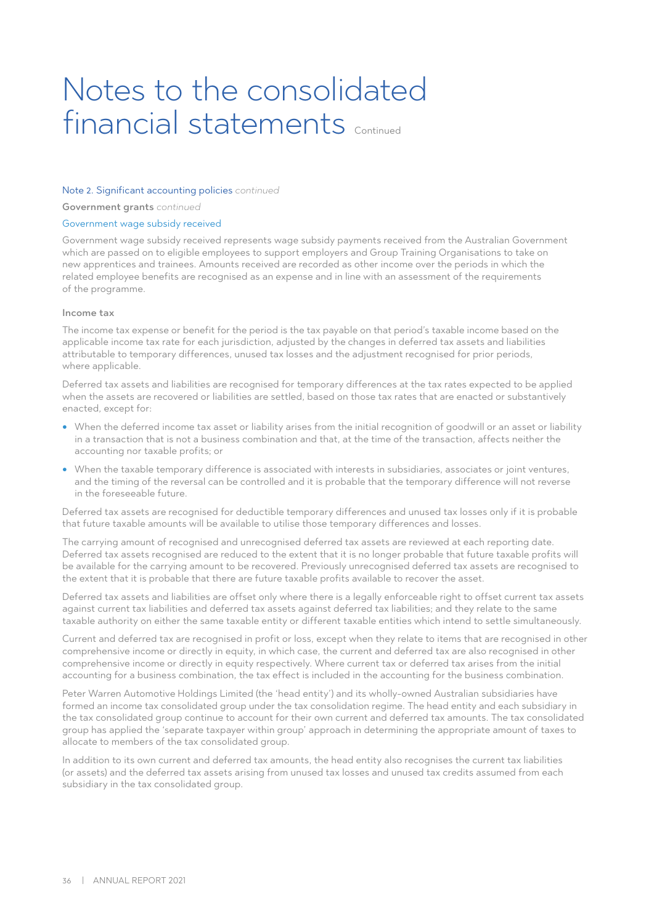### Notes to the consolidated financial statements continued

#### Note 2. Significant accounting policies *continued*

Government grants *continued*

#### Government wage subsidy received

Government wage subsidy received represents wage subsidy payments received from the Australian Government which are passed on to eligible employees to support employers and Group Training Organisations to take on new apprentices and trainees. Amounts received are recorded as other income over the periods in which the related employee benefits are recognised as an expense and in line with an assessment of the requirements of the programme.

#### Income tax

The income tax expense or benefit for the period is the tax payable on that period's taxable income based on the applicable income tax rate for each jurisdiction, adjusted by the changes in deferred tax assets and liabilities attributable to temporary differences, unused tax losses and the adjustment recognised for prior periods, where applicable.

Deferred tax assets and liabilities are recognised for temporary differences at the tax rates expected to be applied when the assets are recovered or liabilities are settled, based on those tax rates that are enacted or substantively enacted, except for:

- When the deferred income tax asset or liability arises from the initial recognition of goodwill or an asset or liability in a transaction that is not a business combination and that, at the time of the transaction, affects neither the accounting nor taxable profits; or
- When the taxable temporary difference is associated with interests in subsidiaries, associates or joint ventures, and the timing of the reversal can be controlled and it is probable that the temporary difference will not reverse in the foreseeable future.

Deferred tax assets are recognised for deductible temporary differences and unused tax losses only if it is probable that future taxable amounts will be available to utilise those temporary differences and losses.

The carrying amount of recognised and unrecognised deferred tax assets are reviewed at each reporting date. Deferred tax assets recognised are reduced to the extent that it is no longer probable that future taxable profits will be available for the carrying amount to be recovered. Previously unrecognised deferred tax assets are recognised to the extent that it is probable that there are future taxable profits available to recover the asset.

Deferred tax assets and liabilities are offset only where there is a legally enforceable right to offset current tax assets against current tax liabilities and deferred tax assets against deferred tax liabilities; and they relate to the same taxable authority on either the same taxable entity or different taxable entities which intend to settle simultaneously.

Current and deferred tax are recognised in profit or loss, except when they relate to items that are recognised in other comprehensive income or directly in equity, in which case, the current and deferred tax are also recognised in other comprehensive income or directly in equity respectively. Where current tax or deferred tax arises from the initial accounting for a business combination, the tax effect is included in the accounting for the business combination.

Peter Warren Automotive Holdings Limited (the 'head entity') and its wholly-owned Australian subsidiaries have formed an income tax consolidated group under the tax consolidation regime. The head entity and each subsidiary in the tax consolidated group continue to account for their own current and deferred tax amounts. The tax consolidated group has applied the 'separate taxpayer within group' approach in determining the appropriate amount of taxes to allocate to members of the tax consolidated group.

In addition to its own current and deferred tax amounts, the head entity also recognises the current tax liabilities (or assets) and the deferred tax assets arising from unused tax losses and unused tax credits assumed from each subsidiary in the tax consolidated group.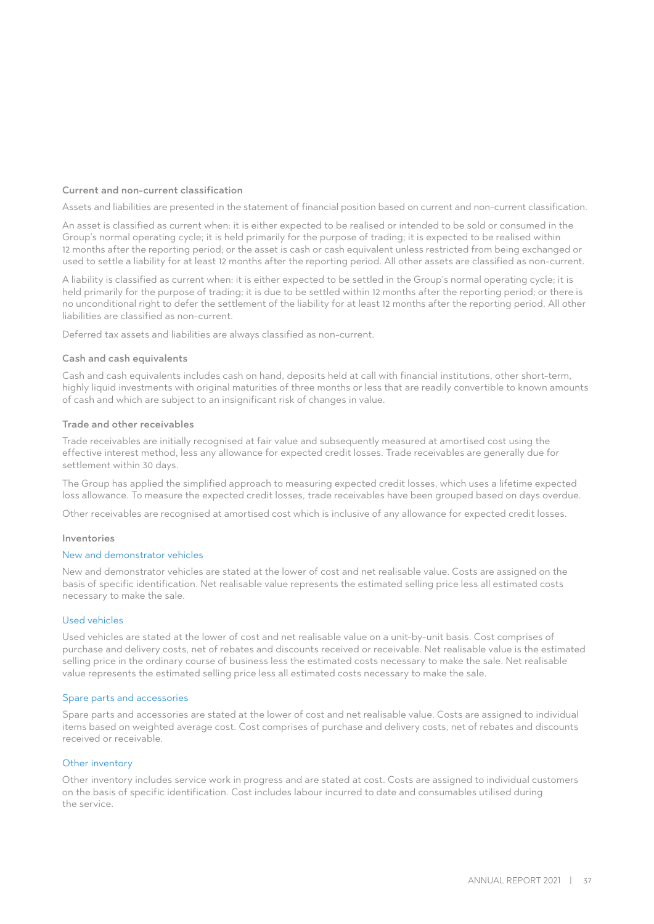## Current and non-current classification

Assets and liabilities are presented in the statement of financial position based on current and non-current classification.

An asset is classified as current when: it is either expected to be realised or intended to be sold or consumed in the Group's normal operating cycle; it is held primarily for the purpose of trading; it is expected to be realised within 12 months after the reporting period; or the asset is cash or cash equivalent unless restricted from being exchanged or used to settle a liability for at least 12 months after the reporting period. All other assets are classified as non-current.

A liability is classified as current when: it is either expected to be settled in the Group's normal operating cycle; it is held primarily for the purpose of trading; it is due to be settled within 12 months after the reporting period; or there is no unconditional right to defer the settlement of the liability for at least 12 months after the reporting period. All other liabilities are classified as non-current.

Deferred tax assets and liabilities are always classified as non-current.

#### Cash and cash equivalents

Cash and cash equivalents includes cash on hand, deposits held at call with financial institutions, other short-term, highly liquid investments with original maturities of three months or less that are readily convertible to known amounts of cash and which are subject to an insignificant risk of changes in value.

#### Trade and other receivables

Trade receivables are initially recognised at fair value and subsequently measured at amortised cost using the effective interest method, less any allowance for expected credit losses. Trade receivables are generally due for settlement within 30 days.

The Group has applied the simplified approach to measuring expected credit losses, which uses a lifetime expected loss allowance. To measure the expected credit losses, trade receivables have been grouped based on days overdue.

Other receivables are recognised at amortised cost which is inclusive of any allowance for expected credit losses.

#### Inventories

#### New and demonstrator vehicles

New and demonstrator vehicles are stated at the lower of cost and net realisable value. Costs are assigned on the basis of specific identification. Net realisable value represents the estimated selling price less all estimated costs necessary to make the sale.

### Used vehicles

Used vehicles are stated at the lower of cost and net realisable value on a unit-by-unit basis. Cost comprises of purchase and delivery costs, net of rebates and discounts received or receivable. Net realisable value is the estimated selling price in the ordinary course of business less the estimated costs necessary to make the sale. Net realisable value represents the estimated selling price less all estimated costs necessary to make the sale.

#### Spare parts and accessories

Spare parts and accessories are stated at the lower of cost and net realisable value. Costs are assigned to individual items based on weighted average cost. Cost comprises of purchase and delivery costs, net of rebates and discounts received or receivable.

#### Other inventory

Other inventory includes service work in progress and are stated at cost. Costs are assigned to individual customers on the basis of specific identification. Cost includes labour incurred to date and consumables utilised during the service.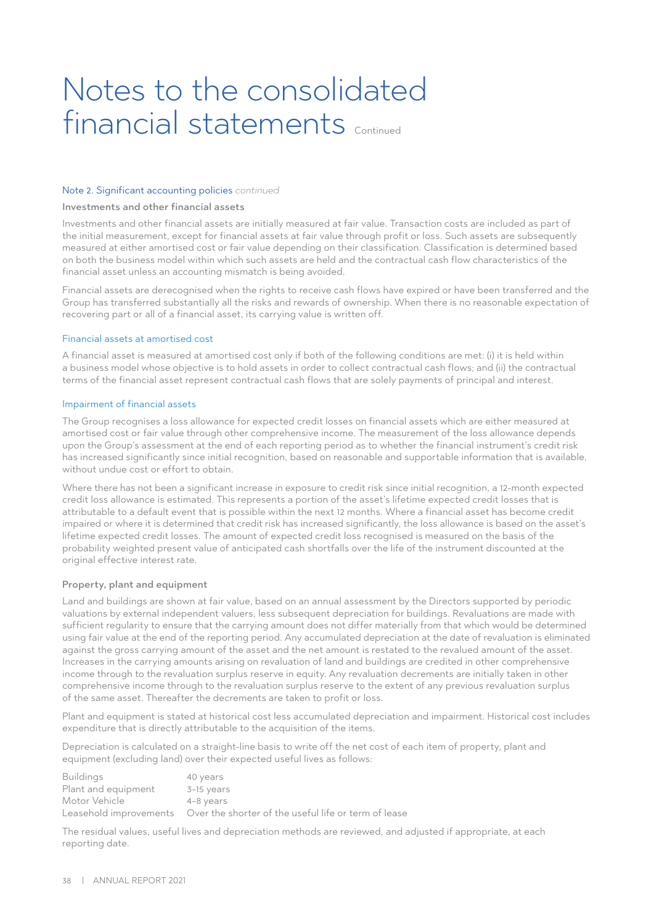#### Note 2. Significant accounting policies *continued*

#### Investments and other financial assets

Investments and other financial assets are initially measured at fair value. Transaction costs are included as part of the initial measurement, except for financial assets at fair value through profit or loss. Such assets are subsequently measured at either amortised cost or fair value depending on their classification. Classification is determined based on both the business model within which such assets are held and the contractual cash flow characteristics of the financial asset unless an accounting mismatch is being avoided.

Financial assets are derecognised when the rights to receive cash flows have expired or have been transferred and the Group has transferred substantially all the risks and rewards of ownership. When there is no reasonable expectation of recovering part or all of a financial asset, its carrying value is written off.

#### Financial assets at amortised cost

A financial asset is measured at amortised cost only if both of the following conditions are met: (i) it is held within a business model whose objective is to hold assets in order to collect contractual cash flows; and (ii) the contractual terms of the financial asset represent contractual cash flows that are solely payments of principal and interest.

### Impairment of financial assets

The Group recognises a loss allowance for expected credit losses on financial assets which are either measured at amortised cost or fair value through other comprehensive income. The measurement of the loss allowance depends upon the Group's assessment at the end of each reporting period as to whether the financial instrument's credit risk has increased significantly since initial recognition, based on reasonable and supportable information that is available, without undue cost or effort to obtain.

Where there has not been a significant increase in exposure to credit risk since initial recognition, a 12-month expected credit loss allowance is estimated. This represents a portion of the asset's lifetime expected credit losses that is attributable to a default event that is possible within the next 12 months. Where a financial asset has become credit impaired or where it is determined that credit risk has increased significantly, the loss allowance is based on the asset's lifetime expected credit losses. The amount of expected credit loss recognised is measured on the basis of the probability weighted present value of anticipated cash shortfalls over the life of the instrument discounted at the original effective interest rate.

#### Property, plant and equipment

Land and buildings are shown at fair value, based on an annual assessment by the Directors supported by periodic valuations by external independent valuers, less subsequent depreciation for buildings. Revaluations are made with sufficient regularity to ensure that the carrying amount does not differ materially from that which would be determined using fair value at the end of the reporting period. Any accumulated depreciation at the date of revaluation is eliminated against the gross carrying amount of the asset and the net amount is restated to the revalued amount of the asset. Increases in the carrying amounts arising on revaluation of land and buildings are credited in other comprehensive income through to the revaluation surplus reserve in equity. Any revaluation decrements are initially taken in other comprehensive income through to the revaluation surplus reserve to the extent of any previous revaluation surplus of the same asset. Thereafter the decrements are taken to profit or loss.

Plant and equipment is stated at historical cost less accumulated depreciation and impairment. Historical cost includes expenditure that is directly attributable to the acquisition of the items.

Depreciation is calculated on a straight-line basis to write off the net cost of each item of property, plant and equipment (excluding land) over their expected useful lives as follows:

| <b>Buildings</b>    | 40 years                                                                    |
|---------------------|-----------------------------------------------------------------------------|
| Plant and equipment | 3-15 years                                                                  |
| Motor Vehicle       | 4-8 years                                                                   |
|                     | Leasehold improvements Over the shorter of the useful life or term of lease |

The residual values, useful lives and depreciation methods are reviewed, and adjusted if appropriate, at each reporting date.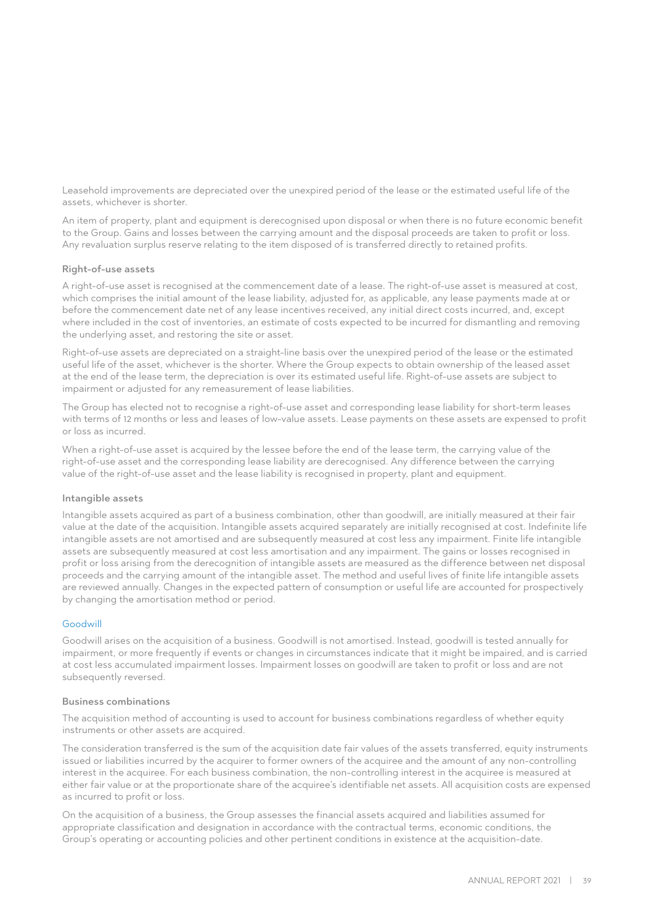Leasehold improvements are depreciated over the unexpired period of the lease or the estimated useful life of the assets, whichever is shorter.

An item of property, plant and equipment is derecognised upon disposal or when there is no future economic benefit to the Group. Gains and losses between the carrying amount and the disposal proceeds are taken to profit or loss. Any revaluation surplus reserve relating to the item disposed of is transferred directly to retained profits.

## Right-of-use assets

A right-of-use asset is recognised at the commencement date of a lease. The right-of-use asset is measured at cost, which comprises the initial amount of the lease liability, adjusted for, as applicable, any lease payments made at or before the commencement date net of any lease incentives received, any initial direct costs incurred, and, except where included in the cost of inventories, an estimate of costs expected to be incurred for dismantling and removing the underlying asset, and restoring the site or asset.

Right-of-use assets are depreciated on a straight-line basis over the unexpired period of the lease or the estimated useful life of the asset, whichever is the shorter. Where the Group expects to obtain ownership of the leased asset at the end of the lease term, the depreciation is over its estimated useful life. Right-of-use assets are subject to impairment or adjusted for any remeasurement of lease liabilities.

The Group has elected not to recognise a right-of-use asset and corresponding lease liability for short-term leases with terms of 12 months or less and leases of low-value assets. Lease payments on these assets are expensed to profit or loss as incurred.

When a right-of-use asset is acquired by the lessee before the end of the lease term, the carrying value of the right-of-use asset and the corresponding lease liability are derecognised. Any difference between the carrying value of the right-of-use asset and the lease liability is recognised in property, plant and equipment.

#### Intangible assets

Intangible assets acquired as part of a business combination, other than goodwill, are initially measured at their fair value at the date of the acquisition. Intangible assets acquired separately are initially recognised at cost. Indefinite life intangible assets are not amortised and are subsequently measured at cost less any impairment. Finite life intangible assets are subsequently measured at cost less amortisation and any impairment. The gains or losses recognised in profit or loss arising from the derecognition of intangible assets are measured as the difference between net disposal proceeds and the carrying amount of the intangible asset. The method and useful lives of finite life intangible assets are reviewed annually. Changes in the expected pattern of consumption or useful life are accounted for prospectively by changing the amortisation method or period.

## Goodwill

Goodwill arises on the acquisition of a business. Goodwill is not amortised. Instead, goodwill is tested annually for impairment, or more frequently if events or changes in circumstances indicate that it might be impaired, and is carried at cost less accumulated impairment losses. Impairment losses on goodwill are taken to profit or loss and are not subsequently reversed.

#### Business combinations

The acquisition method of accounting is used to account for business combinations regardless of whether equity instruments or other assets are acquired.

The consideration transferred is the sum of the acquisition date fair values of the assets transferred, equity instruments issued or liabilities incurred by the acquirer to former owners of the acquiree and the amount of any non-controlling interest in the acquiree. For each business combination, the non-controlling interest in the acquiree is measured at either fair value or at the proportionate share of the acquiree's identifiable net assets. All acquisition costs are expensed as incurred to profit or loss.

On the acquisition of a business, the Group assesses the financial assets acquired and liabilities assumed for appropriate classification and designation in accordance with the contractual terms, economic conditions, the Group's operating or accounting policies and other pertinent conditions in existence at the acquisition-date.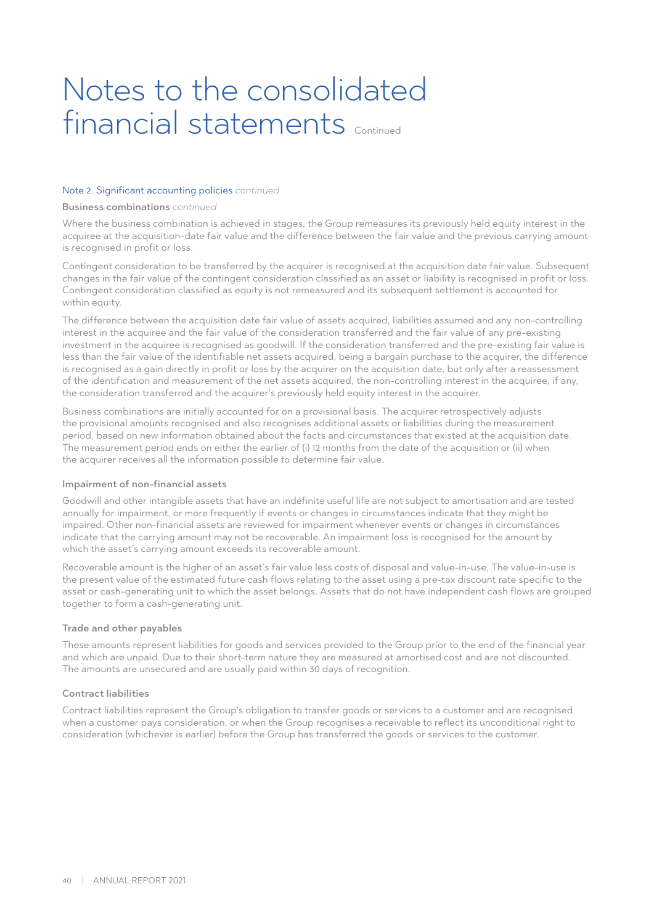#### Note 2. Significant accounting policies *continued*

#### Business combinations *continued*

Where the business combination is achieved in stages, the Group remeasures its previously held equity interest in the acquiree at the acquisition-date fair value and the difference between the fair value and the previous carrying amount is recognised in profit or loss.

Contingent consideration to be transferred by the acquirer is recognised at the acquisition date fair value. Subsequent changes in the fair value of the contingent consideration classified as an asset or liability is recognised in profit or loss. Contingent consideration classified as equity is not remeasured and its subsequent settlement is accounted for within equity.

The difference between the acquisition date fair value of assets acquired, liabilities assumed and any non-controlling interest in the acquiree and the fair value of the consideration transferred and the fair value of any pre-existing investment in the acquiree is recognised as goodwill. If the consideration transferred and the pre-existing fair value is less than the fair value of the identifiable net assets acquired, being a bargain purchase to the acquirer, the difference is recognised as a gain directly in profit or loss by the acquirer on the acquisition date, but only after a reassessment of the identification and measurement of the net assets acquired, the non-controlling interest in the acquiree, if any, the consideration transferred and the acquirer's previously held equity interest in the acquirer.

Business combinations are initially accounted for on a provisional basis. The acquirer retrospectively adjusts the provisional amounts recognised and also recognises additional assets or liabilities during the measurement period, based on new information obtained about the facts and circumstances that existed at the acquisition date. The measurement period ends on either the earlier of (i) 12 months from the date of the acquisition or (ii) when the acquirer receives all the information possible to determine fair value.

#### Impairment of non-financial assets

Goodwill and other intangible assets that have an indefinite useful life are not subject to amortisation and are tested annually for impairment, or more frequently if events or changes in circumstances indicate that they might be impaired. Other non-financial assets are reviewed for impairment whenever events or changes in circumstances indicate that the carrying amount may not be recoverable. An impairment loss is recognised for the amount by which the asset's carrying amount exceeds its recoverable amount.

Recoverable amount is the higher of an asset's fair value less costs of disposal and value-in-use. The value-in-use is the present value of the estimated future cash flows relating to the asset using a pre-tax discount rate specific to the asset or cash-generating unit to which the asset belongs. Assets that do not have independent cash flows are grouped together to form a cash-generating unit.

#### Trade and other payables

These amounts represent liabilities for goods and services provided to the Group prior to the end of the financial year and which are unpaid. Due to their short-term nature they are measured at amortised cost and are not discounted. The amounts are unsecured and are usually paid within 30 days of recognition.

#### Contract liabilities

Contract liabilities represent the Group's obligation to transfer goods or services to a customer and are recognised when a customer pays consideration, or when the Group recognises a receivable to reflect its unconditional right to consideration (whichever is earlier) before the Group has transferred the goods or services to the customer.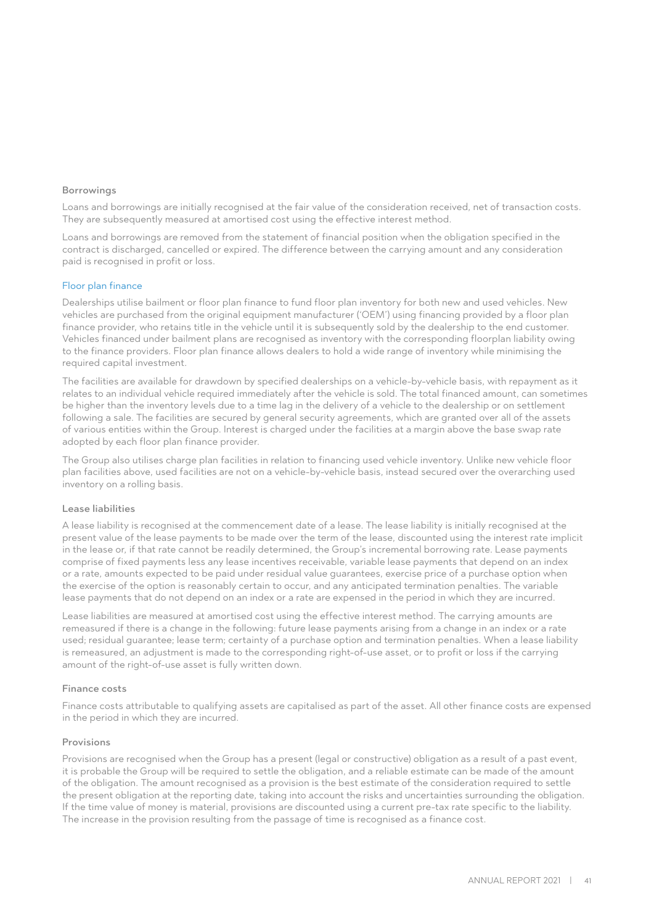#### Borrowings

Loans and borrowings are initially recognised at the fair value of the consideration received, net of transaction costs. They are subsequently measured at amortised cost using the effective interest method.

Loans and borrowings are removed from the statement of financial position when the obligation specified in the contract is discharged, cancelled or expired. The difference between the carrying amount and any consideration paid is recognised in profit or loss.

#### Floor plan finance

Dealerships utilise bailment or floor plan finance to fund floor plan inventory for both new and used vehicles. New vehicles are purchased from the original equipment manufacturer ('OEM') using financing provided by a floor plan finance provider, who retains title in the vehicle until it is subsequently sold by the dealership to the end customer. Vehicles financed under bailment plans are recognised as inventory with the corresponding floorplan liability owing to the finance providers. Floor plan finance allows dealers to hold a wide range of inventory while minimising the required capital investment.

The facilities are available for drawdown by specified dealerships on a vehicle-by-vehicle basis, with repayment as it relates to an individual vehicle required immediately after the vehicle is sold. The total financed amount, can sometimes be higher than the inventory levels due to a time lag in the delivery of a vehicle to the dealership or on settlement following a sale. The facilities are secured by general security agreements, which are granted over all of the assets of various entities within the Group. Interest is charged under the facilities at a margin above the base swap rate adopted by each floor plan finance provider.

The Group also utilises charge plan facilities in relation to financing used vehicle inventory. Unlike new vehicle floor plan facilities above, used facilities are not on a vehicle-by-vehicle basis, instead secured over the overarching used inventory on a rolling basis.

#### Lease liabilities

A lease liability is recognised at the commencement date of a lease. The lease liability is initially recognised at the present value of the lease payments to be made over the term of the lease, discounted using the interest rate implicit in the lease or, if that rate cannot be readily determined, the Group's incremental borrowing rate. Lease payments comprise of fixed payments less any lease incentives receivable, variable lease payments that depend on an index or a rate, amounts expected to be paid under residual value guarantees, exercise price of a purchase option when the exercise of the option is reasonably certain to occur, and any anticipated termination penalties. The variable lease payments that do not depend on an index or a rate are expensed in the period in which they are incurred.

Lease liabilities are measured at amortised cost using the effective interest method. The carrying amounts are remeasured if there is a change in the following: future lease payments arising from a change in an index or a rate used; residual guarantee; lease term; certainty of a purchase option and termination penalties. When a lease liability is remeasured, an adjustment is made to the corresponding right-of-use asset, or to profit or loss if the carrying amount of the right-of-use asset is fully written down.

#### Finance costs

Finance costs attributable to qualifying assets are capitalised as part of the asset. All other finance costs are expensed in the period in which they are incurred.

#### Provisions

Provisions are recognised when the Group has a present (legal or constructive) obligation as a result of a past event, it is probable the Group will be required to settle the obligation, and a reliable estimate can be made of the amount of the obligation. The amount recognised as a provision is the best estimate of the consideration required to settle the present obligation at the reporting date, taking into account the risks and uncertainties surrounding the obligation. If the time value of money is material, provisions are discounted using a current pre-tax rate specific to the liability. The increase in the provision resulting from the passage of time is recognised as a finance cost.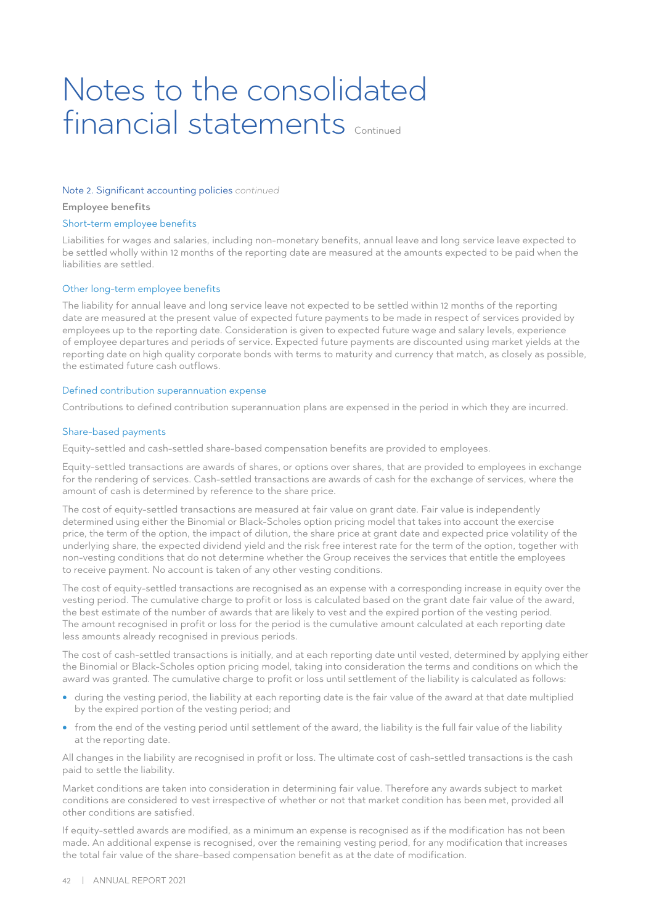#### Note 2. Significant accounting policies *continued*

Employee benefits

#### Short-term employee benefits

Liabilities for wages and salaries, including non-monetary benefits, annual leave and long service leave expected to be settled wholly within 12 months of the reporting date are measured at the amounts expected to be paid when the liabilities are settled.

#### Other long-term employee benefits

The liability for annual leave and long service leave not expected to be settled within 12 months of the reporting date are measured at the present value of expected future payments to be made in respect of services provided by employees up to the reporting date. Consideration is given to expected future wage and salary levels, experience of employee departures and periods of service. Expected future payments are discounted using market yields at the reporting date on high quality corporate bonds with terms to maturity and currency that match, as closely as possible, the estimated future cash outflows.

#### Defined contribution superannuation expense

Contributions to defined contribution superannuation plans are expensed in the period in which they are incurred.

#### Share-based payments

Equity-settled and cash-settled share-based compensation benefits are provided to employees.

Equity-settled transactions are awards of shares, or options over shares, that are provided to employees in exchange for the rendering of services. Cash-settled transactions are awards of cash for the exchange of services, where the amount of cash is determined by reference to the share price.

The cost of equity-settled transactions are measured at fair value on grant date. Fair value is independently determined using either the Binomial or Black-Scholes option pricing model that takes into account the exercise price, the term of the option, the impact of dilution, the share price at grant date and expected price volatility of the underlying share, the expected dividend yield and the risk free interest rate for the term of the option, together with non-vesting conditions that do not determine whether the Group receives the services that entitle the employees to receive payment. No account is taken of any other vesting conditions.

The cost of equity-settled transactions are recognised as an expense with a corresponding increase in equity over the vesting period. The cumulative charge to profit or loss is calculated based on the grant date fair value of the award, the best estimate of the number of awards that are likely to vest and the expired portion of the vesting period. The amount recognised in profit or loss for the period is the cumulative amount calculated at each reporting date less amounts already recognised in previous periods.

The cost of cash-settled transactions is initially, and at each reporting date until vested, determined by applying either the Binomial or Black-Scholes option pricing model, taking into consideration the terms and conditions on which the award was granted. The cumulative charge to profit or loss until settlement of the liability is calculated as follows:

- during the vesting period, the liability at each reporting date is the fair value of the award at that date multiplied by the expired portion of the vesting period; and
- from the end of the vesting period until settlement of the award, the liability is the full fair value of the liability at the reporting date.

All changes in the liability are recognised in profit or loss. The ultimate cost of cash-settled transactions is the cash paid to settle the liability.

Market conditions are taken into consideration in determining fair value. Therefore any awards subject to market conditions are considered to vest irrespective of whether or not that market condition has been met, provided all other conditions are satisfied.

If equity-settled awards are modified, as a minimum an expense is recognised as if the modification has not been made. An additional expense is recognised, over the remaining vesting period, for any modification that increases the total fair value of the share-based compensation benefit as at the date of modification.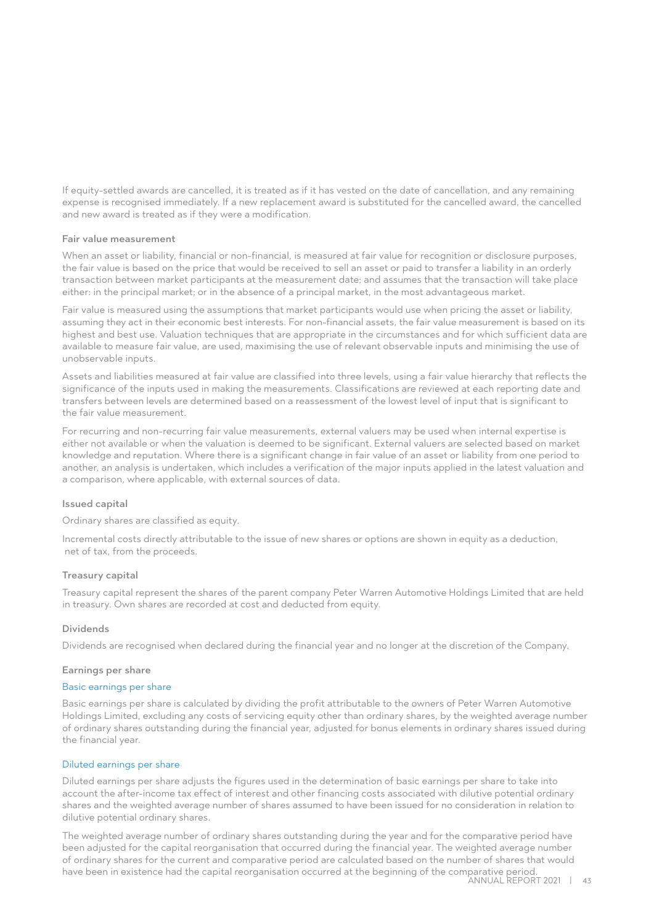If equity-settled awards are cancelled, it is treated as if it has vested on the date of cancellation, and any remaining expense is recognised immediately. If a new replacement award is substituted for the cancelled award, the cancelled and new award is treated as if they were a modification.

### Fair value measurement

When an asset or liability, financial or non-financial, is measured at fair value for recognition or disclosure purposes, the fair value is based on the price that would be received to sell an asset or paid to transfer a liability in an orderly transaction between market participants at the measurement date; and assumes that the transaction will take place either: in the principal market; or in the absence of a principal market, in the most advantageous market.

Fair value is measured using the assumptions that market participants would use when pricing the asset or liability, assuming they act in their economic best interests. For non-financial assets, the fair value measurement is based on its highest and best use. Valuation techniques that are appropriate in the circumstances and for which sufficient data are available to measure fair value, are used, maximising the use of relevant observable inputs and minimising the use of unobservable inputs.

Assets and liabilities measured at fair value are classified into three levels, using a fair value hierarchy that reflects the significance of the inputs used in making the measurements. Classifications are reviewed at each reporting date and transfers between levels are determined based on a reassessment of the lowest level of input that is significant to the fair value measurement.

For recurring and non-recurring fair value measurements, external valuers may be used when internal expertise is either not available or when the valuation is deemed to be significant. External valuers are selected based on market knowledge and reputation. Where there is a significant change in fair value of an asset or liability from one period to another, an analysis is undertaken, which includes a verification of the major inputs applied in the latest valuation and a comparison, where applicable, with external sources of data.

## Issued capital

Ordinary shares are classified as equity.

Incremental costs directly attributable to the issue of new shares or options are shown in equity as a deduction, net of tax, from the proceeds.

#### Treasury capital

Treasury capital represent the shares of the parent company Peter Warren Automotive Holdings Limited that are held in treasury. Own shares are recorded at cost and deducted from equity.

### Dividends

Dividends are recognised when declared during the financial year and no longer at the discretion of the Company.

#### Earnings per share

### Basic earnings per share

Basic earnings per share is calculated by dividing the profit attributable to the owners of Peter Warren Automotive Holdings Limited, excluding any costs of servicing equity other than ordinary shares, by the weighted average number of ordinary shares outstanding during the financial year, adjusted for bonus elements in ordinary shares issued during the financial year.

## Diluted earnings per share

Diluted earnings per share adjusts the figures used in the determination of basic earnings per share to take into account the after-income tax effect of interest and other financing costs associated with dilutive potential ordinary shares and the weighted average number of shares assumed to have been issued for no consideration in relation to dilutive potential ordinary shares.

The weighted average number of ordinary shares outstanding during the year and for the comparative period have been adjusted for the capital reorganisation that occurred during the financial year. The weighted average number of ordinary shares for the current and comparative period are calculated based on the number of shares that would have been in existence had the capital reorganisation occurred at the beginning of the comparative period. Annual Report 2021 | 43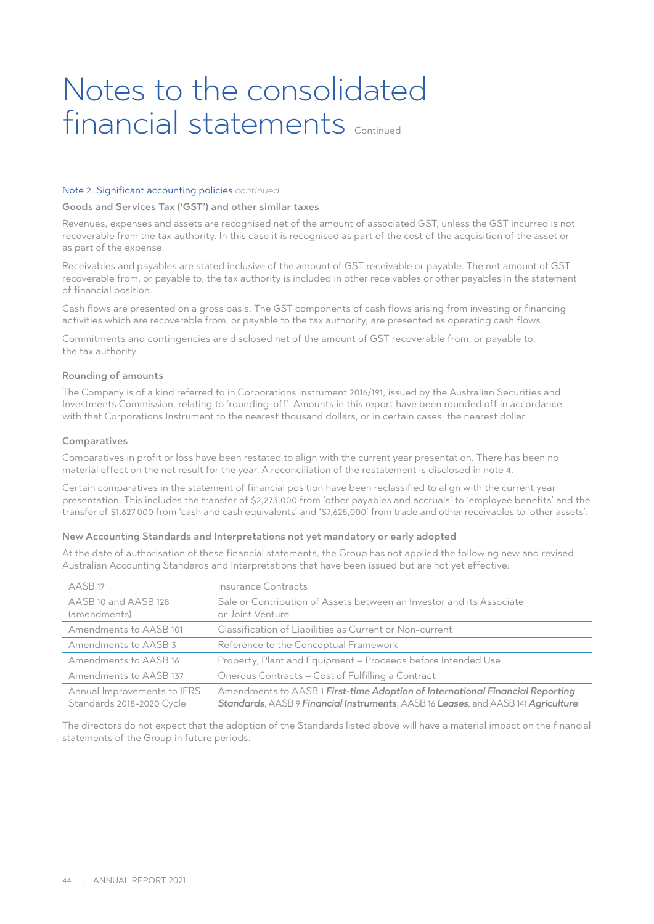#### Note 2. Significant accounting policies *continued*

#### Goods and Services Tax ('GST') and other similar taxes

Revenues, expenses and assets are recognised net of the amount of associated GST, unless the GST incurred is not recoverable from the tax authority. In this case it is recognised as part of the cost of the acquisition of the asset or as part of the expense.

Receivables and payables are stated inclusive of the amount of GST receivable or payable. The net amount of GST recoverable from, or payable to, the tax authority is included in other receivables or other payables in the statement of financial position.

Cash flows are presented on a gross basis. The GST components of cash flows arising from investing or financing activities which are recoverable from, or payable to the tax authority, are presented as operating cash flows.

Commitments and contingencies are disclosed net of the amount of GST recoverable from, or payable to, the tax authority.

#### Rounding of amounts

The Company is of a kind referred to in Corporations Instrument 2016/191, issued by the Australian Securities and Investments Commission, relating to 'rounding-off'. Amounts in this report have been rounded off in accordance with that Corporations Instrument to the nearest thousand dollars, or in certain cases, the nearest dollar.

#### Comparatives

Comparatives in profit or loss have been restated to align with the current year presentation. There has been no material effect on the net result for the year. A reconciliation of the restatement is disclosed in note 4.

Certain comparatives in the statement of financial position have been reclassified to align with the current year presentation. This includes the transfer of \$2,273,000 from 'other payables and accruals' to 'employee benefits' and the transfer of \$1,627,000 from 'cash and cash equivalents' and '\$7,625,000' from trade and other receivables to 'other assets'.

### New Accounting Standards and Interpretations not yet mandatory or early adopted

At the date of authorisation of these financial statements, the Group has not applied the following new and revised Australian Accounting Standards and Interpretations that have been issued but are not yet effective:

| AASB <sub>17</sub>                                       | Insurance Contracts                                                                                                                                                |
|----------------------------------------------------------|--------------------------------------------------------------------------------------------------------------------------------------------------------------------|
| AASB 10 and AASB 128<br>(amendments)                     | Sale or Contribution of Assets between an Investor and its Associate<br>or Joint Venture                                                                           |
| Amendments to AASB 101                                   | Classification of Liabilities as Current or Non-current                                                                                                            |
| Amendments to AASB 3                                     | Reference to the Conceptual Framework                                                                                                                              |
| Amendments to AASB 16                                    | Property, Plant and Equipment - Proceeds before Intended Use                                                                                                       |
| Amendments to AASB 137                                   | Onerous Contracts - Cost of Fulfilling a Contract                                                                                                                  |
| Annual Improvements to IFRS<br>Standards 2018-2020 Cycle | Amendments to AASB 1 First-time Adoption of International Financial Reporting<br>Standards, AASB 9 Financial Instruments, AASB 16 Leases, and AASB 141 Agriculture |

The directors do not expect that the adoption of the Standards listed above will have a material impact on the financial statements of the Group in future periods.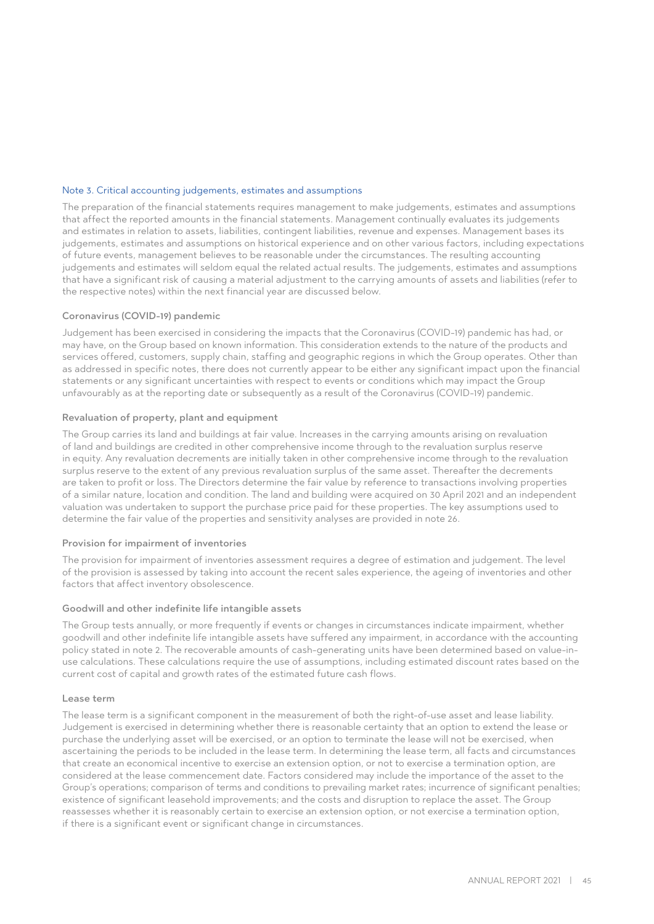### Note 3. Critical accounting judgements, estimates and assumptions

The preparation of the financial statements requires management to make judgements, estimates and assumptions that affect the reported amounts in the financial statements. Management continually evaluates its judgements and estimates in relation to assets, liabilities, contingent liabilities, revenue and expenses. Management bases its judgements, estimates and assumptions on historical experience and on other various factors, including expectations of future events, management believes to be reasonable under the circumstances. The resulting accounting judgements and estimates will seldom equal the related actual results. The judgements, estimates and assumptions that have a significant risk of causing a material adjustment to the carrying amounts of assets and liabilities (refer to the respective notes) within the next financial year are discussed below.

### Coronavirus (COVID-19) pandemic

Judgement has been exercised in considering the impacts that the Coronavirus (COVID-19) pandemic has had, or may have, on the Group based on known information. This consideration extends to the nature of the products and services offered, customers, supply chain, staffing and geographic regions in which the Group operates. Other than as addressed in specific notes, there does not currently appear to be either any significant impact upon the financial statements or any significant uncertainties with respect to events or conditions which may impact the Group unfavourably as at the reporting date or subsequently as a result of the Coronavirus (COVID-19) pandemic.

#### Revaluation of property, plant and equipment

The Group carries its land and buildings at fair value. Increases in the carrying amounts arising on revaluation of land and buildings are credited in other comprehensive income through to the revaluation surplus reserve in equity. Any revaluation decrements are initially taken in other comprehensive income through to the revaluation surplus reserve to the extent of any previous revaluation surplus of the same asset. Thereafter the decrements are taken to profit or loss. The Directors determine the fair value by reference to transactions involving properties of a similar nature, location and condition. The land and building were acquired on 30 April 2021 and an independent valuation was undertaken to support the purchase price paid for these properties. The key assumptions used to determine the fair value of the properties and sensitivity analyses are provided in note 26.

#### Provision for impairment of inventories

The provision for impairment of inventories assessment requires a degree of estimation and judgement. The level of the provision is assessed by taking into account the recent sales experience, the ageing of inventories and other factors that affect inventory obsolescence.

#### Goodwill and other indefinite life intangible assets

The Group tests annually, or more frequently if events or changes in circumstances indicate impairment, whether goodwill and other indefinite life intangible assets have suffered any impairment, in accordance with the accounting policy stated in note 2. The recoverable amounts of cash-generating units have been determined based on value-inuse calculations. These calculations require the use of assumptions, including estimated discount rates based on the current cost of capital and growth rates of the estimated future cash flows.

#### Lease term

The lease term is a significant component in the measurement of both the right-of-use asset and lease liability. Judgement is exercised in determining whether there is reasonable certainty that an option to extend the lease or purchase the underlying asset will be exercised, or an option to terminate the lease will not be exercised, when ascertaining the periods to be included in the lease term. In determining the lease term, all facts and circumstances that create an economical incentive to exercise an extension option, or not to exercise a termination option, are considered at the lease commencement date. Factors considered may include the importance of the asset to the Group's operations; comparison of terms and conditions to prevailing market rates; incurrence of significant penalties; existence of significant leasehold improvements; and the costs and disruption to replace the asset. The Group reassesses whether it is reasonably certain to exercise an extension option, or not exercise a termination option, if there is a significant event or significant change in circumstances.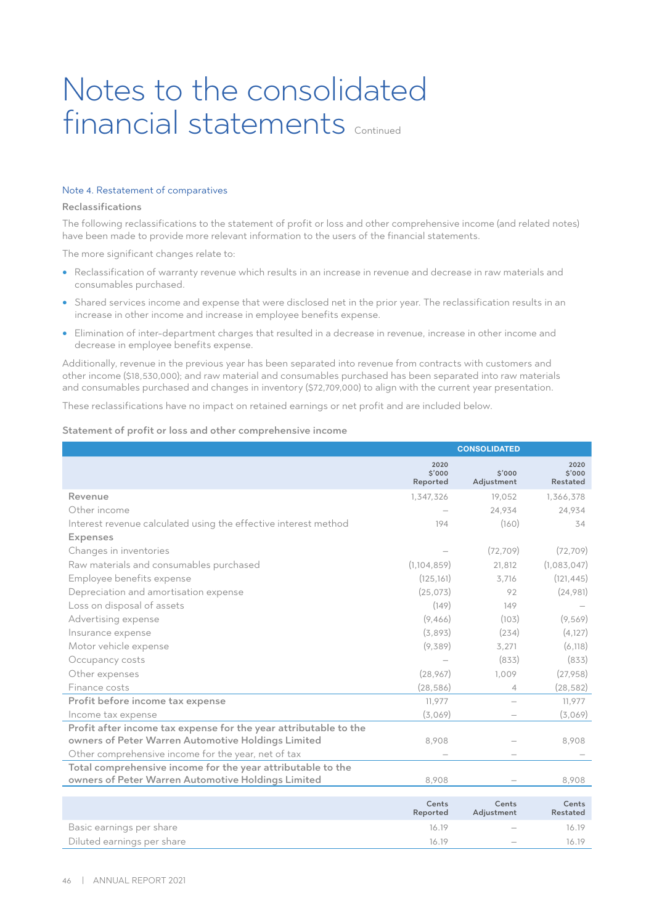### Note 4. Restatement of comparatives

#### Reclassifications

The following reclassifications to the statement of profit or loss and other comprehensive income (and related notes) have been made to provide more relevant information to the users of the financial statements.

The more significant changes relate to:

- Reclassification of warranty revenue which results in an increase in revenue and decrease in raw materials and consumables purchased.
- Shared services income and expense that were disclosed net in the prior year. The reclassification results in an increase in other income and increase in employee benefits expense.
- Elimination of inter-department charges that resulted in a decrease in revenue, increase in other income and decrease in employee benefits expense.

Additionally, revenue in the previous year has been separated into revenue from contracts with customers and other income (\$18,530,000); and raw material and consumables purchased has been separated into raw materials and consumables purchased and changes in inventory (\$72,709,000) to align with the current year presentation.

These reclassifications have no impact on retained earnings or net profit and are included below.

#### Statement of profit or loss and other comprehensive income

|                                                                                                                   | <b>CONSOLIDATED</b>        |                      |                            |
|-------------------------------------------------------------------------------------------------------------------|----------------------------|----------------------|----------------------------|
|                                                                                                                   | 2020<br>\$'000<br>Reported | \$'000<br>Adjustment | 2020<br>\$'000<br>Restated |
| Revenue                                                                                                           | 1,347,326                  | 19,052               | 1,366,378                  |
| Other income                                                                                                      |                            | 24,934               | 24,934                     |
| Interest revenue calculated using the effective interest method                                                   | 194                        | (160)                | 34                         |
| <b>Expenses</b>                                                                                                   |                            |                      |                            |
| Changes in inventories                                                                                            |                            | (72, 709)            | (72, 709)                  |
| Raw materials and consumables purchased                                                                           | (1, 104, 859)              | 21,812               | (1,083,047)                |
| Employee benefits expense                                                                                         | (125, 161)                 | 3,716                | (121, 445)                 |
| Depreciation and amortisation expense                                                                             | (25,073)                   | 92                   | (24,981)                   |
| Loss on disposal of assets                                                                                        | (149)                      | 149                  |                            |
| Advertising expense                                                                                               | (9,466)                    | (103)                | (9,569)                    |
| Insurance expense                                                                                                 | (3,893)                    | (234)                | (4, 127)                   |
| Motor vehicle expense                                                                                             | (9,389)                    | 3,271                | (6, 118)                   |
| Occupancy costs                                                                                                   |                            | (833)                | (833)                      |
| Other expenses                                                                                                    | (28, 967)                  | 1,009                | (27,958)                   |
| Finance costs                                                                                                     | (28, 586)                  | 4                    | (28, 582)                  |
| Profit before income tax expense                                                                                  | 11,977                     |                      | 11,977                     |
| Income tax expense                                                                                                | (3,069)                    |                      | (3,069)                    |
| Profit after income tax expense for the year attributable to the                                                  |                            |                      |                            |
| owners of Peter Warren Automotive Holdings Limited                                                                | 8,908                      |                      | 8,908                      |
| Other comprehensive income for the year, net of tax                                                               |                            |                      |                            |
| Total comprehensive income for the year attributable to the<br>owners of Peter Warren Automotive Holdings Limited | 8,908                      |                      | 8,908                      |
|                                                                                                                   | Cents<br>Reported          | Cents<br>Adjustment  | Cents<br>Restated          |
| Basic earnings per share                                                                                          | 16.19                      |                      | 16.19                      |
| Diluted earnings per share                                                                                        | 16.19                      |                      | 16.19                      |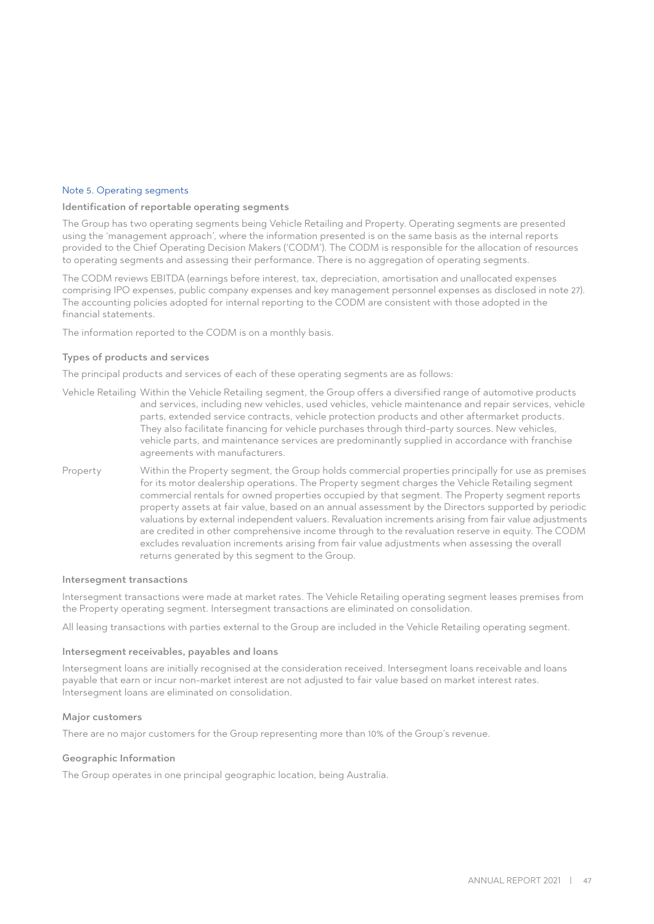### Note 5. Operating segments

#### Identification of reportable operating segments

The Group has two operating segments being Vehicle Retailing and Property. Operating segments are presented using the 'management approach', where the information presented is on the same basis as the internal reports provided to the Chief Operating Decision Makers ('CODM'). The CODM is responsible for the allocation of resources to operating segments and assessing their performance. There is no aggregation of operating segments.

The CODM reviews EBITDA (earnings before interest, tax, depreciation, amortisation and unallocated expenses comprising IPO expenses, public company expenses and key management personnel expenses as disclosed in note 27). The accounting policies adopted for internal reporting to the CODM are consistent with those adopted in the financial statements.

The information reported to the CODM is on a monthly basis.

#### Types of products and services

The principal products and services of each of these operating segments are as follows:

- Vehicle Retailing Within the Vehicle Retailing segment, the Group offers a diversified range of automotive products and services, including new vehicles, used vehicles, vehicle maintenance and repair services, vehicle parts, extended service contracts, vehicle protection products and other aftermarket products. They also facilitate financing for vehicle purchases through third-party sources. New vehicles, vehicle parts, and maintenance services are predominantly supplied in accordance with franchise agreements with manufacturers.
- Property Within the Property segment, the Group holds commercial properties principally for use as premises for its motor dealership operations. The Property segment charges the Vehicle Retailing segment commercial rentals for owned properties occupied by that segment. The Property segment reports property assets at fair value, based on an annual assessment by the Directors supported by periodic valuations by external independent valuers. Revaluation increments arising from fair value adjustments are credited in other comprehensive income through to the revaluation reserve in equity. The CODM excludes revaluation increments arising from fair value adjustments when assessing the overall returns generated by this segment to the Group.

#### Intersegment transactions

Intersegment transactions were made at market rates. The Vehicle Retailing operating segment leases premises from the Property operating segment. Intersegment transactions are eliminated on consolidation.

All leasing transactions with parties external to the Group are included in the Vehicle Retailing operating segment.

#### Intersegment receivables, payables and loans

Intersegment loans are initially recognised at the consideration received. Intersegment loans receivable and loans payable that earn or incur non-market interest are not adjusted to fair value based on market interest rates. Intersegment loans are eliminated on consolidation.

#### Major customers

There are no major customers for the Group representing more than 10% of the Group's revenue.

#### Geographic Information

The Group operates in one principal geographic location, being Australia.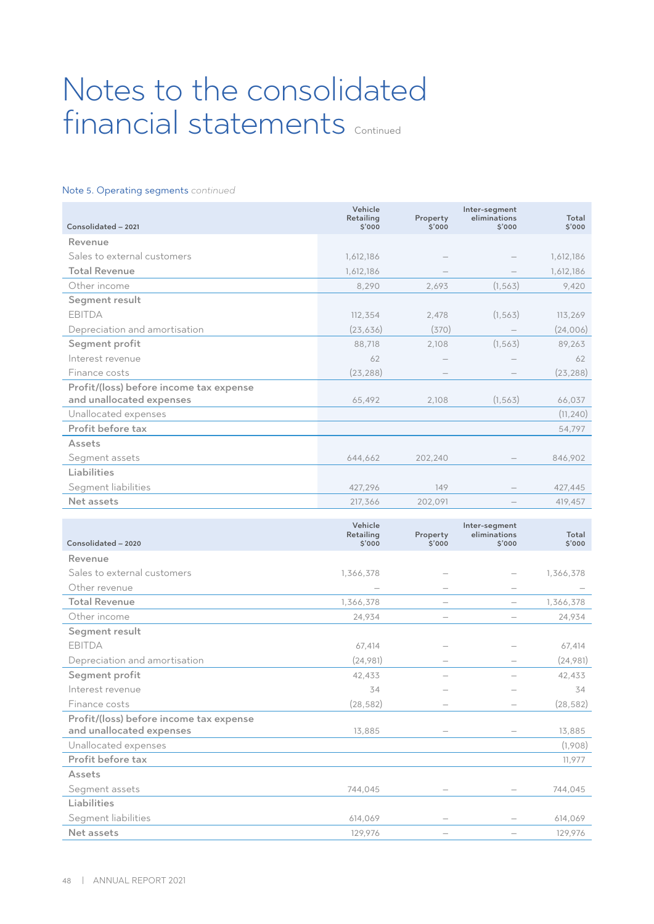# Note 5. Operating segments *continued*

| Consolidated - 2021                                   | Vehicle<br>Retailing<br>\$'000 | Property<br>\$'000 | Inter-segment<br>eliminations<br>5'000 | Total<br>\$'000 |
|-------------------------------------------------------|--------------------------------|--------------------|----------------------------------------|-----------------|
| Revenue                                               |                                |                    |                                        |                 |
| Sales to external customers                           | 1,612,186                      |                    |                                        | 1,612,186       |
| <b>Total Revenue</b>                                  | 1,612,186                      |                    |                                        | 1,612,186       |
| Other income                                          | 8,290                          | 2,693              | (1, 563)                               | 9,420           |
| Segment result                                        |                                |                    |                                        |                 |
| <b>EBITDA</b>                                         | 112,354                        | 2,478              | (1, 563)                               | 113,269         |
| Depreciation and amortisation                         | (23, 636)                      | (370)              |                                        | (24,006)        |
| Segment profit                                        | 88,718                         | 2,108              | (1, 563)                               | 89,263          |
| Interest revenue                                      | 62                             |                    |                                        | 62              |
| Finance costs                                         | (23, 288)                      |                    |                                        | (23, 288)       |
| Profit/(loss) before income tax expense               |                                |                    |                                        |                 |
| and unallocated expenses                              | 65,492                         | 2,108              | (1, 563)                               | 66,037          |
| Unallocated expenses                                  |                                |                    |                                        | (11, 240)       |
| Profit before tax                                     |                                |                    |                                        | 54,797          |
| Assets                                                |                                |                    |                                        |                 |
| Segment assets                                        | 644,662                        | 202,240            |                                        | 846,902         |
| Liabilities                                           |                                |                    |                                        |                 |
| Segment liabilities                                   | 427,296                        | 149                |                                        | 427,445         |
| Net assets                                            | 217,366                        | 202,091            |                                        | 419,457         |
|                                                       |                                |                    |                                        |                 |
|                                                       | Vehicle<br>Retailing           | Property           | Inter-segment<br>eliminations          | Total           |
| Consolidated - 2020                                   | \$'000                         | \$'000             | \$'000                                 | \$'000          |
| Revenue                                               |                                |                    |                                        |                 |
| Sales to external customers<br>$\sim$ $\cdot$ $\cdot$ | 1,366,378                      |                    |                                        | 1,366,378       |

| Sales to external customers             | 1,366,378 |  | 1,366,378 |
|-----------------------------------------|-----------|--|-----------|
| Other revenue                           |           |  |           |
| <b>Total Revenue</b>                    | 1,366,378 |  | 1,366,378 |
| Other income                            | 24,934    |  | 24,934    |
| Segment result                          |           |  |           |
| <b>EBITDA</b>                           | 67,414    |  | 67,414    |
| Depreciation and amortisation           | (24,981)  |  | (24,981)  |
| Segment profit                          | 42,433    |  | 42,433    |
| Interest revenue                        | 34        |  | 34        |
| Finance costs                           | (28, 582) |  | (28, 582) |
| Profit/(loss) before income tax expense |           |  |           |
| and unallocated expenses                | 13,885    |  | 13,885    |
| Unallocated expenses                    |           |  | (1,908)   |
| Profit before tax                       |           |  | 11,977    |
| Assets                                  |           |  |           |
| Segment assets                          | 744,045   |  | 744,045   |
| <b>Liabilities</b>                      |           |  |           |
| Segment liabilities                     | 614,069   |  | 614,069   |
| Net assets                              | 129,976   |  | 129,976   |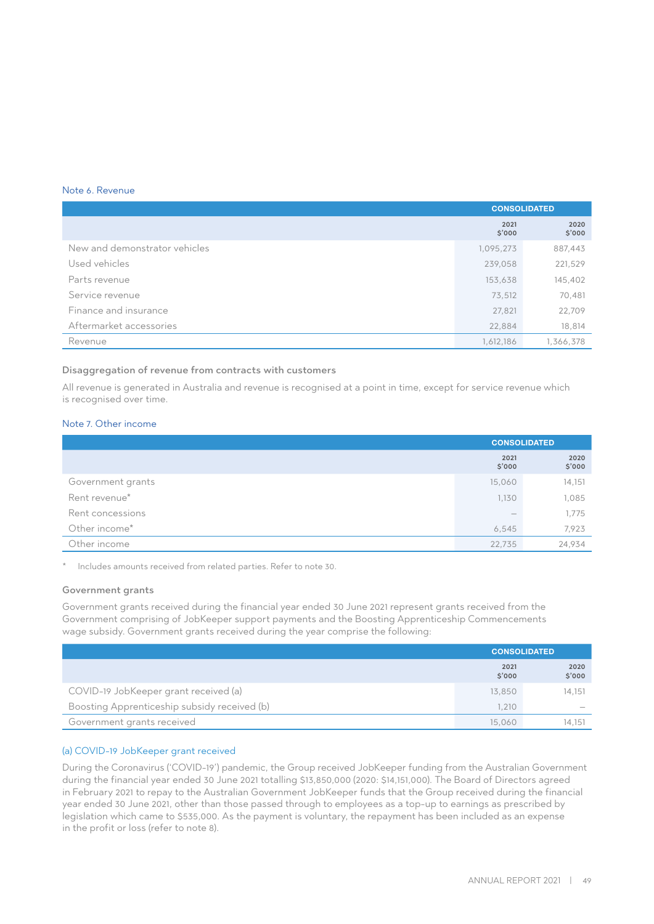#### Note 6. Revenue

|                               |                | <b>CONSOLIDATED</b> |
|-------------------------------|----------------|---------------------|
|                               | 2021<br>\$'000 | 2020<br>\$'000      |
| New and demonstrator vehicles | 1,095,273      | 887,443             |
| Used vehicles                 | 239,058        | 221,529             |
| Parts revenue                 | 153,638        | 145,402             |
| Service revenue               | 73,512         | 70,481              |
| Finance and insurance         | 27,821         | 22,709              |
| Aftermarket accessories       | 22,884         | 18,814              |
| Revenue                       | 1,612,186      | 1,366,378           |

## Disaggregation of revenue from contracts with customers

All revenue is generated in Australia and revenue is recognised at a point in time, except for service revenue which is recognised over time.

# Note 7. Other income

|                   | <b>CONSOLIDATED</b> |                |
|-------------------|---------------------|----------------|
|                   | 2021<br>\$'000      | 2020<br>\$'000 |
| Government grants | 15,060              | 14,151         |
| Rent revenue*     | 1,130               | 1,085          |
| Rent concessions  |                     | 1,775          |
| Other income*     | 6,545               | 7,923          |
| Other income      | 22,735              | 24,934         |

Includes amounts received from related parties. Refer to note 30.

#### Government grants

Government grants received during the financial year ended 30 June 2021 represent grants received from the Government comprising of JobKeeper support payments and the Boosting Apprenticeship Commencements wage subsidy. Government grants received during the year comprise the following:

|                                              | <b>CONSOLIDATED</b> |                                 |
|----------------------------------------------|---------------------|---------------------------------|
|                                              | 2021<br>\$'000      | 2020<br>\$'000                  |
| COVID-19 JobKeeper grant received (a)        | 13,850              | 14.151                          |
| Boosting Apprenticeship subsidy received (b) | 1.210               | $\hspace{0.1mm}-\hspace{0.1mm}$ |
| Government grants received                   | 15.060              | 14.151                          |

## (a) COVID-19 JobKeeper grant received

During the Coronavirus ('COVID-19') pandemic, the Group received JobKeeper funding from the Australian Government during the financial year ended 30 June 2021 totalling \$13,850,000 (2020: \$14,151,000). The Board of Directors agreed in February 2021 to repay to the Australian Government JobKeeper funds that the Group received during the financial year ended 30 June 2021, other than those passed through to employees as a top-up to earnings as prescribed by legislation which came to \$535,000. As the payment is voluntary, the repayment has been included as an expense in the profit or loss (refer to note 8).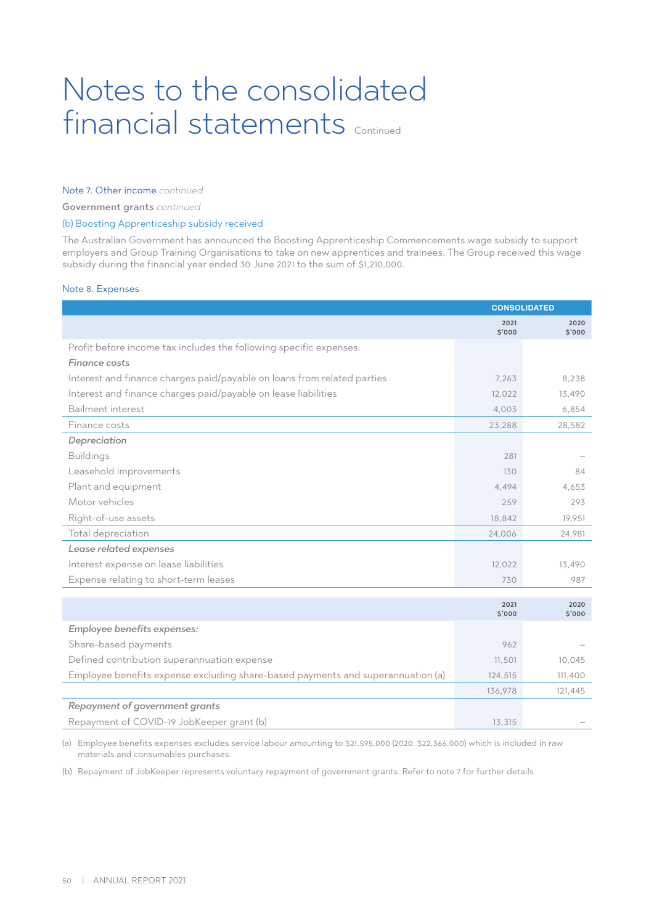## Note 7. Other income *continued*

Government grants *continued*

## (b) Boosting Apprenticeship subsidy received

The Australian Government has announced the Boosting Apprenticeship Commencements wage subsidy to support employers and Group Training Organisations to take on new apprentices and trainees. The Group received this wage subsidy during the financial year ended 30 June 2021 to the sum of \$1,210,000.

#### Note 8. Expenses

|                                                                                 | <b>CONSOLIDATED</b> |                |
|---------------------------------------------------------------------------------|---------------------|----------------|
|                                                                                 | 2021<br>\$'000      | 2020<br>\$'000 |
| Profit before income tax includes the following specific expenses:              |                     |                |
| <b>Finance costs</b>                                                            |                     |                |
| Interest and finance charges paid/payable on loans from related parties         | 7,263               | 8,238          |
| Interest and finance charges paid/payable on lease liabilities                  | 12,022              | 13,490         |
| Bailment interest                                                               | 4,003               | 6,854          |
| Finance costs                                                                   | 23,288              | 28,582         |
| Depreciation                                                                    |                     |                |
| <b>Buildings</b>                                                                | 281                 |                |
| Leasehold improvements                                                          | 130                 | 84             |
| Plant and equipment                                                             | 4,494               | 4,653          |
| Motor vehicles                                                                  | 259                 | 293            |
| Right-of-use assets                                                             | 18,842              | 19,951         |
| Total depreciation                                                              | 24,006              | 24,981         |
| Lease related expenses                                                          |                     |                |
| Interest expense on lease liabilities                                           | 12,022              | 13,490         |
| Expense relating to short-term leases                                           | 730                 | 987            |
|                                                                                 |                     |                |
|                                                                                 | 2021<br>\$'000      | 2020<br>\$'000 |
| Employee benefits expenses:                                                     |                     |                |
| Share-based payments                                                            | 962                 |                |
| Defined contribution superannuation expense                                     | 11,501              | 10,045         |
| Employee benefits expense excluding share-based payments and superannuation (a) | 124,515             | 111,400        |
|                                                                                 | 136,978             | 121,445        |
| Repayment of government grants                                                  |                     |                |
| Repayment of COVID-19 JobKeeper grant (b)                                       | 13,315              |                |

(a) Employee benefits expenses excludes service labour amounting to \$21,595,000 (2020: \$22,366,000) which is included in raw materials and consumables purchases.

(b) Repayment of JobKeeper represents voluntary repayment of government grants. Refer to note 7 for further details.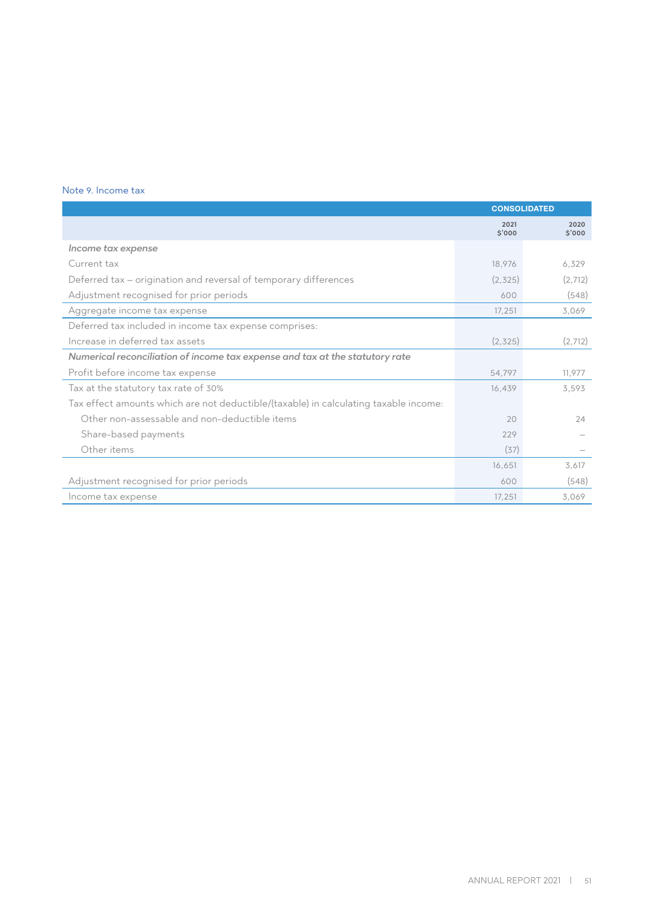## Note 9. Income tax

|                                                                                      | <b>CONSOLIDATED</b> |               |
|--------------------------------------------------------------------------------------|---------------------|---------------|
|                                                                                      | 2021<br>\$'000      | 2020<br>5'000 |
| Income tax expense                                                                   |                     |               |
| Current tax                                                                          | 18,976              | 6,329         |
| Deferred tax - origination and reversal of temporary differences                     | (2, 325)            | (2,712)       |
| Adjustment recognised for prior periods                                              | 600                 | (548)         |
| Aggregate income tax expense                                                         | 17,251              | 3,069         |
| Deferred tax included in income tax expense comprises:                               |                     |               |
| Increase in deferred tax assets                                                      | (2, 325)            | (2,712)       |
| Numerical reconciliation of income tax expense and tax at the statutory rate         |                     |               |
| Profit before income tax expense                                                     | 54,797              | 11,977        |
| Tax at the statutory tax rate of 30%                                                 | 16,439              | 3,593         |
| Tax effect amounts which are not deductible/(taxable) in calculating taxable income: |                     |               |
| Other non-assessable and non-deductible items                                        | 20                  | 24            |
| Share-based payments                                                                 | 229                 |               |
| Other items                                                                          | (37)                |               |
|                                                                                      | 16,651              | 3,617         |
| Adjustment recognised for prior periods                                              | 600                 | (548)         |
| Income tax expense                                                                   | 17,251              | 3,069         |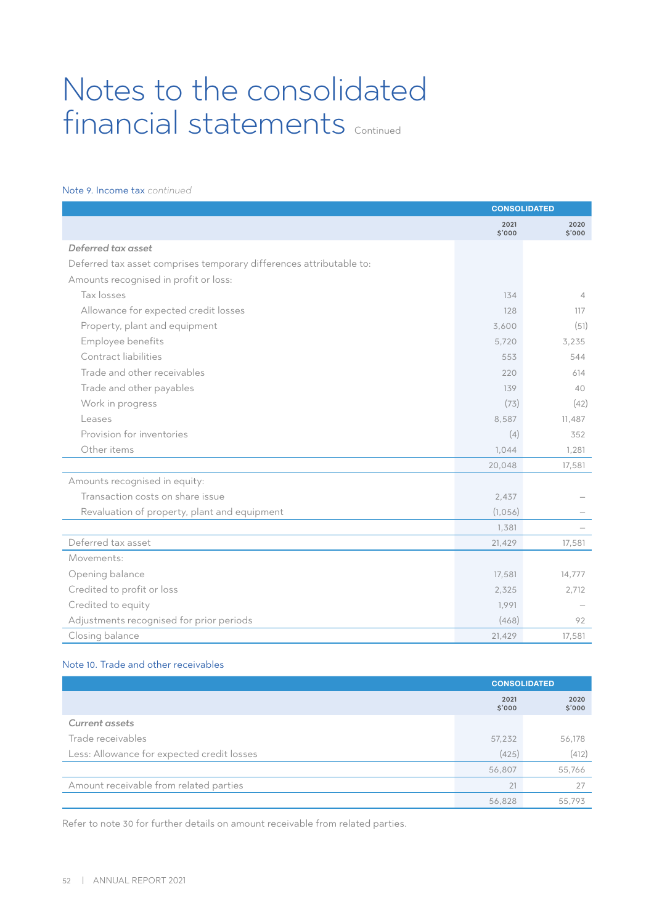## Note 9. Income tax *continued*

|                                                                     | <b>CONSOLIDATED</b> |                |
|---------------------------------------------------------------------|---------------------|----------------|
|                                                                     | 2021<br>S'000       | 2020<br>\$'000 |
| Deferred tax asset                                                  |                     |                |
| Deferred tax asset comprises temporary differences attributable to: |                     |                |
| Amounts recognised in profit or loss:                               |                     |                |
| Tax losses                                                          | 134                 | $\overline{4}$ |
| Allowance for expected credit losses                                | 128                 | 117            |
| Property, plant and equipment                                       | 3,600               | (51)           |
| Employee benefits                                                   | 5,720               | 3,235          |
| Contract liabilities                                                | 553                 | 544            |
| Trade and other receivables                                         | 220                 | 614            |
| Trade and other payables                                            | 139                 | 40             |
| Work in progress                                                    | (73)                | (42)           |
| Leases                                                              | 8,587               | 11,487         |
| Provision for inventories                                           | (4)                 | 352            |
| Other items                                                         | 1,044               | 1,281          |
|                                                                     | 20,048              | 17,581         |
| Amounts recognised in equity:                                       |                     |                |
| Transaction costs on share issue                                    | 2,437               |                |
| Revaluation of property, plant and equipment                        | (1,056)             |                |
|                                                                     | 1,381               |                |
| Deferred tax asset                                                  | 21,429              | 17,581         |
| Movements:                                                          |                     |                |
| Opening balance                                                     | 17,581              | 14,777         |
| Credited to profit or loss                                          | 2,325               | 2,712          |
| Credited to equity                                                  | 1,991               |                |
| Adjustments recognised for prior periods                            | (468)               | 92             |
| Closing balance                                                     | 21,429              | 17,581         |

# Note 10. Trade and other receivables

|                                            | <b>CONSOLIDATED</b> |                |
|--------------------------------------------|---------------------|----------------|
|                                            | 2021<br>\$'000      | 2020<br>\$'000 |
| <b>Current assets</b>                      |                     |                |
| Trade receivables                          | 57,232              | 56,178         |
| Less: Allowance for expected credit losses | (425)               | (412)          |
|                                            | 56,807              | 55,766         |
| Amount receivable from related parties     | 21                  | 27             |
|                                            | 56,828              | 55,793         |

Refer to note 30 for further details on amount receivable from related parties.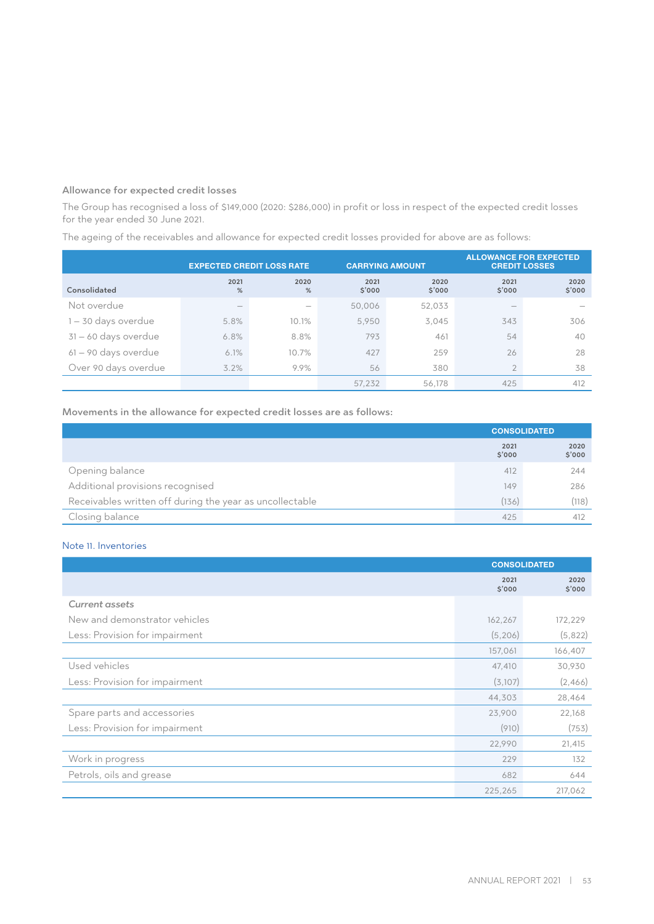## Allowance for expected credit losses

The Group has recognised a loss of \$149,000 (2020: \$286,000) in profit or loss in respect of the expected credit losses for the year ended 30 June 2021.

The ageing of the receivables and allowance for expected credit losses provided for above are as follows:

|                      |                          | <b>EXPECTED CREDIT LOSS RATE</b> |                | <b>CARRYING AMOUNT</b> |                          | <b>ALLOWANCE FOR EXPECTED</b><br><b>CREDIT LOSSES</b> |
|----------------------|--------------------------|----------------------------------|----------------|------------------------|--------------------------|-------------------------------------------------------|
| Consolidated         | 2021<br>%                | 2020<br>%                        | 2021<br>\$'000 | 2020<br>\$'000         | 2021<br>\$'000           | 2020<br>\$'000                                        |
| Not overdue          | $\overline{\phantom{a}}$ |                                  | 50,006         | 52,033                 | $\overline{\phantom{a}}$ |                                                       |
| 1-30 days overdue    | 5.8%                     | 10.1%                            | 5.950          | 3,045                  | 343                      | 306                                                   |
| 31-60 days overdue   | 6.8%                     | 8.8%                             | 793            | 461                    | 54                       | 40                                                    |
| 61 - 90 days overdue | 6.1%                     | 10.7%                            | 427            | 259                    | 26                       | 28                                                    |
| Over 90 days overdue | 3.2%                     | 9.9%                             | 56             | 380                    | $\overline{2}$           | 38                                                    |
|                      |                          |                                  | 57.232         | 56,178                 | 425                      | 412                                                   |

## Movements in the allowance for expected credit losses are as follows:

|                                                          | <b>CONSOLIDATED</b> |                |
|----------------------------------------------------------|---------------------|----------------|
|                                                          | 2021<br>\$'000      | 2020<br>\$'000 |
| Opening balance                                          | 412                 | 244            |
| Additional provisions recognised                         | 149                 | 286            |
| Receivables written off during the year as uncollectable | (136)               | (118)          |
| Closing balance                                          | 425                 | 412            |

# Note 11. Inventories

|                                | <b>CONSOLIDATED</b> |                |
|--------------------------------|---------------------|----------------|
|                                | 2021<br>\$'000      | 2020<br>\$'000 |
| <b>Current assets</b>          |                     |                |
| New and demonstrator vehicles  | 162,267             | 172,229        |
| Less: Provision for impairment | (5,206)             | (5,822)        |
|                                | 157,061             | 166,407        |
| Used vehicles                  | 47,410              | 30,930         |
| Less: Provision for impairment | (3,107)             | (2,466)        |
|                                | 44,303              | 28,464         |
| Spare parts and accessories    | 23,900              | 22,168         |
| Less: Provision for impairment | (910)               | (753)          |
|                                | 22,990              | 21,415         |
| Work in progress               | 229                 | 132            |
| Petrols, oils and grease       | 682                 | 644            |
|                                | 225,265             | 217,062        |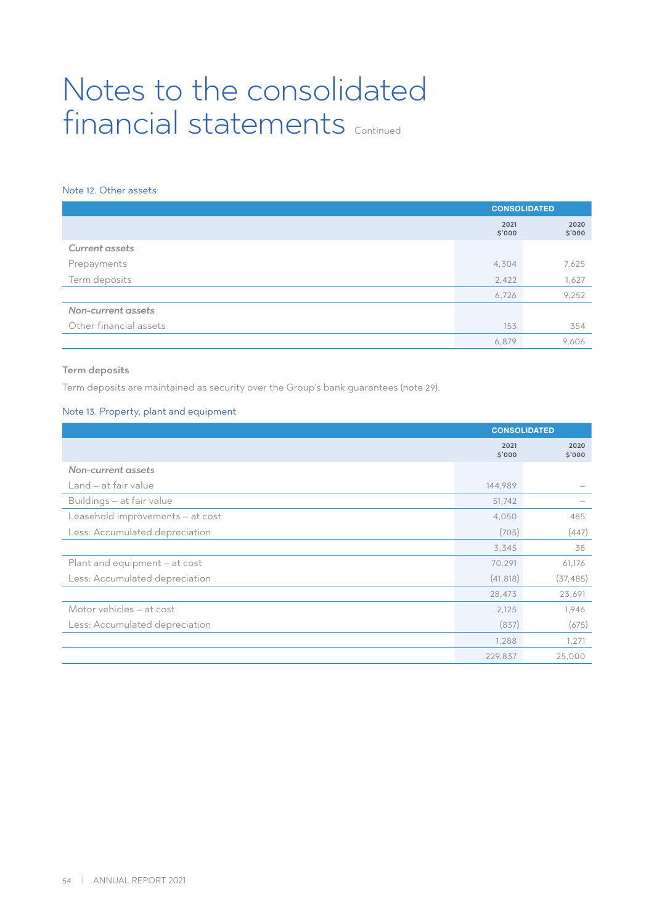# Note 12. Other assets

|                        | <b>CONSOLIDATED</b> |                |
|------------------------|---------------------|----------------|
|                        | 2021<br>\$'000      | 2020<br>\$'000 |
| <b>Current assets</b>  |                     |                |
| Prepayments            | 4,304               | 7,625          |
| Term deposits          | 2,422               | 1,627          |
|                        | 6,726               | 9,252          |
| Non-current assets     |                     |                |
| Other financial assets | 153                 | 354            |
|                        | 6,879               | 9,606          |

## Term deposits

Term deposits are maintained as security over the Group's bank guarantees (note 29).

## Note 13. Property, plant and equipment

|                                  | <b>CONSOLIDATED</b> |                |
|----------------------------------|---------------------|----------------|
|                                  | 2021<br>\$'000      | 2020<br>\$'000 |
| Non-current assets               |                     |                |
| Land – at fair value             | 144,989             |                |
| Buildings - at fair value        | 51,742              |                |
| Leasehold improvements - at cost | 4,050               | 485            |
| Less: Accumulated depreciation   | (705)               | (447)          |
|                                  | 3,345               | 38             |
| Plant and equipment - at cost    | 70,291              | 61,176         |
| Less: Accumulated depreciation   | (41, 818)           | (37, 485)      |
|                                  | 28,473              | 23,691         |
| Motor vehicles - at cost         | 2,125               | 1,946          |
| Less: Accumulated depreciation   | (837)               | (675)          |
|                                  | 1,288               | 1,271          |
|                                  | 229,837             | 25,000         |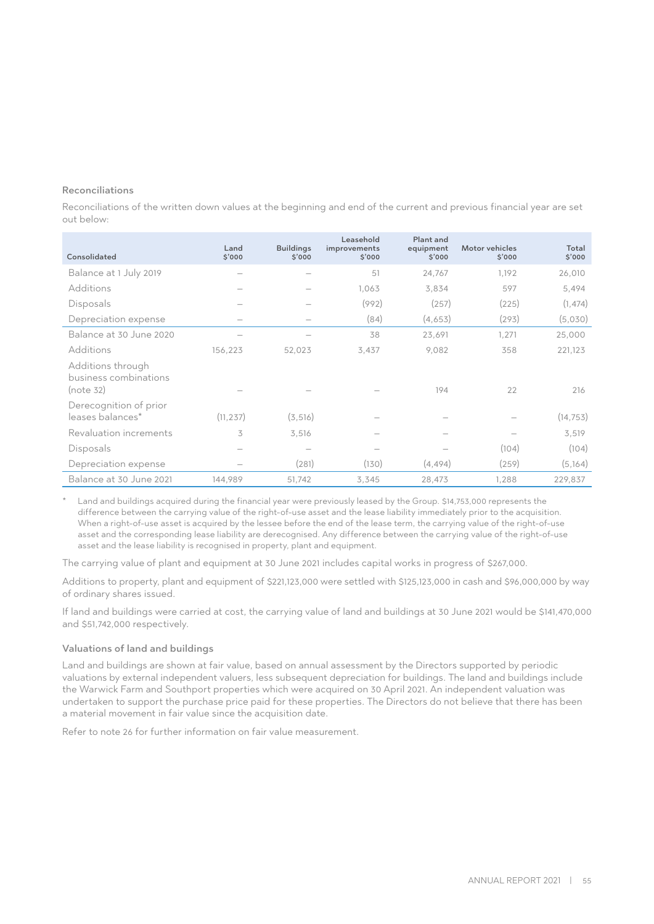## Reconciliations

Reconciliations of the written down values at the beginning and end of the current and previous financial year are set out below:

| Consolidated                                            | Land<br>\$'000 | <b>Buildings</b><br>\$'000 | Leasehold<br>improvements<br>\$'000 | Plant and<br>equipment<br>\$'000 | Motor vehicles<br>\$'000 | Total<br>\$'000 |
|---------------------------------------------------------|----------------|----------------------------|-------------------------------------|----------------------------------|--------------------------|-----------------|
| Balance at 1 July 2019                                  |                |                            | 51                                  | 24,767                           | 1,192                    | 26,010          |
| Additions                                               |                |                            | 1,063                               | 3,834                            | 597                      | 5,494           |
| Disposals                                               |                |                            | (992)                               | (257)                            | (225)                    | (1, 474)        |
| Depreciation expense                                    |                |                            | (84)                                | (4,653)                          | (293)                    | (5,030)         |
| Balance at 30 June 2020                                 |                |                            | 38                                  | 23,691                           | 1,271                    | 25,000          |
| Additions                                               | 156,223        | 52,023                     | 3,437                               | 9,082                            | 358                      | 221,123         |
| Additions through<br>business combinations<br>(note 32) |                |                            |                                     | 194                              | 22                       | 216             |
| Derecognition of prior<br>leases balances*              | (11, 237)      | (3, 516)                   |                                     |                                  |                          | (14, 753)       |
| Revaluation increments                                  | 3              | 3,516                      |                                     |                                  |                          | 3,519           |
| Disposals                                               |                |                            |                                     |                                  | (104)                    | (104)           |
| Depreciation expense                                    |                | (281)                      | (130)                               | (4, 494)                         | (259)                    | (5,164)         |
| Balance at 30 June 2021                                 | 144,989        | 51,742                     | 3,345                               | 28,473                           | 1,288                    | 229,837         |

Land and buildings acquired during the financial year were previously leased by the Group. \$14,753,000 represents the difference between the carrying value of the right-of-use asset and the lease liability immediately prior to the acquisition. When a right-of-use asset is acquired by the lessee before the end of the lease term, the carrying value of the right-of-use asset and the corresponding lease liability are derecognised. Any difference between the carrying value of the right-of-use asset and the lease liability is recognised in property, plant and equipment.

The carrying value of plant and equipment at 30 June 2021 includes capital works in progress of \$267,000.

Additions to property, plant and equipment of \$221,123,000 were settled with \$125,123,000 in cash and \$96,000,000 by way of ordinary shares issued.

If land and buildings were carried at cost, the carrying value of land and buildings at 30 June 2021 would be \$141,470,000 and \$51,742,000 respectively.

### Valuations of land and buildings

Land and buildings are shown at fair value, based on annual assessment by the Directors supported by periodic valuations by external independent valuers, less subsequent depreciation for buildings. The land and buildings include the Warwick Farm and Southport properties which were acquired on 30 April 2021. An independent valuation was undertaken to support the purchase price paid for these properties. The Directors do not believe that there has been a material movement in fair value since the acquisition date.

Refer to note 26 for further information on fair value measurement.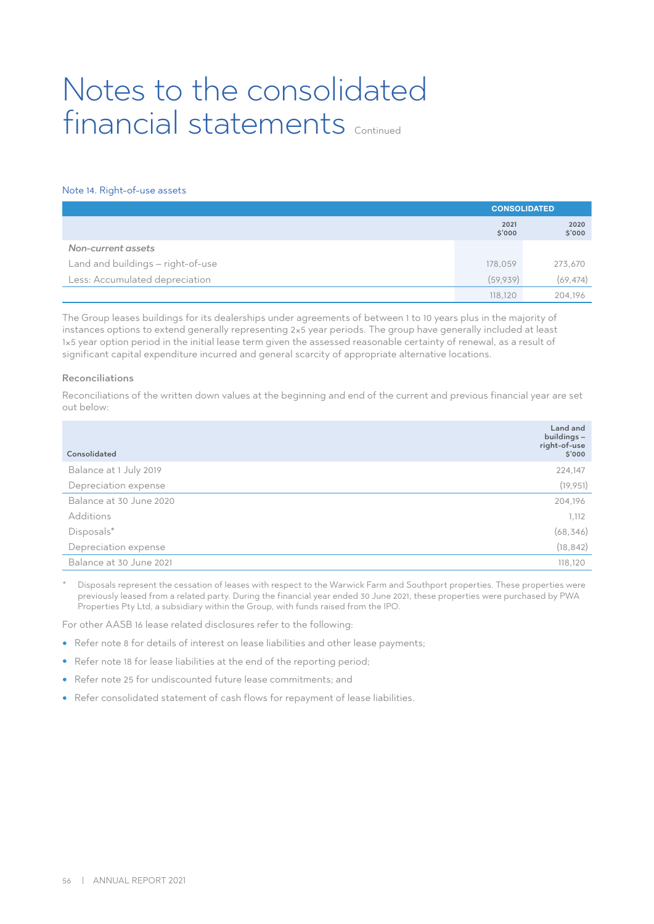#### Note 14. Right-of-use assets

|                                   | <b>CONSOLIDATED</b> |                |
|-----------------------------------|---------------------|----------------|
|                                   | 2021<br>\$'000      | 2020<br>\$'000 |
| Non-current assets                |                     |                |
| Land and buildings - right-of-use | 178,059             | 273,670        |
| Less: Accumulated depreciation    | (59,939)            | (69, 474)      |
|                                   | 118,120             | 204.196        |

The Group leases buildings for its dealerships under agreements of between 1 to 10 years plus in the majority of instances options to extend generally representing 2×5 year periods. The group have generally included at least 1×5 year option period in the initial lease term given the assessed reasonable certainty of renewal, as a result of significant capital expenditure incurred and general scarcity of appropriate alternative locations.

#### Reconciliations

Reconciliations of the written down values at the beginning and end of the current and previous financial year are set out below:

| Consolidated            | Land and<br>buildings-<br>right-of-use<br>\$'000 |
|-------------------------|--------------------------------------------------|
| Balance at 1 July 2019  | 224,147                                          |
| Depreciation expense    | (19, 951)                                        |
| Balance at 30 June 2020 | 204,196                                          |
| Additions               | 1,112                                            |
| Disposals*              | (68, 346)                                        |
| Depreciation expense    | (18, 842)                                        |
| Balance at 30 June 2021 | 118,120                                          |

Disposals represent the cessation of leases with respect to the Warwick Farm and Southport properties. These properties were previously leased from a related party. During the financial year ended 30 June 2021, these properties were purchased by PWA Properties Pty Ltd, a subsidiary within the Group, with funds raised from the IPO.

For other AASB 16 lease related disclosures refer to the following:

- Refer note 8 for details of interest on lease liabilities and other lease payments;
- Refer note 18 for lease liabilities at the end of the reporting period;
- Refer note 25 for undiscounted future lease commitments; and
- Refer consolidated statement of cash flows for repayment of lease liabilities.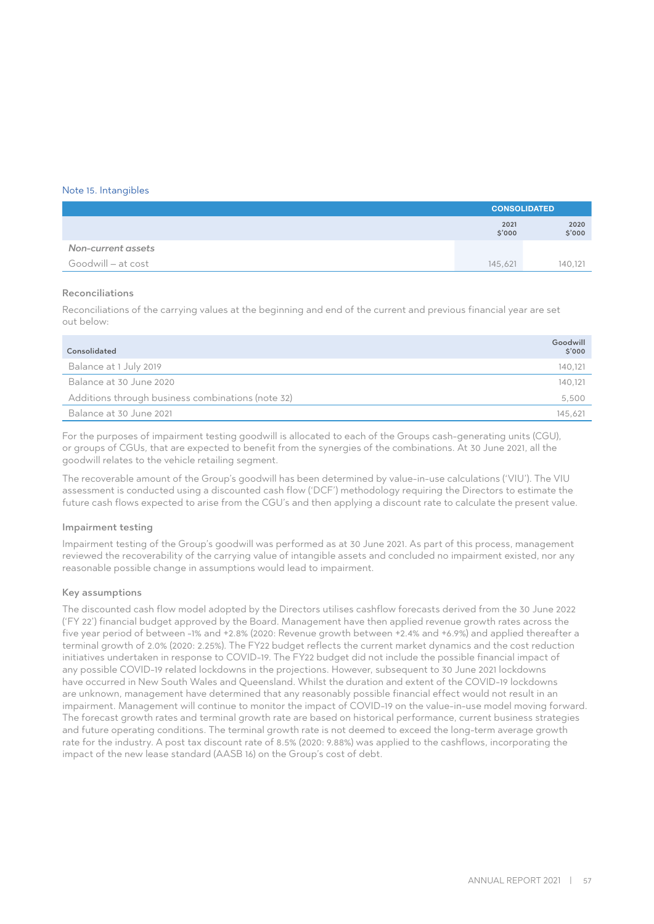#### Note 15. Intangibles

|                    | <b>CONSOLIDATED</b> |                |
|--------------------|---------------------|----------------|
|                    | 2021<br>\$'000      | 2020<br>\$'000 |
| Non-current assets |                     |                |
| Goodwill – at cost | 145.621             | 140,121        |

#### Reconciliations

Reconciliations of the carrying values at the beginning and end of the current and previous financial year are set out below:

| Consolidated                                      | Goodwill<br>\$'000 |
|---------------------------------------------------|--------------------|
| Balance at 1 July 2019                            | 140.121            |
| Balance at 30 June 2020                           | 140,121            |
| Additions through business combinations (note 32) | 5,500              |
| Balance at 30 June 2021                           | 145.621            |

For the purposes of impairment testing goodwill is allocated to each of the Groups cash-generating units (CGU), or groups of CGUs, that are expected to benefit from the synergies of the combinations. At 30 June 2021, all the goodwill relates to the vehicle retailing segment.

The recoverable amount of the Group's goodwill has been determined by value-in-use calculations ('VIU'). The VIU assessment is conducted using a discounted cash flow ('DCF') methodology requiring the Directors to estimate the future cash flows expected to arise from the CGU's and then applying a discount rate to calculate the present value.

#### Impairment testing

Impairment testing of the Group's goodwill was performed as at 30 June 2021. As part of this process, management reviewed the recoverability of the carrying value of intangible assets and concluded no impairment existed, nor any reasonable possible change in assumptions would lead to impairment.

#### Key assumptions

The discounted cash flow model adopted by the Directors utilises cashflow forecasts derived from the 30 June 2022 ('FY 22') financial budget approved by the Board. Management have then applied revenue growth rates across the five year period of between -1% and +2.8% (2020: Revenue growth between +2.4% and +6.9%) and applied thereafter a terminal growth of 2.0% (2020: 2.25%). The FY22 budget reflects the current market dynamics and the cost reduction initiatives undertaken in response to COVID-19. The FY22 budget did not include the possible financial impact of any possible COVID-19 related lockdowns in the projections. However, subsequent to 30 June 2021 lockdowns have occurred in New South Wales and Queensland. Whilst the duration and extent of the COVID-19 lockdowns are unknown, management have determined that any reasonably possible financial effect would not result in an impairment. Management will continue to monitor the impact of COVID-19 on the value-in-use model moving forward. The forecast growth rates and terminal growth rate are based on historical performance, current business strategies and future operating conditions. The terminal growth rate is not deemed to exceed the long-term average growth rate for the industry. A post tax discount rate of 8.5% (2020: 9.88%) was applied to the cashflows, incorporating the impact of the new lease standard (AASB 16) on the Group's cost of debt.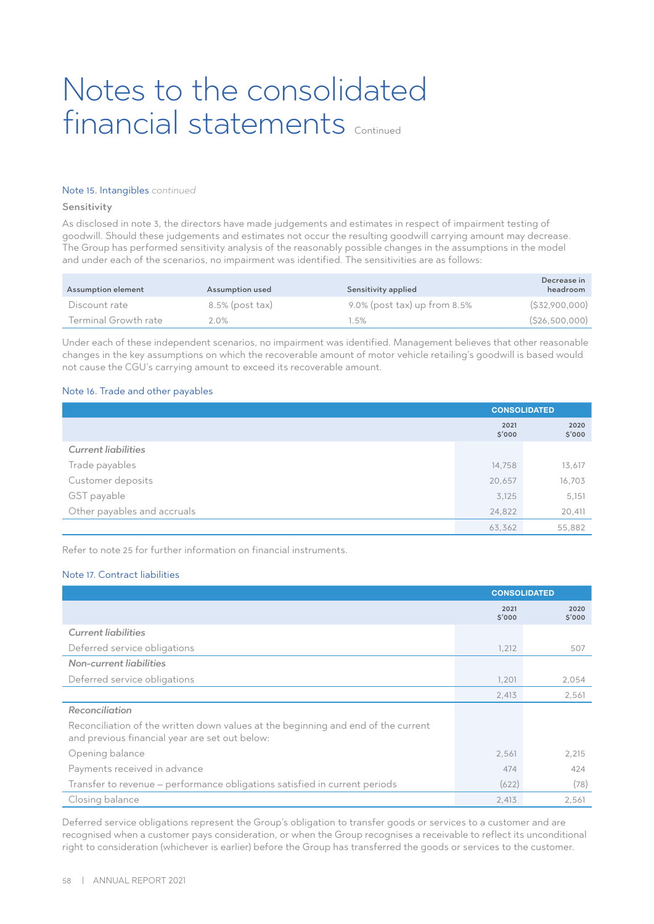### Note 15. Intangibles *continued*

#### Sensitivity

As disclosed in note 3, the directors have made judgements and estimates in respect of impairment testing of goodwill. Should these judgements and estimates not occur the resulting goodwill carrying amount may decrease. The Group has performed sensitivity analysis of the reasonably possible changes in the assumptions in the model and under each of the scenarios, no impairment was identified. The sensitivities are as follows:

| Assumption element   | Assumption used    | Sensitivity applied             | Decrease in<br>headroom |
|----------------------|--------------------|---------------------------------|-------------------------|
| Discount rate        | $8.5\%$ (post tax) | 9.0% (post tax) up from $8.5\%$ | $($ \$32,900,000)       |
| Terminal Growth rate | $2.0\%$            | $1.5\%$                         | (S26,500,000)           |

Under each of these independent scenarios, no impairment was identified. Management believes that other reasonable changes in the key assumptions on which the recoverable amount of motor vehicle retailing's goodwill is based would not cause the CGU's carrying amount to exceed its recoverable amount.

## Note 16. Trade and other payables

|                             | <b>CONSOLIDATED</b> |                |
|-----------------------------|---------------------|----------------|
|                             | 2021<br>\$'000      | 2020<br>\$'000 |
| <b>Current liabilities</b>  |                     |                |
| Trade payables              | 14,758              | 13,617         |
| Customer deposits           | 20,657              | 16,703         |
| GST payable                 | 3,125               | 5,151          |
| Other payables and accruals | 24,822              | 20,411         |
|                             | 63,362              | 55,882         |

Refer to note 25 for further information on financial instruments.

### Note 17. Contract liabilities

|                                                                                                                                     | <b>CONSOLIDATED</b> |                |
|-------------------------------------------------------------------------------------------------------------------------------------|---------------------|----------------|
|                                                                                                                                     | 2021<br>\$'000      | 2020<br>\$'000 |
| <b>Current liabilities</b>                                                                                                          |                     |                |
| Deferred service obligations                                                                                                        | 1,212               | 507            |
| Non-current liabilities                                                                                                             |                     |                |
| Deferred service obligations                                                                                                        | 1,201               | 2,054          |
|                                                                                                                                     | 2,413               | 2,561          |
| Reconciliation                                                                                                                      |                     |                |
| Reconciliation of the written down values at the beginning and end of the current<br>and previous financial year are set out below: |                     |                |
| Opening balance                                                                                                                     | 2,561               | 2,215          |
| Payments received in advance                                                                                                        | 474                 | 424            |
| Transfer to revenue - performance obligations satisfied in current periods                                                          | (622)               | (78)           |
| Closing balance                                                                                                                     | 2,413               | 2,561          |

Deferred service obligations represent the Group's obligation to transfer goods or services to a customer and are recognised when a customer pays consideration, or when the Group recognises a receivable to reflect its unconditional right to consideration (whichever is earlier) before the Group has transferred the goods or services to the customer.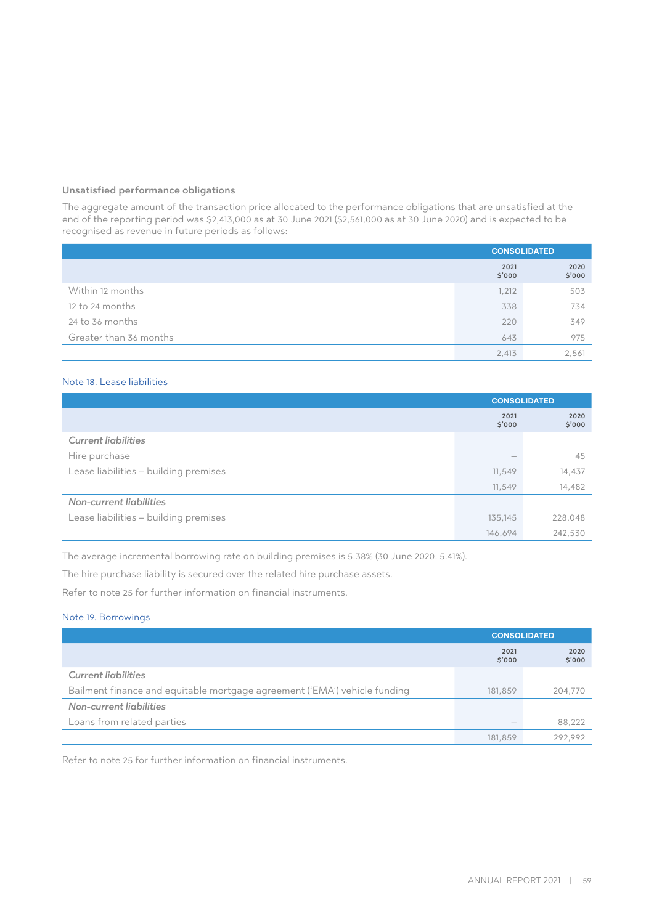## Unsatisfied performance obligations

The aggregate amount of the transaction price allocated to the performance obligations that are unsatisfied at the end of the reporting period was \$2,413,000 as at 30 June 2021 (\$2,561,000 as at 30 June 2020) and is expected to be recognised as revenue in future periods as follows:

|                        | <b>CONSOLIDATED</b> |                |
|------------------------|---------------------|----------------|
|                        | 2021<br>\$'000      | 2020<br>\$'000 |
| Within 12 months       | 1,212               | 503            |
| 12 to 24 months        | 338                 | 734            |
| 24 to 36 months        | 220                 | 349            |
| Greater than 36 months | 643                 | 975            |
|                        | 2,413               | 2,561          |

## Note 18. Lease liabilities

|                                       | <b>CONSOLIDATED</b> |                |
|---------------------------------------|---------------------|----------------|
|                                       | 2021<br>\$'000      | 2020<br>\$'000 |
| <b>Current liabilities</b>            |                     |                |
| Hire purchase                         |                     | 45             |
| Lease liabilities - building premises | 11,549              | 14,437         |
|                                       | 11,549              | 14,482         |
| Non-current liabilities               |                     |                |
| Lease liabilities - building premises | 135,145             | 228,048        |
|                                       | 146.694             | 242,530        |

The average incremental borrowing rate on building premises is 5.38% (30 June 2020: 5.41%).

The hire purchase liability is secured over the related hire purchase assets.

Refer to note 25 for further information on financial instruments.

## Note 19. Borrowings

|                                                                           |                | <b>CONSOLIDATED</b> |
|---------------------------------------------------------------------------|----------------|---------------------|
|                                                                           | 2021<br>\$'000 | 2020<br>\$'000      |
| <b>Current liabilities</b>                                                |                |                     |
| Bailment finance and equitable mortgage agreement ('EMA') vehicle funding |                | 204,770             |
| Non-current liabilities                                                   |                |                     |
| Loans from related parties                                                |                | 88,222              |
|                                                                           | 181,859        | 292.992             |

Refer to note 25 for further information on financial instruments.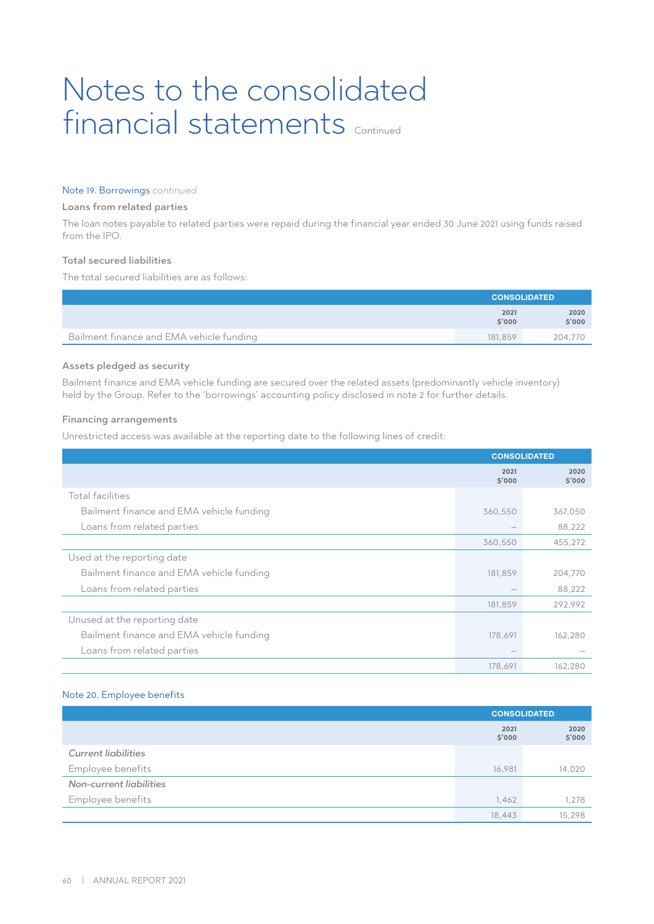#### Note 19. Borrowings *continued*

#### Loans from related parties

The loan notes payable to related parties were repaid during the financial year ended 30 June 2021 using funds raised from the IPO.

## Total secured liabilities

The total secured liabilities are as follows:

|                                          | <b>CONSOLIDATED</b> |                |  |
|------------------------------------------|---------------------|----------------|--|
|                                          | 2021<br>\$'000      | 2020<br>\$'000 |  |
| Bailment finance and EMA vehicle funding | 181.859             | 204.770        |  |

## Assets pledged as security

Bailment finance and EMA vehicle funding are secured over the related assets (predominantly vehicle inventory) held by the Group. Refer to the 'borrowings' accounting policy disclosed in note 2 for further details.

#### Financing arrangements

Unrestricted access was available at the reporting date to the following lines of credit:

|                                          | <b>CONSOLIDATED</b> |                |
|------------------------------------------|---------------------|----------------|
|                                          | 2021<br>\$'000      | 2020<br>\$'000 |
| Total facilities                         |                     |                |
| Bailment finance and EMA vehicle funding | 360,550             | 367,050        |
| Loans from related parties               |                     | 88,222         |
|                                          | 360,550             | 455,272        |
| Used at the reporting date               |                     |                |
| Bailment finance and EMA vehicle funding | 181,859             | 204,770        |
| Loans from related parties               |                     | 88,222         |
|                                          | 181,859             | 292,992        |
| Unused at the reporting date             |                     |                |
| Bailment finance and EMA vehicle funding | 178,691             | 162,280        |
| Loans from related parties               |                     |                |
|                                          | 178,691             | 162,280        |

#### Note 20. Employee benefits

|                            | <b>CONSOLIDATED</b> |                |  |
|----------------------------|---------------------|----------------|--|
|                            | 2021<br>\$'000      | 2020<br>\$'000 |  |
| <b>Current liabilities</b> |                     |                |  |
| Employee benefits          | 16,981              | 14,020         |  |
| Non-current liabilities    |                     |                |  |
| Employee benefits          | 1,462               | 1,278          |  |
|                            | 18,443              | 15,298         |  |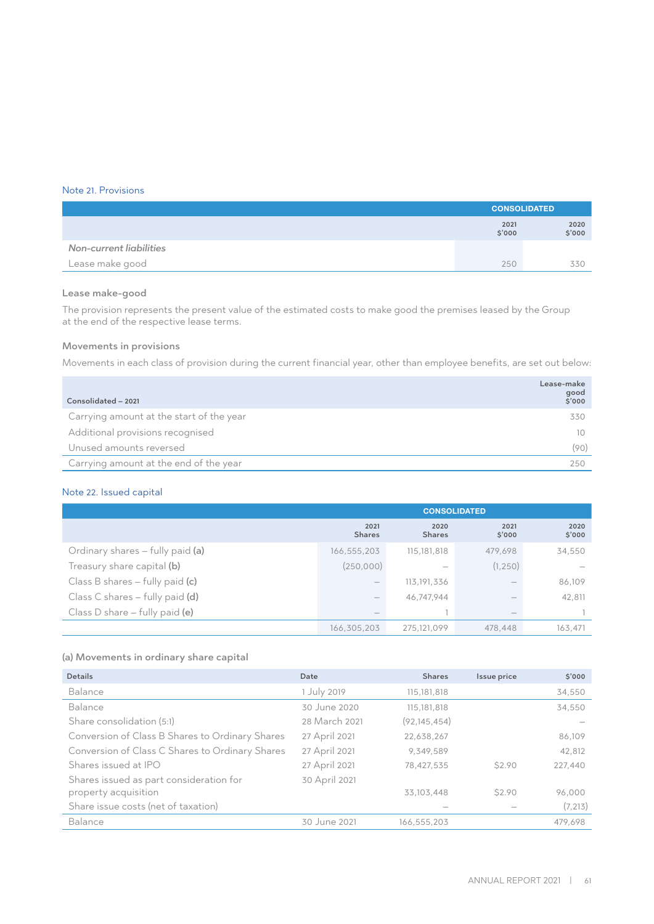## Note 21. Provisions

|                         | <b>CONSOLIDATED</b> |                |
|-------------------------|---------------------|----------------|
|                         | 2021<br>\$'000      | 2020<br>\$'000 |
| Non-current liabilities |                     |                |
| Lease make good         | 250                 | 330            |

#### Lease make-good

The provision represents the present value of the estimated costs to make good the premises leased by the Group at the end of the respective lease terms.

# Movements in provisions

Movements in each class of provision during the current financial year, other than employee benefits, are set out below:

| Consolidated - 2021                      | Lease-make<br>good<br>\$'000 |
|------------------------------------------|------------------------------|
| Carrying amount at the start of the year | 330                          |
| Additional provisions recognised         | 10                           |
| Unused amounts reversed                  | (90)                         |
| Carrying amount at the end of the year   | 250                          |

## Note 22. Issued capital

|                                   | <b>CONSOLIDATED</b>             |                                 |                          |                |
|-----------------------------------|---------------------------------|---------------------------------|--------------------------|----------------|
|                                   | 2021<br><b>Shares</b>           | 2020<br><b>Shares</b>           | 2021<br>\$'000           | 2020<br>\$'000 |
| Ordinary shares - fully paid (a)  | 166,555,203                     | 115, 181, 818                   | 479,698                  | 34,550         |
| Treasury share capital (b)        | (250,000)                       | $\hspace{0.1mm}-\hspace{0.1mm}$ | (1, 250)                 |                |
| Class B shares $-$ fully paid (c) | $\hspace{0.1mm}-\hspace{0.1mm}$ | 113, 191, 336                   |                          | 86,109         |
| Class C shares $-$ fully paid (d) | $\qquad \qquad$                 | 46,747,944                      |                          | 42,811         |
| Class D share $-$ fully paid (e)  | $\hspace{0.1mm}-\hspace{0.1mm}$ |                                 | $\overline{\phantom{a}}$ |                |
|                                   | 166,305,203                     | 275,121,099                     | 478.448                  | 163,471        |

# (a) Movements in ordinary share capital

| <b>Details</b>                                  | Date          | <b>Shares</b>  | Issue price | 5'000    |
|-------------------------------------------------|---------------|----------------|-------------|----------|
| Balance                                         | 1 July 2019   | 115,181,818    |             | 34,550   |
| Balance                                         | 30 June 2020  | 115,181,818    |             | 34,550   |
| Share consolidation (5:1)                       | 28 March 2021 | (92, 145, 454) |             |          |
| Conversion of Class B Shares to Ordinary Shares | 27 April 2021 | 22,638,267     |             | 86,109   |
| Conversion of Class C Shares to Ordinary Shares | 27 April 2021 | 9.349.589      |             | 42,812   |
| Shares issued at IPO                            | 27 April 2021 | 78.427.535     | \$2.90      | 227.440  |
| Shares issued as part consideration for         | 30 April 2021 |                |             |          |
| property acquisition                            |               | 33,103,448     | \$2.90      | 96,000   |
| Share issue costs (net of taxation)             |               |                |             | (7, 213) |
| Balance                                         | 30 June 2021  | 166,555,203    |             | 479.698  |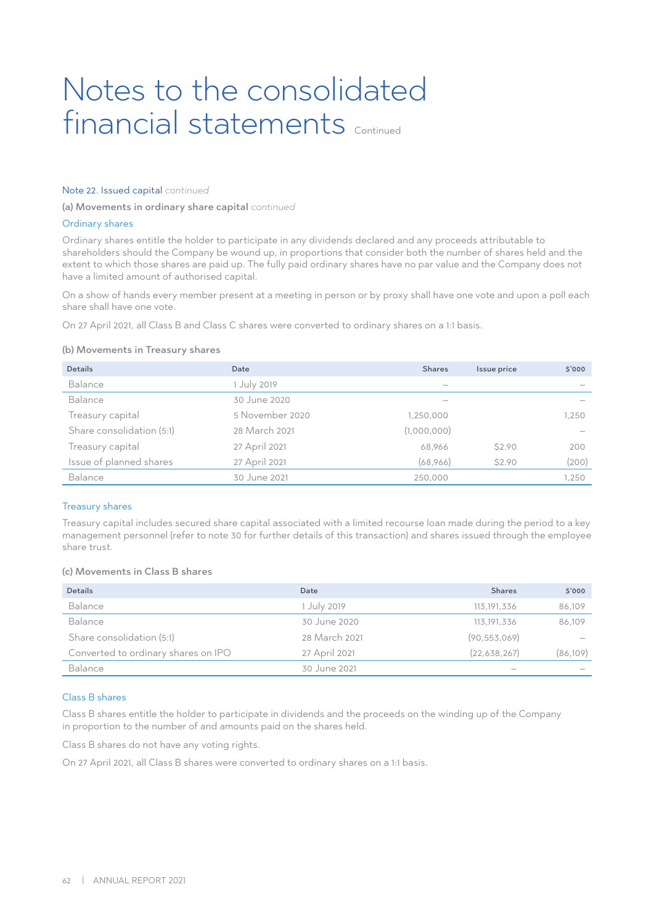#### Note 22. Issued capital *continued*

(a) Movements in ordinary share capital *continued*

#### Ordinary shares

Ordinary shares entitle the holder to participate in any dividends declared and any proceeds attributable to shareholders should the Company be wound up, in proportions that consider both the number of shares held and the extent to which those shares are paid up. The fully paid ordinary shares have no par value and the Company does not have a limited amount of authorised capital.

On a show of hands every member present at a meeting in person or by proxy shall have one vote and upon a poll each share shall have one vote.

On 27 April 2021, all Class B and Class C shares were converted to ordinary shares on a 1:1 basis.

#### (b) Movements in Treasury shares

| <b>Details</b>            | Date            | <b>Shares</b> | Issue price | \$'000 |
|---------------------------|-----------------|---------------|-------------|--------|
| Balance                   | 1 July 2019     | -             |             |        |
| Balance                   | 30 June 2020    |               |             |        |
| Treasury capital          | 5 November 2020 | 1,250,000     |             | 1.250  |
| Share consolidation (5:1) | 28 March 2021   | (1,000,000)   |             |        |
| Treasury capital          | 27 April 2021   | 68,966        | \$2.90      | 200    |
| Issue of planned shares   | 27 April 2021   | (68,966)      | \$2.90      | (200)  |
| Balance                   | 30 June 2021    | 250,000       |             | 1,250  |

#### Treasury shares

Treasury capital includes secured share capital associated with a limited recourse loan made during the period to a key management personnel (refer to note 30 for further details of this transaction) and shares issued through the employee share trust.

## (c) Movements in Class B shares

| <b>Details</b>                      | Date          | <b>Shares</b>  | \$'000                   |
|-------------------------------------|---------------|----------------|--------------------------|
| Balance                             | 1 July 2019   | 113, 191, 336  | 86,109                   |
| Balance                             | 30 June 2020  | 113, 191, 336  | 86,109                   |
| Share consolidation (5:1)           | 28 March 2021 | (90, 553, 069) | $\overline{\phantom{a}}$ |
| Converted to ordinary shares on IPO | 27 April 2021 | (22,638,267)   | (86, 109)                |
| Balance                             | 30 June 2021  |                | $\overline{\phantom{a}}$ |

#### Class B shares

Class B shares entitle the holder to participate in dividends and the proceeds on the winding up of the Company in proportion to the number of and amounts paid on the shares held.

Class B shares do not have any voting rights.

On 27 April 2021, all Class B shares were converted to ordinary shares on a 1:1 basis.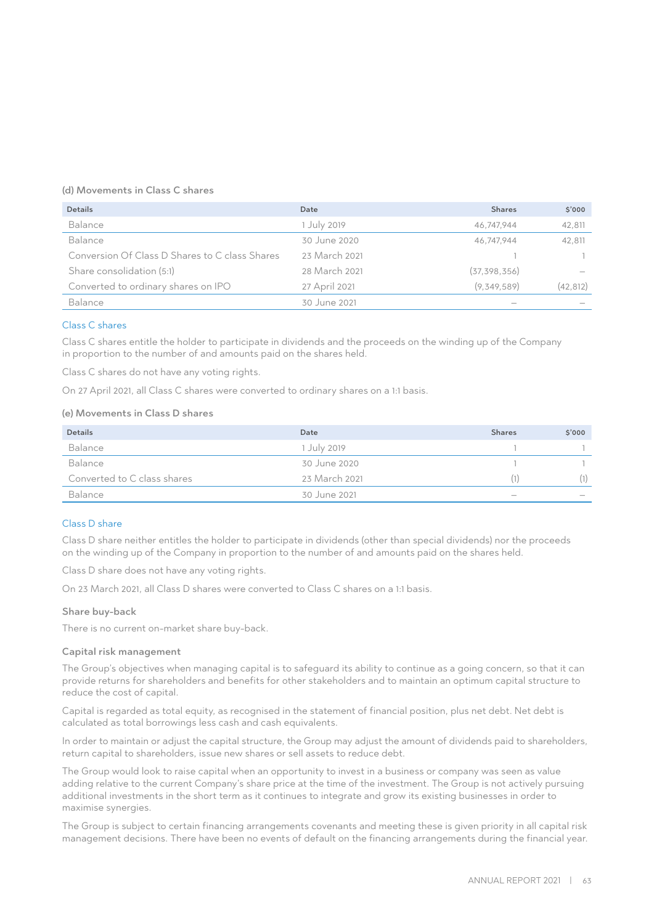### (d) Movements in Class C shares

| <b>Details</b>                                 | Date          | <b>Shares</b>  | \$'000    |
|------------------------------------------------|---------------|----------------|-----------|
| Balance                                        | 1 July 2019   | 46.747.944     | 42,811    |
| Balance                                        | 30 June 2020  | 46.747.944     | 42,811    |
| Conversion Of Class D Shares to C class Shares | 23 March 2021 |                |           |
| Share consolidation (5:1)                      | 28 March 2021 | (37, 398, 356) |           |
| Converted to ordinary shares on IPO            | 27 April 2021 | (9,349,589)    | (42, 812) |
| Balance                                        | 30 June 2021  |                |           |

## Class C shares

Class C shares entitle the holder to participate in dividends and the proceeds on the winding up of the Company in proportion to the number of and amounts paid on the shares held.

Class C shares do not have any voting rights.

On 27 April 2021, all Class C shares were converted to ordinary shares on a 1:1 basis.

## (e) Movements in Class D shares

| <b>Details</b>              | Date          | <b>Shares</b>                   | 5'000                           |
|-----------------------------|---------------|---------------------------------|---------------------------------|
| Balance                     | 1 July 2019   |                                 |                                 |
| Balance                     | 30 June 2020  |                                 |                                 |
| Converted to C class shares | 23 March 2021 |                                 | (1)                             |
| Balance                     | 30 June 2021  | $\hspace{0.1mm}-\hspace{0.1mm}$ | $\hspace{0.1mm}-\hspace{0.1mm}$ |

## Class D share

Class D share neither entitles the holder to participate in dividends (other than special dividends) nor the proceeds on the winding up of the Company in proportion to the number of and amounts paid on the shares held.

Class D share does not have any voting rights.

On 23 March 2021, all Class D shares were converted to Class C shares on a 1:1 basis.

#### Share buy-back

There is no current on-market share buy-back.

#### Capital risk management

The Group's objectives when managing capital is to safeguard its ability to continue as a going concern, so that it can provide returns for shareholders and benefits for other stakeholders and to maintain an optimum capital structure to reduce the cost of capital.

Capital is regarded as total equity, as recognised in the statement of financial position, plus net debt. Net debt is calculated as total borrowings less cash and cash equivalents.

In order to maintain or adjust the capital structure, the Group may adjust the amount of dividends paid to shareholders, return capital to shareholders, issue new shares or sell assets to reduce debt.

The Group would look to raise capital when an opportunity to invest in a business or company was seen as value adding relative to the current Company's share price at the time of the investment. The Group is not actively pursuing additional investments in the short term as it continues to integrate and grow its existing businesses in order to maximise synergies.

The Group is subject to certain financing arrangements covenants and meeting these is given priority in all capital risk management decisions. There have been no events of default on the financing arrangements during the financial year.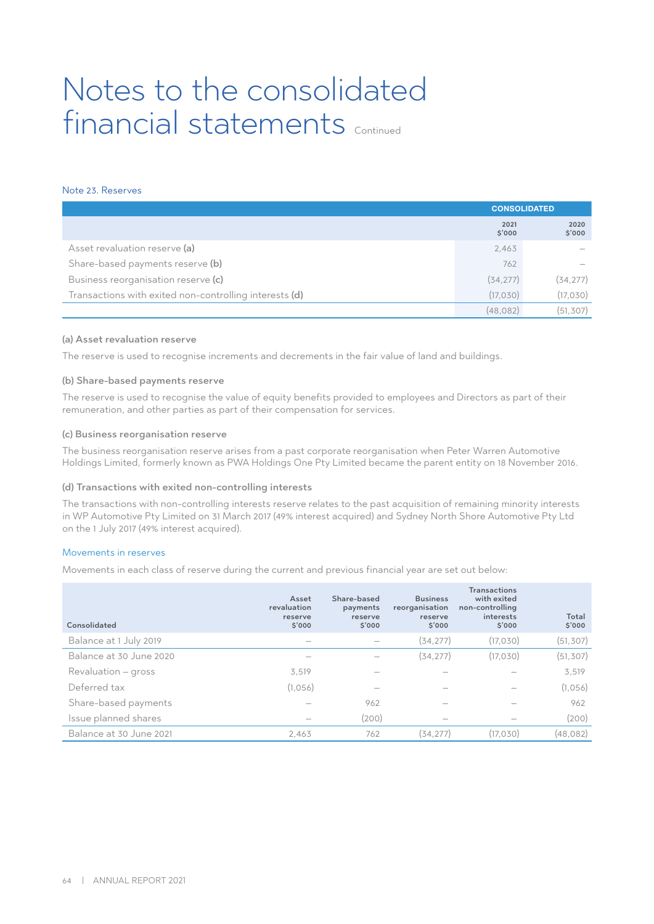# Note 23. Reserves

|                                                        | <b>CONSOLIDATED</b> |                |
|--------------------------------------------------------|---------------------|----------------|
|                                                        | 2021<br>\$'000      | 2020<br>\$'000 |
| Asset revaluation reserve (a)                          | 2,463               |                |
| Share-based payments reserve (b)                       | 762                 |                |
| Business reorganisation reserve (c)                    | (34, 277)           | (34, 277)      |
| Transactions with exited non-controlling interests (d) | (17, 030)           | (17, 030)      |
|                                                        | (48.082)            | (51, 307)      |

#### (a) Asset revaluation reserve

The reserve is used to recognise increments and decrements in the fair value of land and buildings.

#### (b) Share-based payments reserve

The reserve is used to recognise the value of equity benefits provided to employees and Directors as part of their remuneration, and other parties as part of their compensation for services.

#### (c) Business reorganisation reserve

The business reorganisation reserve arises from a past corporate reorganisation when Peter Warren Automotive Holdings Limited, formerly known as PWA Holdings One Pty Limited became the parent entity on 18 November 2016.

#### (d) Transactions with exited non-controlling interests

The transactions with non-controlling interests reserve relates to the past acquisition of remaining minority interests in WP Automotive Pty Limited on 31 March 2017 (49% interest acquired) and Sydney North Shore Automotive Pty Ltd on the 1 July 2017 (49% interest acquired).

## Movements in reserves

Movements in each class of reserve during the current and previous financial year are set out below:

| Consolidated            | Asset<br>revaluation<br>reserve<br>\$'000 | Share-based<br>payments<br>reserve<br>\$'000 | <b>Business</b><br>reorganisation<br>reserve<br>\$'000 | <b>Transactions</b><br>with exited<br>non-controlling<br>interests<br>\$'000 | Total<br>\$'000 |
|-------------------------|-------------------------------------------|----------------------------------------------|--------------------------------------------------------|------------------------------------------------------------------------------|-----------------|
| Balance at 1 July 2019  |                                           |                                              | (34, 277)                                              | (17,030)                                                                     | (51, 307)       |
| Balance at 30 June 2020 |                                           |                                              | (34, 277)                                              | (17,030)                                                                     | (51, 307)       |
| Revaluation – gross     | 3,519                                     |                                              |                                                        |                                                                              | 3,519           |
| Deferred tax            | (1,056)                                   | $\overline{\phantom{a}}$                     | $\overline{\phantom{a}}$                               |                                                                              | (1,056)         |
| Share-based payments    |                                           | 962                                          |                                                        |                                                                              | 962             |
| Issue planned shares    |                                           | (200)                                        |                                                        |                                                                              | (200)           |
| Balance at 30 June 2021 | 2,463                                     | 762                                          | (34.277)                                               | (17.030)                                                                     | (48,082)        |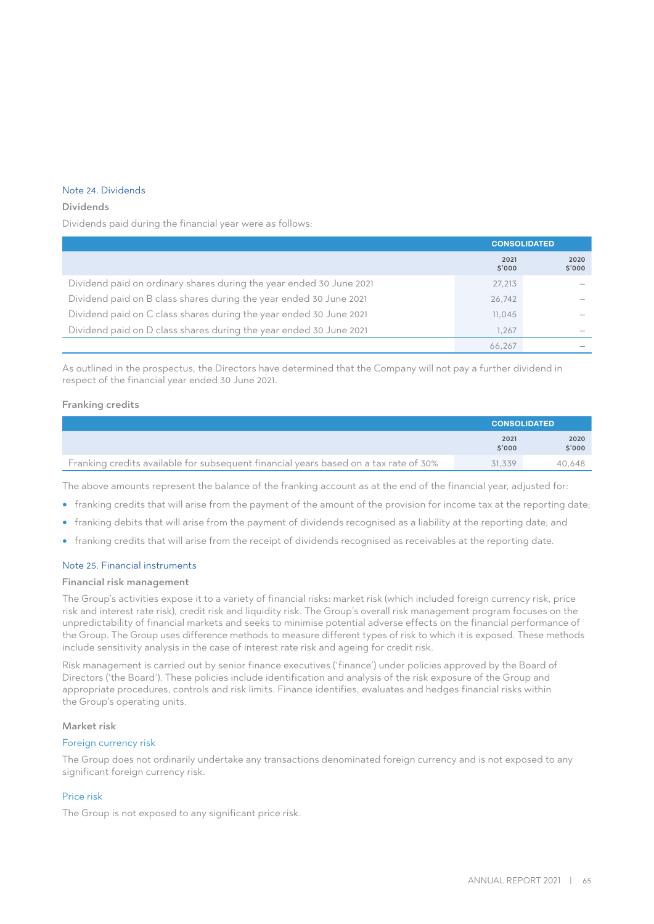# Note 24. Dividends

#### Dividends

Dividends paid during the financial year were as follows:

|                                                                     | <b>CONSOLIDATED</b> |                |
|---------------------------------------------------------------------|---------------------|----------------|
|                                                                     | 2021<br>\$'000      | 2020<br>\$'000 |
| Dividend paid on ordinary shares during the year ended 30 June 2021 | 27,213              |                |
| Dividend paid on B class shares during the year ended 30 June 2021  | 26,742              |                |
| Dividend paid on C class shares during the year ended 30 June 2021  | 11,045              |                |
| Dividend paid on D class shares during the year ended 30 June 2021  | 1.267               |                |
|                                                                     | 66.267              |                |

As outlined in the prospectus, the Directors have determined that the Company will not pay a further dividend in respect of the financial year ended 30 June 2021.

## Franking credits

|                                                                                      | <b>CONSOLIDATED</b> |                |
|--------------------------------------------------------------------------------------|---------------------|----------------|
|                                                                                      | 2021<br>\$'000      | 2020<br>\$'000 |
| Franking credits available for subsequent financial years based on a tax rate of 30% | 31.339              | 40.648         |

The above amounts represent the balance of the franking account as at the end of the financial year, adjusted for:

- franking credits that will arise from the payment of the amount of the provision for income tax at the reporting date;
- franking debits that will arise from the payment of dividends recognised as a liability at the reporting date; and
- franking credits that will arise from the receipt of dividends recognised as receivables at the reporting date.

#### Note 25. Financial instruments

### Financial risk management

The Group's activities expose it to a variety of financial risks: market risk (which included foreign currency risk, price risk and interest rate risk), credit risk and liquidity risk. The Group's overall risk management program focuses on the unpredictability of financial markets and seeks to minimise potential adverse effects on the financial performance of the Group. The Group uses difference methods to measure different types of risk to which it is exposed. These methods include sensitivity analysis in the case of interest rate risk and ageing for credit risk.

Risk management is carried out by senior finance executives ('finance') under policies approved by the Board of Directors ('the Board'). These policies include identification and analysis of the risk exposure of the Group and appropriate procedures, controls and risk limits. Finance identifies, evaluates and hedges financial risks within the Group's operating units.

#### Market risk

#### Foreign currency risk

The Group does not ordinarily undertake any transactions denominated foreign currency and is not exposed to any significant foreign currency risk.

### Price risk

The Group is not exposed to any significant price risk.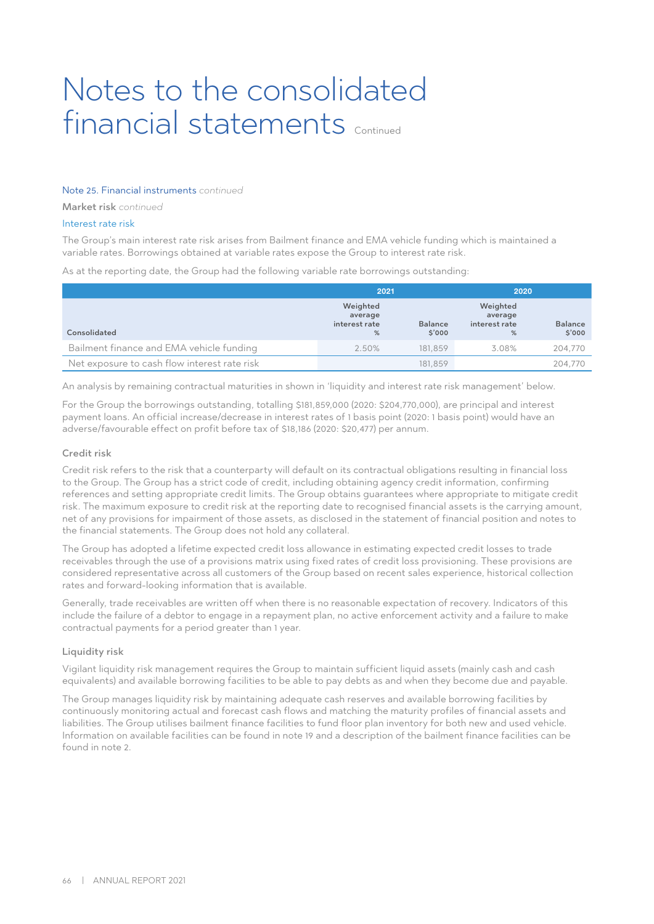## Note 25. Financial instruments *continued*

Market risk *continued*

## Interest rate risk

The Group's main interest rate risk arises from Bailment finance and EMA vehicle funding which is maintained a variable rates. Borrowings obtained at variable rates expose the Group to interest rate risk.

As at the reporting date, the Group had the following variable rate borrowings outstanding:

|                                              | 2021                                      |                         | 2020                                      |                          |
|----------------------------------------------|-------------------------------------------|-------------------------|-------------------------------------------|--------------------------|
| Consolidated                                 | Weighted<br>average<br>interest rate<br>% | <b>Balance</b><br>5'000 | Weighted<br>average<br>interest rate<br>% | <b>Balance</b><br>\$'000 |
| Bailment finance and EMA vehicle funding     | 2.50%                                     | 181.859                 | 3.08%                                     | 204.770                  |
| Net exposure to cash flow interest rate risk |                                           | 181.859                 |                                           | 204.770                  |

An analysis by remaining contractual maturities in shown in 'liquidity and interest rate risk management' below.

For the Group the borrowings outstanding, totalling \$181,859,000 (2020: \$204,770,000), are principal and interest payment loans. An official increase/decrease in interest rates of 1 basis point (2020: 1 basis point) would have an adverse/favourable effect on profit before tax of \$18,186 (2020: \$20,477) per annum.

### Credit risk

Credit risk refers to the risk that a counterparty will default on its contractual obligations resulting in financial loss to the Group. The Group has a strict code of credit, including obtaining agency credit information, confirming references and setting appropriate credit limits. The Group obtains guarantees where appropriate to mitigate credit risk. The maximum exposure to credit risk at the reporting date to recognised financial assets is the carrying amount, net of any provisions for impairment of those assets, as disclosed in the statement of financial position and notes to the financial statements. The Group does not hold any collateral.

The Group has adopted a lifetime expected credit loss allowance in estimating expected credit losses to trade receivables through the use of a provisions matrix using fixed rates of credit loss provisioning. These provisions are considered representative across all customers of the Group based on recent sales experience, historical collection rates and forward-looking information that is available.

Generally, trade receivables are written off when there is no reasonable expectation of recovery. Indicators of this include the failure of a debtor to engage in a repayment plan, no active enforcement activity and a failure to make contractual payments for a period greater than 1 year.

#### Liquidity risk

Vigilant liquidity risk management requires the Group to maintain sufficient liquid assets (mainly cash and cash equivalents) and available borrowing facilities to be able to pay debts as and when they become due and payable.

The Group manages liquidity risk by maintaining adequate cash reserves and available borrowing facilities by continuously monitoring actual and forecast cash flows and matching the maturity profiles of financial assets and liabilities. The Group utilises bailment finance facilities to fund floor plan inventory for both new and used vehicle. Information on available facilities can be found in note 19 and a description of the bailment finance facilities can be found in note 2.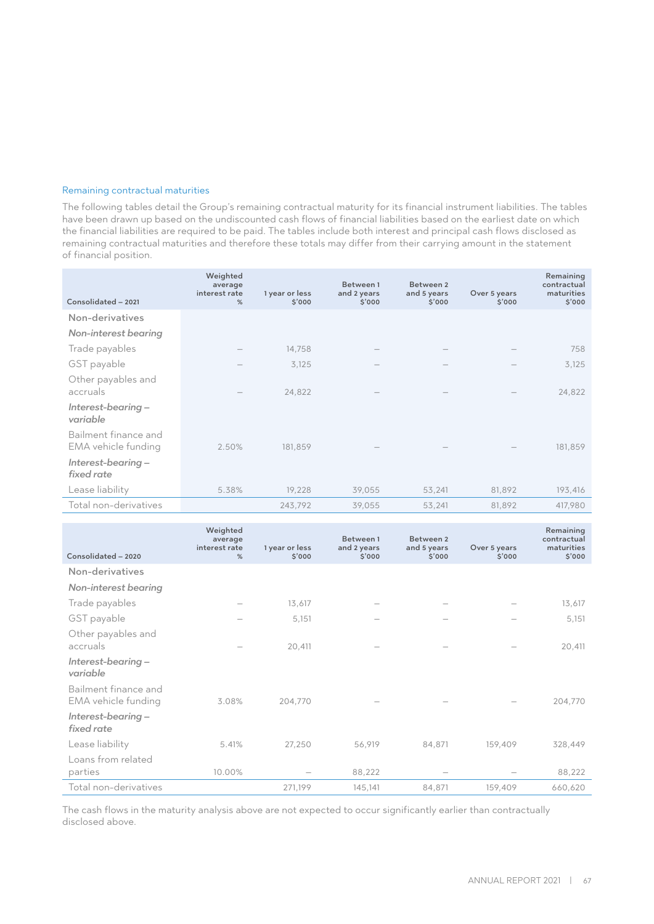#### Remaining contractual maturities

The following tables detail the Group's remaining contractual maturity for its financial instrument liabilities. The tables have been drawn up based on the undiscounted cash flows of financial liabilities based on the earliest date on which the financial liabilities are required to be paid. The tables include both interest and principal cash flows disclosed as remaining contractual maturities and therefore these totals may differ from their carrying amount in the statement of financial position.

| Consolidated - 2021                         | Weighted<br>average<br>interest rate<br>% | 1 year or less<br>\$'000 | Between 1<br>and 2 years<br>\$'000 | Between 2<br>and 5 years<br>\$'000 | Over 5 years<br>\$'000 | Remaining<br>contractual<br>maturities<br>\$'000 |
|---------------------------------------------|-------------------------------------------|--------------------------|------------------------------------|------------------------------------|------------------------|--------------------------------------------------|
| Non-derivatives                             |                                           |                          |                                    |                                    |                        |                                                  |
| <b>Non-interest bearing</b>                 |                                           |                          |                                    |                                    |                        |                                                  |
| Trade payables                              |                                           | 14,758                   |                                    |                                    |                        | 758                                              |
| GST payable                                 |                                           | 3,125                    |                                    |                                    |                        | 3,125                                            |
| Other payables and<br>accruals              |                                           | 24,822                   |                                    |                                    |                        | 24,822                                           |
| Interest-bearing -<br>variable              |                                           |                          |                                    |                                    |                        |                                                  |
| Bailment finance and<br>EMA vehicle funding | 2.50%                                     | 181,859                  |                                    |                                    |                        | 181,859                                          |
| Interest-bearing –<br>fixed rate            |                                           |                          |                                    |                                    |                        |                                                  |
| Lease liability                             | 5.38%                                     | 19,228                   | 39,055                             | 53,241                             | 81,892                 | 193,416                                          |
| Total non-derivatives                       |                                           | 243,792                  | 39,055                             | 53,241                             | 81,892                 | 417,980                                          |

| Consolidated - 2020                         | Weighted<br>average<br>interest rate<br>% | 1 year or less<br>\$'000 | Between 1<br>and 2 years<br>\$'000 | Between 2<br>and 5 years<br>\$'000 | Over 5 years<br>\$'000 | Remaining<br>contractual<br>maturities<br>\$'000 |
|---------------------------------------------|-------------------------------------------|--------------------------|------------------------------------|------------------------------------|------------------------|--------------------------------------------------|
| Non-derivatives                             |                                           |                          |                                    |                                    |                        |                                                  |
| <b>Non-interest bearing</b>                 |                                           |                          |                                    |                                    |                        |                                                  |
| Trade payables                              |                                           | 13,617                   |                                    |                                    |                        | 13,617                                           |
| GST payable                                 |                                           | 5,151                    |                                    |                                    |                        | 5,151                                            |
| Other payables and<br>accruals              |                                           | 20,411                   |                                    |                                    |                        | 20,411                                           |
| Interest-bearing –<br>variable              |                                           |                          |                                    |                                    |                        |                                                  |
| Bailment finance and<br>EMA vehicle funding | 3.08%                                     | 204,770                  |                                    |                                    |                        | 204,770                                          |
| Interest-bearing -<br>fixed rate            |                                           |                          |                                    |                                    |                        |                                                  |
| Lease liability                             | 5.41%                                     | 27,250                   | 56,919                             | 84,871                             | 159,409                | 328,449                                          |
| Loans from related<br>parties               | 10.00%                                    |                          | 88,222                             |                                    |                        | 88,222                                           |
| Total non-derivatives                       |                                           | 271,199                  | 145,141                            | 84,871                             | 159,409                | 660,620                                          |

The cash flows in the maturity analysis above are not expected to occur significantly earlier than contractually disclosed above.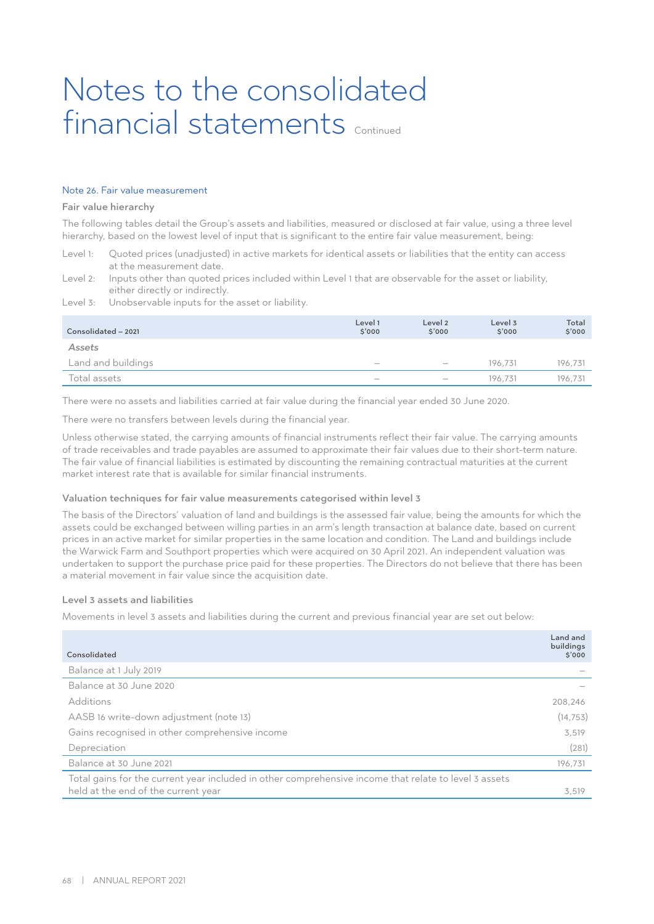#### Note 26. Fair value measurement

#### Fair value hierarchy

The following tables detail the Group's assets and liabilities, measured or disclosed at fair value, using a three level hierarchy, based on the lowest level of input that is significant to the entire fair value measurement, being:

Level 1: Quoted prices (unadjusted) in active markets for identical assets or liabilities that the entity can access at the measurement date.

Level 2: Inputs other than quoted prices included within Level 1 that are observable for the asset or liability, either directly or indirectly.

Level 3: Unobservable inputs for the asset or liability.

| Consolidated - 2021 | Level 1<br>\$'000               | Level 2<br>\$'000 | Level 3<br>\$'000 | Total<br>\$'000 |
|---------------------|---------------------------------|-------------------|-------------------|-----------------|
| Assets              |                                 |                   |                   |                 |
| Land and buildings  | $\hspace{0.1mm}-\hspace{0.1mm}$ | $\hspace{0.05cm}$ | 196.731           | 196.731         |
| Total assets        | $\hspace{0.1mm}-\hspace{0.1mm}$ |                   | 196.731           | 196.731         |

There were no assets and liabilities carried at fair value during the financial year ended 30 June 2020.

There were no transfers between levels during the financial year.

Unless otherwise stated, the carrying amounts of financial instruments reflect their fair value. The carrying amounts of trade receivables and trade payables are assumed to approximate their fair values due to their short-term nature. The fair value of financial liabilities is estimated by discounting the remaining contractual maturities at the current market interest rate that is available for similar financial instruments.

#### Valuation techniques for fair value measurements categorised within level 3

The basis of the Directors' valuation of land and buildings is the assessed fair value, being the amounts for which the assets could be exchanged between willing parties in an arm's length transaction at balance date, based on current prices in an active market for similar properties in the same location and condition. The Land and buildings include the Warwick Farm and Southport properties which were acquired on 30 April 2021. An independent valuation was undertaken to support the purchase price paid for these properties. The Directors do not believe that there has been a material movement in fair value since the acquisition date.

#### Level 3 assets and liabilities

Movements in level 3 assets and liabilities during the current and previous financial year are set out below:

|                                                                                                       | Land and<br>buildings |
|-------------------------------------------------------------------------------------------------------|-----------------------|
| Consolidated                                                                                          | \$'000                |
| Balance at 1 July 2019                                                                                |                       |
| Balance at 30 June 2020                                                                               |                       |
| Additions                                                                                             | 208,246               |
| AASB 16 write-down adjustment (note 13)                                                               | (14, 753)             |
| Gains recognised in other comprehensive income                                                        | 3,519                 |
| Depreciation                                                                                          | (281)                 |
| Balance at 30 June 2021                                                                               | 196,731               |
| Total gains for the current year included in other comprehensive income that relate to level 3 assets |                       |
| held at the end of the current year                                                                   | 3,519                 |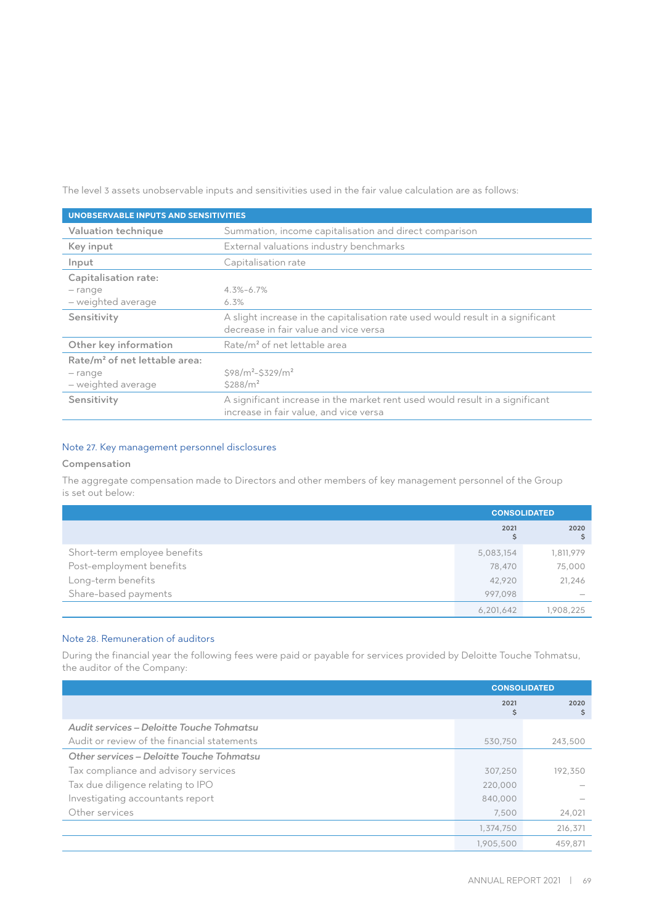The level 3 assets unobservable inputs and sensitivities used in the fair value calculation are as follows:

| <b>UNOBSERVABLE INPUTS AND SENSITIVITIES</b> |                                                                                                                          |  |
|----------------------------------------------|--------------------------------------------------------------------------------------------------------------------------|--|
| Valuation technique                          | Summation, income capitalisation and direct comparison                                                                   |  |
| Key input                                    | External valuations industry benchmarks                                                                                  |  |
| Input                                        | Capitalisation rate                                                                                                      |  |
| Capitalisation rate:                         |                                                                                                                          |  |
| - range                                      | $4.3\% - 6.7\%$                                                                                                          |  |
| - weighted average                           | 6.3%                                                                                                                     |  |
| Sensitivity                                  | A slight increase in the capitalisation rate used would result in a significant<br>decrease in fair value and vice versa |  |
| Other key information                        | Rate/m <sup>2</sup> of net lettable area                                                                                 |  |
| Rate/m <sup>2</sup> of net lettable area:    |                                                                                                                          |  |
| – range                                      | $$98/m^2 - $329/m^2$                                                                                                     |  |
| - weighted average                           | \$288/m <sup>2</sup>                                                                                                     |  |
| Sensitivity                                  | A significant increase in the market rent used would result in a significant<br>increase in fair value, and vice versa   |  |

## Note 27. Key management personnel disclosures

## Compensation

The aggregate compensation made to Directors and other members of key management personnel of the Group is set out below:

|                              |            | <b>CONSOLIDATED</b> |
|------------------------------|------------|---------------------|
|                              | 2021<br>\$ | 2020                |
| Short-term employee benefits | 5,083,154  | 1,811,979           |
| Post-employment benefits     | 78,470     | 75,000              |
| Long-term benefits           | 42,920     | 21,246              |
| Share-based payments         | 997.098    |                     |
|                              | 6,201,642  | 1,908,225           |

## Note 28. Remuneration of auditors

During the financial year the following fees were paid or payable for services provided by Deloitte Touche Tohmatsu, the auditor of the Company:

|                                             |            | <b>CONSOLIDATED</b> |
|---------------------------------------------|------------|---------------------|
|                                             | 2021<br>\$ | 2020<br>\$          |
| Audit services - Deloitte Touche Tohmatsu   |            |                     |
| Audit or review of the financial statements | 530,750    | 243,500             |
| Other services - Deloitte Touche Tohmatsu   |            |                     |
| Tax compliance and advisory services        | 307,250    | 192,350             |
| Tax due diligence relating to IPO           | 220,000    |                     |
| Investigating accountants report            | 840,000    |                     |
| Other services                              | 7,500      | 24,021              |
|                                             | 1,374,750  | 216,371             |
|                                             | 1,905,500  | 459.871             |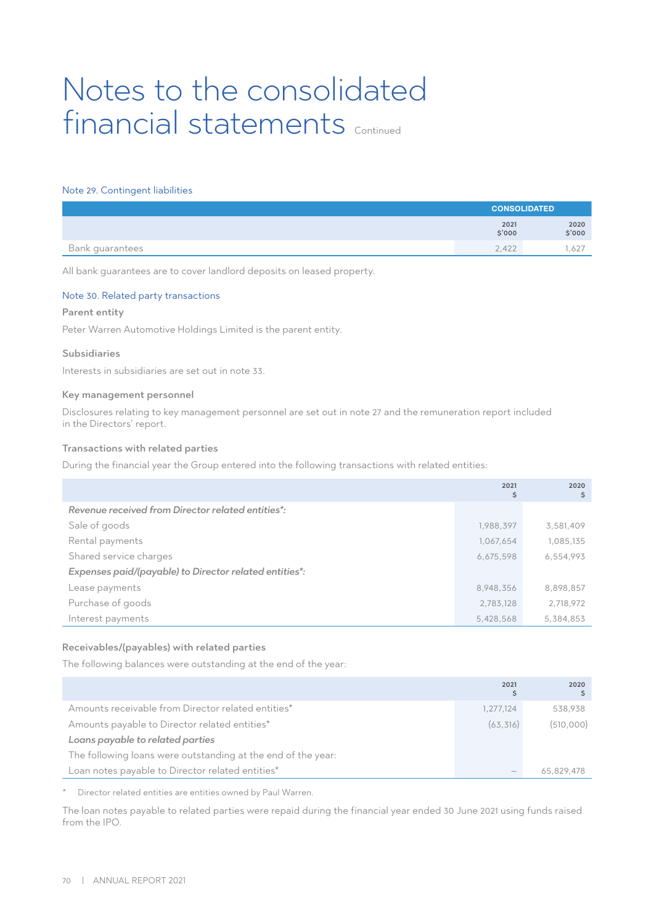#### Note 29. Contingent liabilities

|                 | <b>CONSOLIDATED</b> |                |
|-----------------|---------------------|----------------|
|                 | 2021<br>\$'000      | 2020<br>\$'000 |
| Bank guarantees | 2.422               | .627           |

All bank guarantees are to cover landlord deposits on leased property.

### Note 30. Related party transactions

#### Parent entity

Peter Warren Automotive Holdings Limited is the parent entity.

### Subsidiaries

Interests in subsidiaries are set out in note 33.

#### Key management personnel

Disclosures relating to key management personnel are set out in note 27 and the remuneration report included in the Directors' report.

#### Transactions with related parties

During the financial year the Group entered into the following transactions with related entities:

|                                                        | 2021<br>\$ | 2020<br>\$ |
|--------------------------------------------------------|------------|------------|
| Revenue received from Director related entities*:      |            |            |
| Sale of goods                                          | 1,988,397  | 3,581,409  |
| Rental payments                                        | 1,067,654  | 1,085,135  |
| Shared service charges                                 | 6,675,598  | 6,554,993  |
| Expenses paid/(payable) to Director related entities*: |            |            |
| Lease payments                                         | 8,948,356  | 8,898,857  |
| Purchase of goods                                      | 2,783,128  | 2,718,972  |
| Interest payments                                      | 5,428,568  | 5,384,853  |

## Receivables/(payables) with related parties

The following balances were outstanding at the end of the year:

|                                                              | 2021                            | 2020       |
|--------------------------------------------------------------|---------------------------------|------------|
| Amounts receivable from Director related entities*           | 1,277,124                       | 538.938    |
| Amounts payable to Director related entities*                | (63, 316)                       | (510,000)  |
| Loans payable to related parties                             |                                 |            |
| The following loans were outstanding at the end of the year: |                                 |            |
| Loan notes payable to Director related entities*             | $\hspace{0.1mm}-\hspace{0.1mm}$ | 65,829,478 |

\* Director related entities are entities owned by Paul Warren.

The loan notes payable to related parties were repaid during the financial year ended 30 June 2021 using funds raised from the IPO.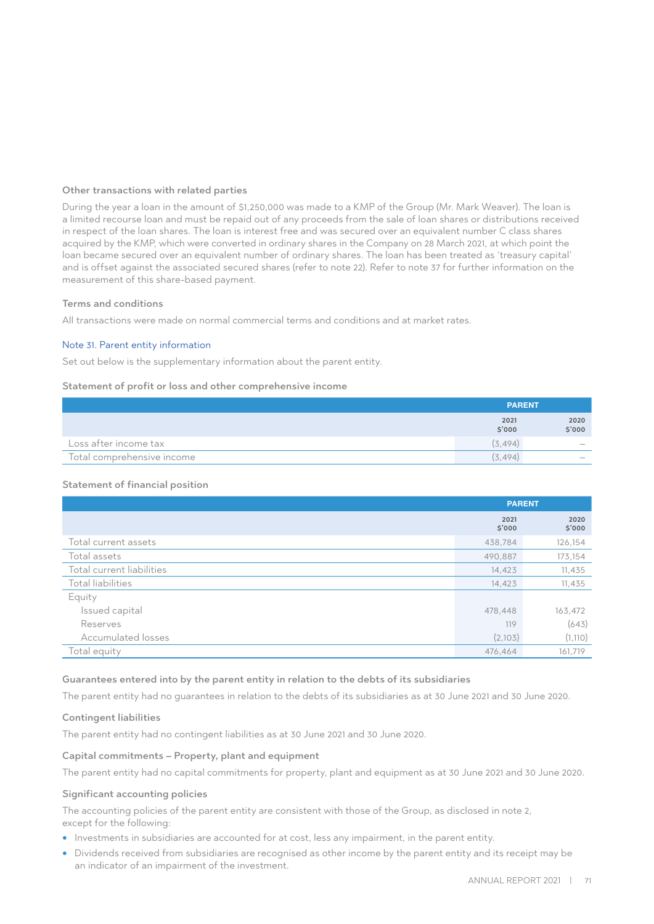### Other transactions with related parties

During the year a loan in the amount of \$1,250,000 was made to a KMP of the Group (Mr. Mark Weaver). The loan is a limited recourse loan and must be repaid out of any proceeds from the sale of loan shares or distributions received in respect of the loan shares. The loan is interest free and was secured over an equivalent number C class shares acquired by the KMP, which were converted in ordinary shares in the Company on 28 March 2021, at which point the loan became secured over an equivalent number of ordinary shares. The loan has been treated as 'treasury capital' and is offset against the associated secured shares (refer to note 22). Refer to note 37 for further information on the measurement of this share-based payment.

### Terms and conditions

All transactions were made on normal commercial terms and conditions and at market rates.

### Note 31. Parent entity information

Set out below is the supplementary information about the parent entity.

### Statement of profit or loss and other comprehensive income

|                            | <b>PARENT</b>  |                                 |
|----------------------------|----------------|---------------------------------|
|                            | 2021<br>\$'000 | 2020<br>\$'000                  |
| Loss after income tax      | (3.494)        | $\hspace{0.1mm}-\hspace{0.1mm}$ |
| Total comprehensive income | (3.494)        | $\overline{\phantom{a}}$        |

## Statement of financial position

|                           | <b>PARENT</b>  |                |
|---------------------------|----------------|----------------|
|                           | 2021<br>\$'000 | 2020<br>\$'000 |
| Total current assets      | 438,784        | 126,154        |
| Total assets              | 490,887        | 173,154        |
| Total current liabilities | 14,423         | 11,435         |
| Total liabilities         | 14,423         | 11,435         |
| Equity                    |                |                |
| Issued capital            | 478,448        | 163,472        |
| Reserves                  | 119            | (643)          |
| Accumulated losses        | (2,103)        | (1, 110)       |
| Total equity              | 476,464        | 161,719        |

## Guarantees entered into by the parent entity in relation to the debts of its subsidiaries

The parent entity had no guarantees in relation to the debts of its subsidiaries as at 30 June 2021 and 30 June 2020.

#### Contingent liabilities

The parent entity had no contingent liabilities as at 30 June 2021 and 30 June 2020.

#### Capital commitments – Property, plant and equipment

The parent entity had no capital commitments for property, plant and equipment as at 30 June 2021 and 30 June 2020.

## Significant accounting policies

The accounting policies of the parent entity are consistent with those of the Group, as disclosed in note 2, except for the following:

- Investments in subsidiaries are accounted for at cost, less any impairment, in the parent entity.
- Dividends received from subsidiaries are recognised as other income by the parent entity and its receipt may be an indicator of an impairment of the investment.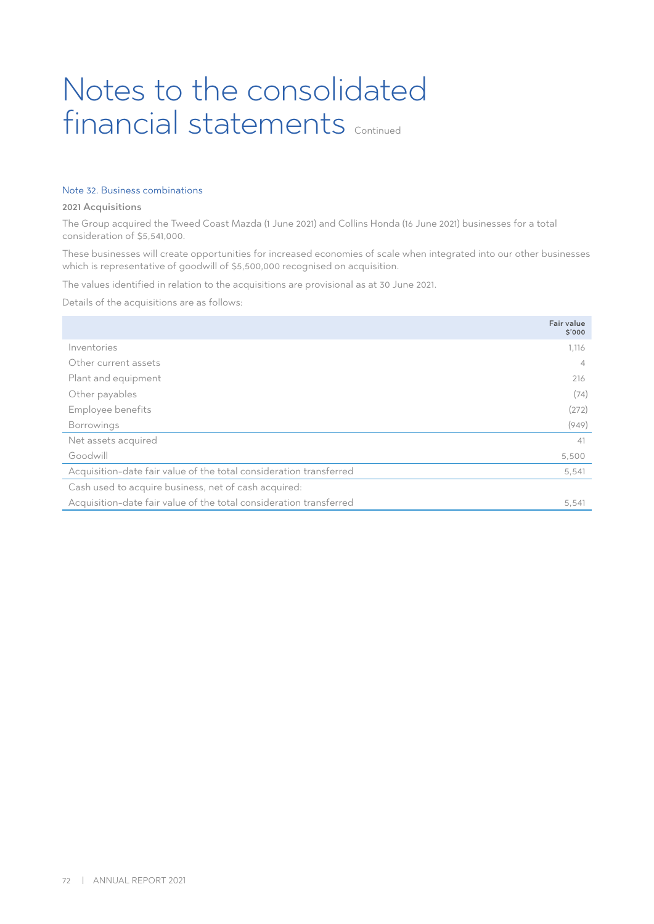## Note 32. Business combinations

#### 2021 Acquisitions

The Group acquired the Tweed Coast Mazda (1 June 2021) and Collins Honda (16 June 2021) businesses for a total consideration of \$5,541,000.

These businesses will create opportunities for increased economies of scale when integrated into our other businesses which is representative of goodwill of \$5,500,000 recognised on acquisition.

The values identified in relation to the acquisitions are provisional as at 30 June 2021.

Details of the acquisitions are as follows:

|                                                                    | <b>Fair value</b><br>\$'000 |
|--------------------------------------------------------------------|-----------------------------|
| Inventories                                                        | 1,116                       |
| Other current assets                                               | $\overline{4}$              |
| Plant and equipment                                                | 216                         |
| Other payables                                                     | (74)                        |
| Employee benefits                                                  | (272)                       |
| <b>Borrowings</b>                                                  | (949)                       |
| Net assets acquired                                                | 41                          |
| Goodwill                                                           | 5,500                       |
| Acquisition-date fair value of the total consideration transferred | 5,541                       |
| Cash used to acquire business, net of cash acquired:               |                             |
| Acquisition-date fair value of the total consideration transferred | 5,541                       |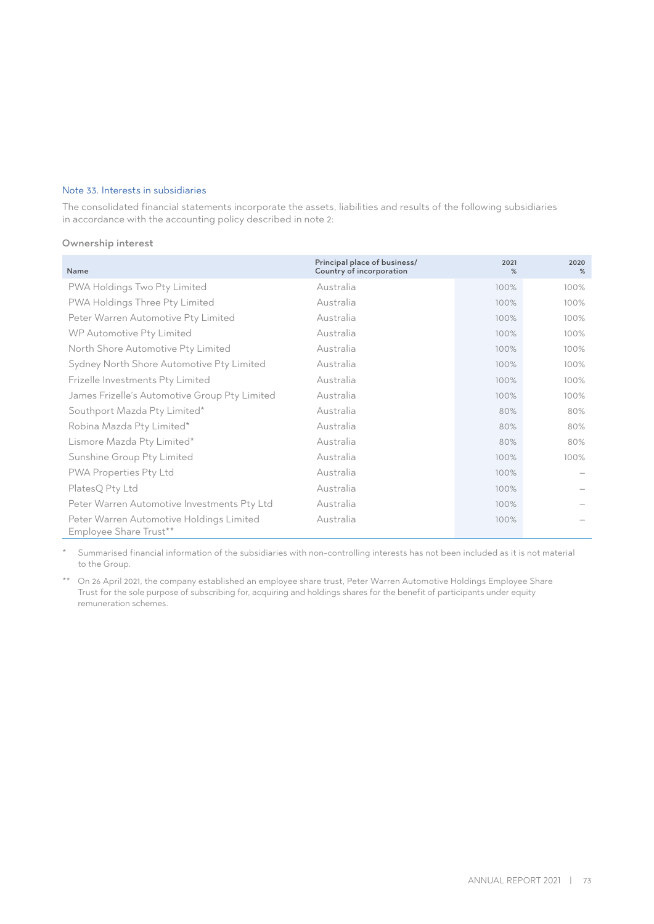# Note 33. Interests in subsidiaries

The consolidated financial statements incorporate the assets, liabilities and results of the following subsidiaries in accordance with the accounting policy described in note 2:

# Ownership interest

| Name                                                               | Principal place of business/<br>Country of incorporation | 2021<br>% | 2020<br>% |
|--------------------------------------------------------------------|----------------------------------------------------------|-----------|-----------|
| PWA Holdings Two Pty Limited                                       | Australia                                                | 100%      | 100%      |
| PWA Holdings Three Pty Limited                                     | Australia                                                | 100%      | 100%      |
| Peter Warren Automotive Pty Limited                                | Australia                                                | 100%      | 100%      |
| WP Automotive Pty Limited                                          | Australia                                                | 100%      | 100%      |
| North Shore Automotive Pty Limited                                 | Australia                                                | 100%      | 100%      |
| Sydney North Shore Automotive Pty Limited                          | Australia                                                | 100%      | 100%      |
| Frizelle Investments Pty Limited                                   | Australia                                                | 100%      | 100%      |
| James Frizelle's Automotive Group Pty Limited                      | Australia                                                | 100%      | 100%      |
| Southport Mazda Pty Limited*                                       | Australia                                                | 80%       | 80%       |
| Robina Mazda Pty Limited*                                          | Australia                                                | 80%       | 80%       |
| Lismore Mazda Pty Limited*                                         | Australia                                                | 80%       | 80%       |
| Sunshine Group Pty Limited                                         | Australia                                                | 100%      | 100%      |
| PWA Properties Pty Ltd                                             | Australia                                                | 100%      |           |
| PlatesQ Pty Ltd                                                    | Australia                                                | 100%      |           |
| Peter Warren Automotive Investments Pty Ltd                        | Australia                                                | 100%      |           |
| Peter Warren Automotive Holdings Limited<br>Employee Share Trust** | Australia                                                | 100%      |           |

Summarised financial information of the subsidiaries with non-controlling interests has not been included as it is not material to the Group.

\*\* On 26 April 2021, the company established an employee share trust, Peter Warren Automotive Holdings Employee Share Trust for the sole purpose of subscribing for, acquiring and holdings shares for the benefit of participants under equity remuneration schemes.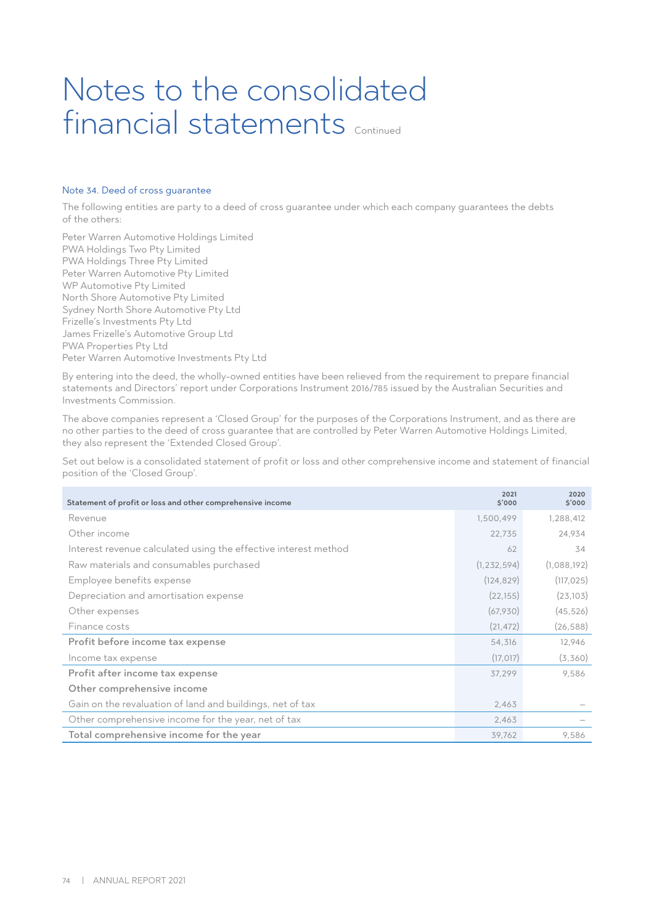# Notes to the consolidated financial statements Continued

# Note 34. Deed of cross guarantee

The following entities are party to a deed of cross guarantee under which each company guarantees the debts of the others:

Peter Warren Automotive Holdings Limited PWA Holdings Two Pty Limited PWA Holdings Three Pty Limited Peter Warren Automotive Pty Limited WP Automotive Pty Limited North Shore Automotive Pty Limited Sydney North Shore Automotive Pty Ltd Frizelle's Investments Pty Ltd James Frizelle's Automotive Group Ltd PWA Properties Pty Ltd Peter Warren Automotive Investments Pty Ltd

By entering into the deed, the wholly-owned entities have been relieved from the requirement to prepare financial statements and Directors' report under Corporations Instrument 2016/785 issued by the Australian Securities and Investments Commission.

The above companies represent a 'Closed Group' for the purposes of the Corporations Instrument, and as there are no other parties to the deed of cross guarantee that are controlled by Peter Warren Automotive Holdings Limited, they also represent the 'Extended Closed Group'.

Set out below is a consolidated statement of profit or loss and other comprehensive income and statement of financial position of the 'Closed Group'.

| Statement of profit or loss and other comprehensive income      | 2021<br>\$'000 | 2020<br>\$'000 |
|-----------------------------------------------------------------|----------------|----------------|
| Revenue                                                         | 1,500,499      | 1,288,412      |
| Other income                                                    | 22,735         | 24,934         |
| Interest revenue calculated using the effective interest method | 62             | 34             |
| Raw materials and consumables purchased                         | (1, 232, 594)  | (1,088,192)    |
| Employee benefits expense                                       | (124, 829)     | (117, 025)     |
| Depreciation and amortisation expense                           | (22, 155)      | (23, 103)      |
| Other expenses                                                  | (67,930)       | (45, 526)      |
| Finance costs                                                   | (21, 472)      | (26, 588)      |
| Profit before income tax expense                                | 54,316         | 12,946         |
| Income tax expense                                              | (17, 017)      | (3,360)        |
| Profit after income tax expense                                 | 37,299         | 9,586          |
| Other comprehensive income                                      |                |                |
| Gain on the revaluation of land and buildings, net of tax       | 2,463          |                |
| Other comprehensive income for the year, net of tax             | 2,463          |                |
| Total comprehensive income for the year                         | 39,762         | 9,586          |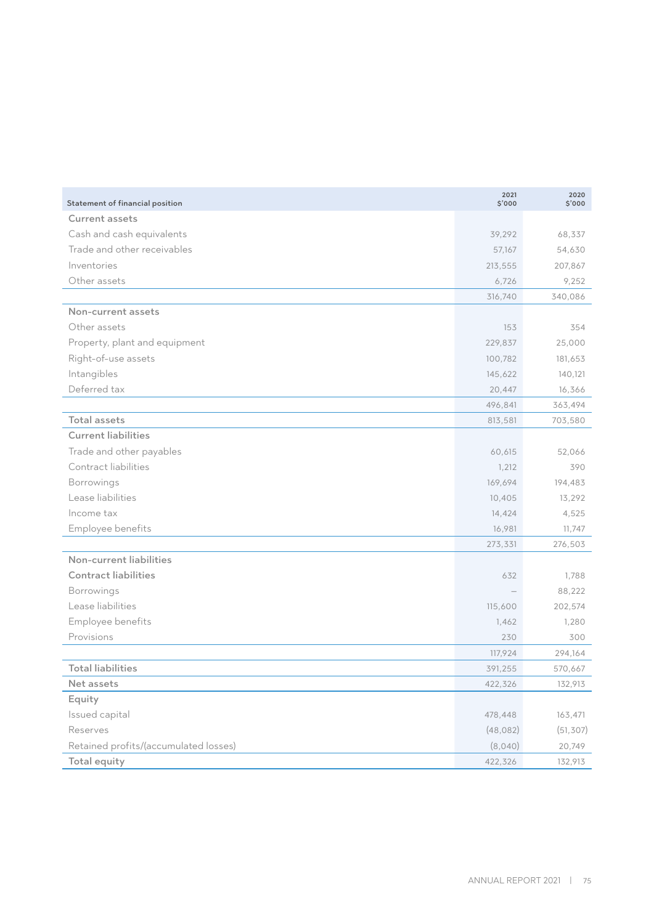| Statement of financial position       | 2021<br>\$'000 | 2020<br>\$'000 |
|---------------------------------------|----------------|----------------|
| <b>Current assets</b>                 |                |                |
| Cash and cash equivalents             | 39,292         | 68,337         |
| Trade and other receivables           | 57,167         | 54,630         |
| Inventories                           | 213,555        | 207,867        |
| Other assets                          | 6,726          | 9,252          |
|                                       | 316,740        | 340,086        |
| Non-current assets                    |                |                |
| Other assets                          | 153            | 354            |
| Property, plant and equipment         | 229,837        | 25,000         |
| Right-of-use assets                   | 100,782        | 181,653        |
| Intangibles                           | 145,622        | 140,121        |
| Deferred tax                          | 20,447         | 16,366         |
|                                       | 496,841        | 363,494        |
| <b>Total assets</b>                   | 813,581        | 703,580        |
| <b>Current liabilities</b>            |                |                |
| Trade and other payables              | 60,615         | 52,066         |
| Contract liabilities                  | 1,212          | 390            |
| Borrowings                            | 169,694        | 194,483        |
| Lease liabilities                     | 10,405         | 13,292         |
| Income tax                            | 14,424         | 4,525          |
| Employee benefits                     | 16,981         | 11,747         |
|                                       | 273,331        | 276,503        |
| Non-current liabilities               |                |                |
| <b>Contract liabilities</b>           | 632            | 1,788          |
| Borrowings                            |                | 88,222         |
| Lease liabilities                     | 115,600        | 202,574        |
| Employee benefits                     | 1,462          | 1,280          |
| Provisions                            | 230            | 300            |
|                                       | 117,924        | 294,164        |
| <b>Total liabilities</b>              | 391,255        | 570,667        |
| Net assets                            | 422,326        | 132,913        |
| Equity                                |                |                |
| Issued capital                        | 478,448        | 163,471        |
| Reserves                              | (48, 082)      | (51, 307)      |
| Retained profits/(accumulated losses) | (8,040)        | 20,749         |
| <b>Total equity</b>                   | 422,326        | 132,913        |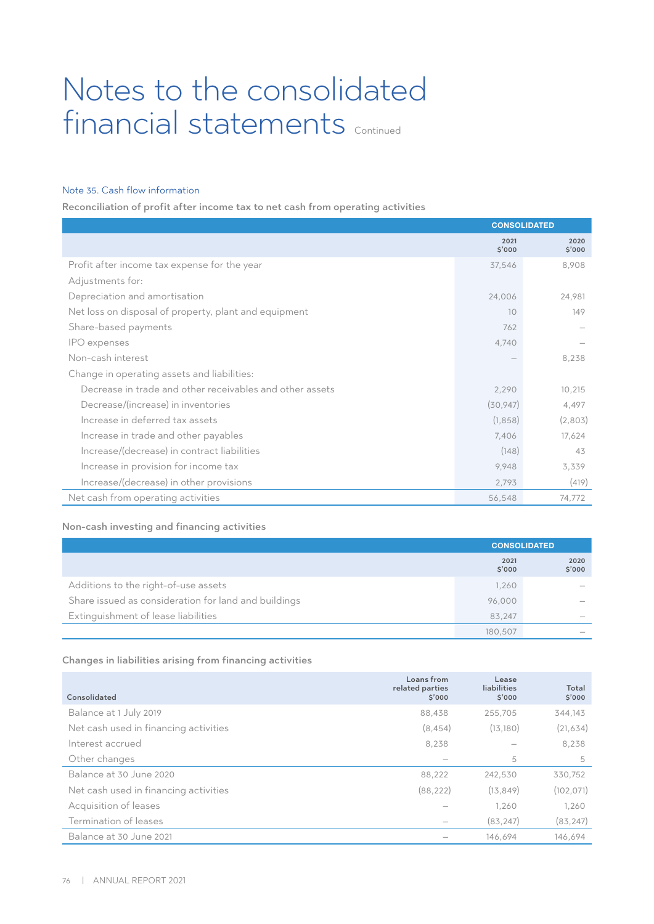# Notes to the consolidated financial statements Continued

# Note 35. Cash flow information

Reconciliation of profit after income tax to net cash from operating activities

|                                                          | <b>CONSOLIDATED</b> |                |
|----------------------------------------------------------|---------------------|----------------|
|                                                          | 2021<br>\$'000      | 2020<br>\$'000 |
| Profit after income tax expense for the year             | 37,546              | 8,908          |
| Adjustments for:                                         |                     |                |
| Depreciation and amortisation                            | 24,006              | 24,981         |
| Net loss on disposal of property, plant and equipment    | 10                  | 149            |
| Share-based payments                                     | 762                 |                |
| IPO expenses                                             | 4,740               |                |
| Non-cash interest                                        |                     | 8,238          |
| Change in operating assets and liabilities:              |                     |                |
| Decrease in trade and other receivables and other assets | 2,290               | 10,215         |
| Decrease/(increase) in inventories                       | (30, 947)           | 4,497          |
| Increase in deferred tax assets                          | (1, 858)            | (2,803)        |
| Increase in trade and other payables                     | 7,406               | 17,624         |
| Increase/(decrease) in contract liabilities              | (148)               | 43             |
| Increase in provision for income tax                     | 9,948               | 3,339          |
| Increase/(decrease) in other provisions                  | 2,793               | (419)          |
| Net cash from operating activities                       | 56,548              | 74,772         |

# Non-cash investing and financing activities

|                                                      |                | <b>CONSOLIDATED</b>      |  |
|------------------------------------------------------|----------------|--------------------------|--|
|                                                      | 2021<br>\$'000 | 2020<br>\$'000           |  |
| Additions to the right-of-use assets                 | 1,260          |                          |  |
| Share issued as consideration for land and buildings | 96,000         |                          |  |
| Extinguishment of lease liabilities                  | 83,247         | $\overline{\phantom{a}}$ |  |
|                                                      | 180.507        |                          |  |

# Changes in liabilities arising from financing activities

| Consolidated                          | Loans from<br>related parties<br>\$'000 | Lease<br><b>liabilities</b><br>\$'000 | Total<br>\$'000 |
|---------------------------------------|-----------------------------------------|---------------------------------------|-----------------|
| Balance at 1 July 2019                | 88,438                                  | 255.705                               | 344,143         |
| Net cash used in financing activities | (8, 454)                                | (13.180)                              | (21, 634)       |
| Interest accrued                      | 8,238                                   |                                       | 8,238           |
| Other changes                         |                                         | 5                                     | 5               |
| Balance at 30 June 2020               | 88,222                                  | 242,530                               | 330,752         |
| Net cash used in financing activities | (88, 222)                               | (13, 849)                             | (102, 071)      |
| Acquisition of leases                 |                                         | 1,260                                 | 1,260           |
| Termination of leases                 |                                         | (83, 247)                             | (83, 247)       |
| Balance at 30 June 2021               |                                         | 146.694                               | 146.694         |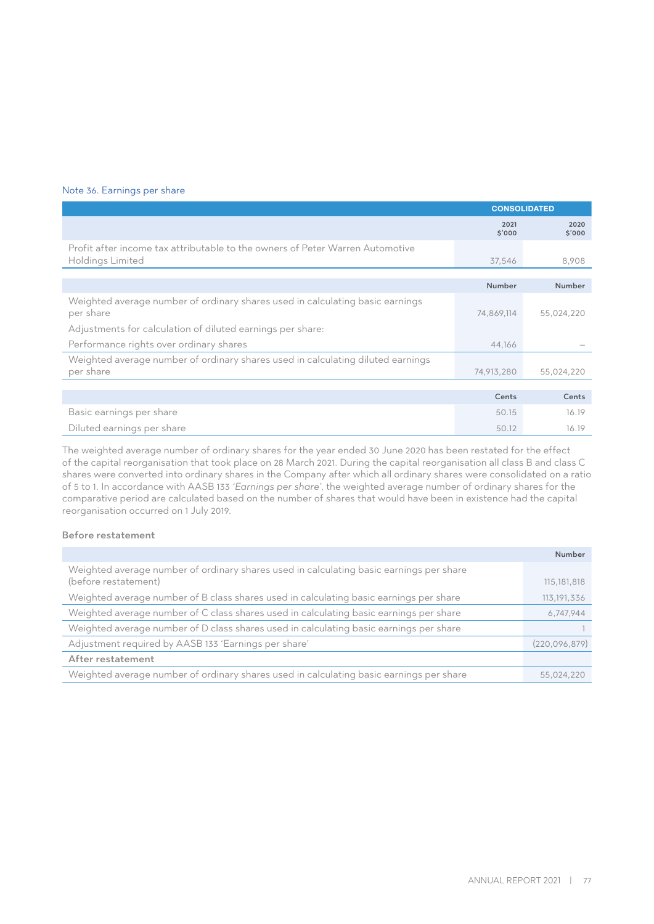## Note 36. Earnings per share

|                                                                                                          | <b>CONSOLIDATED</b> |                |
|----------------------------------------------------------------------------------------------------------|---------------------|----------------|
|                                                                                                          | 2021<br>\$'000      | 2020<br>\$'000 |
| Profit after income tax attributable to the owners of Peter Warren Automotive<br><b>Holdings Limited</b> | 37,546              | 8,908          |
|                                                                                                          |                     |                |
|                                                                                                          | Number              | Number         |
| Weighted average number of ordinary shares used in calculating basic earnings<br>per share               | 74,869,114          | 55,024,220     |
| Adjustments for calculation of diluted earnings per share:                                               |                     |                |
| Performance rights over ordinary shares                                                                  | 44,166              |                |
| Weighted average number of ordinary shares used in calculating diluted earnings                          |                     |                |
| per share                                                                                                | 74,913,280          | 55,024,220     |
|                                                                                                          |                     |                |
|                                                                                                          | Cents               | Cents          |
| Basic earnings per share                                                                                 | 50.15               | 16.19          |
| Diluted earnings per share                                                                               | 50.12               | 16.19          |

The weighted average number of ordinary shares for the year ended 30 June 2020 has been restated for the effect of the capital reorganisation that took place on 28 March 2021. During the capital reorganisation all class B and class C shares were converted into ordinary shares in the Company after which all ordinary shares were consolidated on a ratio of 5 to 1. In accordance with AASB 133 *'Earnings per share'*, the weighted average number of ordinary shares for the comparative period are calculated based on the number of shares that would have been in existence had the capital reorganisation occurred on 1 July 2019.

## Before restatement

|                                                                                                                 | Number        |
|-----------------------------------------------------------------------------------------------------------------|---------------|
| Weighted average number of ordinary shares used in calculating basic earnings per share<br>(before restatement) | 115, 181, 818 |
| Weighted average number of B class shares used in calculating basic earnings per share                          | 113, 191, 336 |
| Weighted average number of C class shares used in calculating basic earnings per share                          | 6,747,944     |
| Weighted average number of D class shares used in calculating basic earnings per share                          |               |
| Adjustment required by AASB 133 'Earnings per share'                                                            | (220,096,879) |
| After restatement                                                                                               |               |
| Weighted average number of ordinary shares used in calculating basic earnings per share                         | 55,024,220    |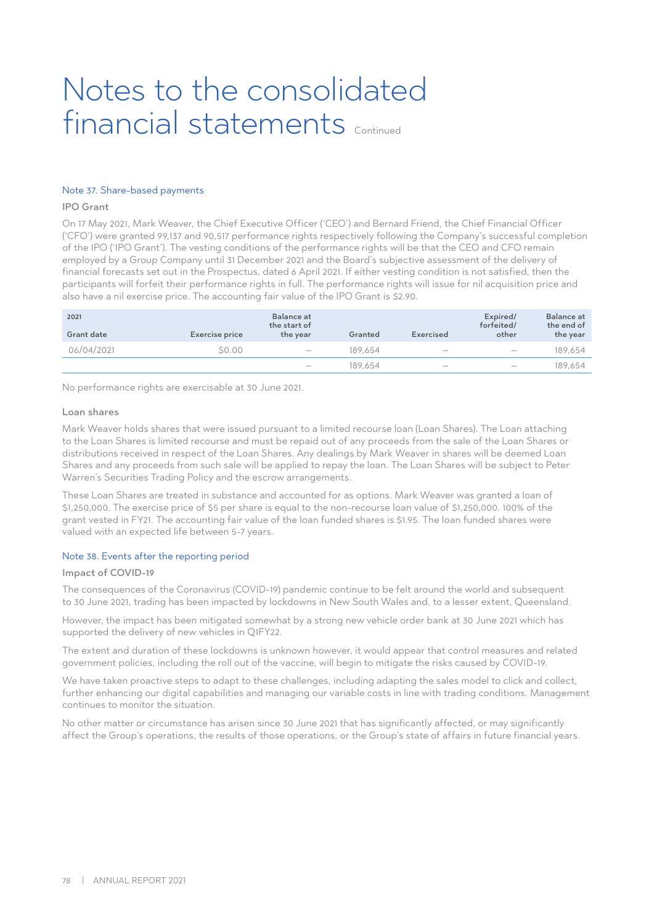# Notes to the consolidated financial statements continued

## Note 37. Share-based payments

## IPO Grant

On 17 May 2021, Mark Weaver, the Chief Executive Officer ('CEO') and Bernard Friend, the Chief Financial Officer ('CFO') were granted 99,137 and 90,517 performance rights respectively following the Company's successful completion of the IPO ('IPO Grant'). The vesting conditions of the performance rights will be that the CEO and CFO remain employed by a Group Company until 31 December 2021 and the Board's subjective assessment of the delivery of financial forecasts set out in the Prospectus, dated 6 April 2021. If either vesting condition is not satisfied, then the participants will forfeit their performance rights in full. The performance rights will issue for nil acquisition price and also have a nil exercise price. The accounting fair value of the IPO Grant is \$2.90.

| 2021<br>Grant date | Exercise price | <b>Balance at</b><br>the start of<br>the year | Granted | Exercised         | Expired/<br>forfeited/<br>other | <b>Balance</b> at<br>the end of<br>the year |
|--------------------|----------------|-----------------------------------------------|---------|-------------------|---------------------------------|---------------------------------------------|
| 06/04/2021         | \$0.00         | $\hspace{0.1mm}-\hspace{0.1mm}$               | 189.654 | $\hspace{0.05cm}$ | $\hspace{0.1mm}-\hspace{0.1mm}$ | 189.654                                     |
|                    |                | $\hspace{0.1mm}-\hspace{0.1mm}$               | 189.654 | $\hspace{0.05cm}$ | $\hspace{0.1mm}-\hspace{0.1mm}$ | 189.654                                     |

No performance rights are exercisable at 30 June 2021.

#### Loan shares

Mark Weaver holds shares that were issued pursuant to a limited recourse loan (Loan Shares). The Loan attaching to the Loan Shares is limited recourse and must be repaid out of any proceeds from the sale of the Loan Shares or distributions received in respect of the Loan Shares. Any dealings by Mark Weaver in shares will be deemed Loan Shares and any proceeds from such sale will be applied to repay the loan. The Loan Shares will be subject to Peter Warren's Securities Trading Policy and the escrow arrangements.

These Loan Shares are treated in substance and accounted for as options. Mark Weaver was granted a loan of \$1,250,000. The exercise price of \$5 per share is equal to the non-recourse loan value of \$1,250,000. 100% of the grant vested in FY21. The accounting fair value of the loan funded shares is \$1.95. The loan funded shares were valued with an expected life between 5-7 years.

## Note 38. Events after the reporting period

## Impact of COVID-19

The consequences of the Coronavirus (COVID-19) pandemic continue to be felt around the world and subsequent to 30 June 2021, trading has been impacted by lockdowns in New South Wales and, to a lesser extent, Queensland.

However, the impact has been mitigated somewhat by a strong new vehicle order bank at 30 June 2021 which has supported the delivery of new vehicles in Q1FY22.

The extent and duration of these lockdowns is unknown however, it would appear that control measures and related government policies, including the roll out of the vaccine, will begin to mitigate the risks caused by COVID-19.

We have taken proactive steps to adapt to these challenges, including adapting the sales model to click and collect, further enhancing our digital capabilities and managing our variable costs in line with trading conditions. Management continues to monitor the situation.

No other matter or circumstance has arisen since 30 June 2021 that has significantly affected, or may significantly affect the Group's operations, the results of those operations, or the Group's state of affairs in future financial years.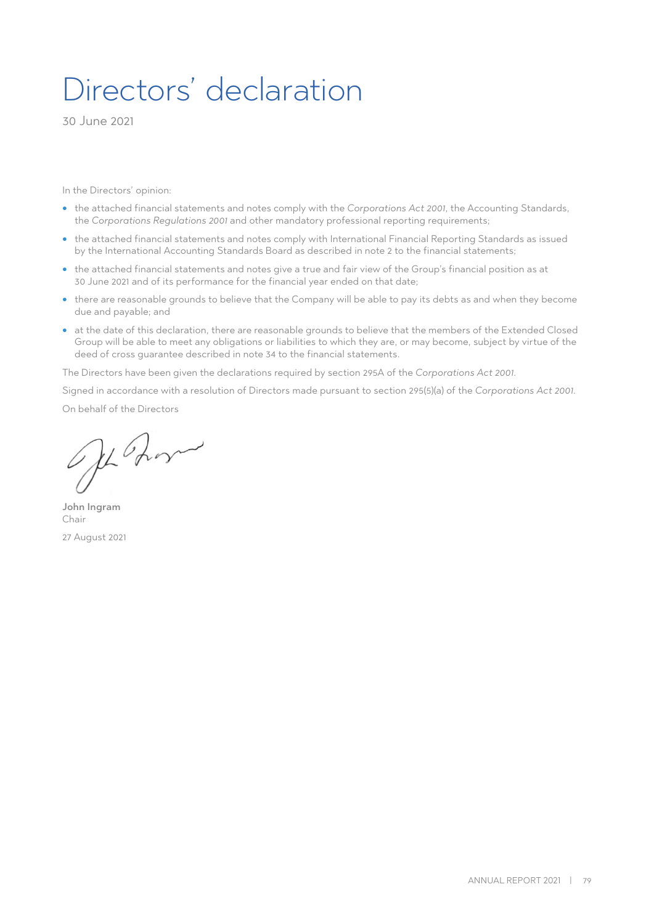# Directors' declaration

30 June 2021

In the Directors' opinion:

- the attached financial statements and notes comply with the *Corporations Act 2001*, the Accounting Standards, the *Corporations Regulations 2001* and other mandatory professional reporting requirements;
- the attached financial statements and notes comply with International Financial Reporting Standards as issued by the International Accounting Standards Board as described in note 2 to the financial statements;
- the attached financial statements and notes give a true and fair view of the Group's financial position as at 30 June 2021 and of its performance for the financial year ended on that date;
- there are reasonable grounds to believe that the Company will be able to pay its debts as and when they become due and payable; and
- at the date of this declaration, there are reasonable grounds to believe that the members of the Extended Closed Group will be able to meet any obligations or liabilities to which they are, or may become, subject by virtue of the deed of cross guarantee described in note 34 to the financial statements.

The Directors have been given the declarations required by section 295A of the *Corporations Act 2001*.

Signed in accordance with a resolution of Directors made pursuant to section 295(5)(a) of the *Corporations Act 2001*.

On behalf of the Directors

OffBorn

John Ingram Chair 27 August 2021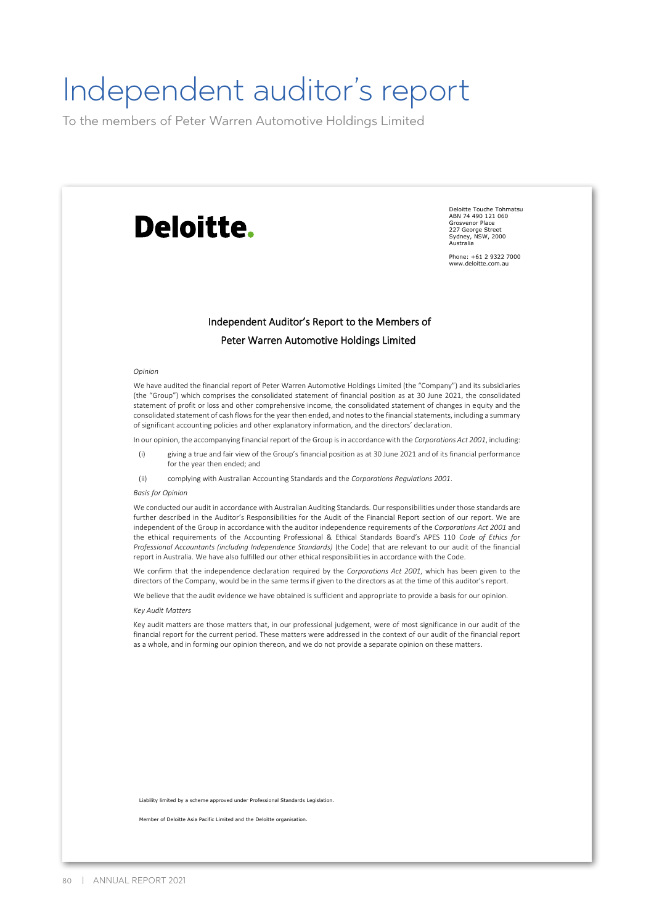# Independent auditor's report

To the members of Peter Warren Automotive Holdings Limited

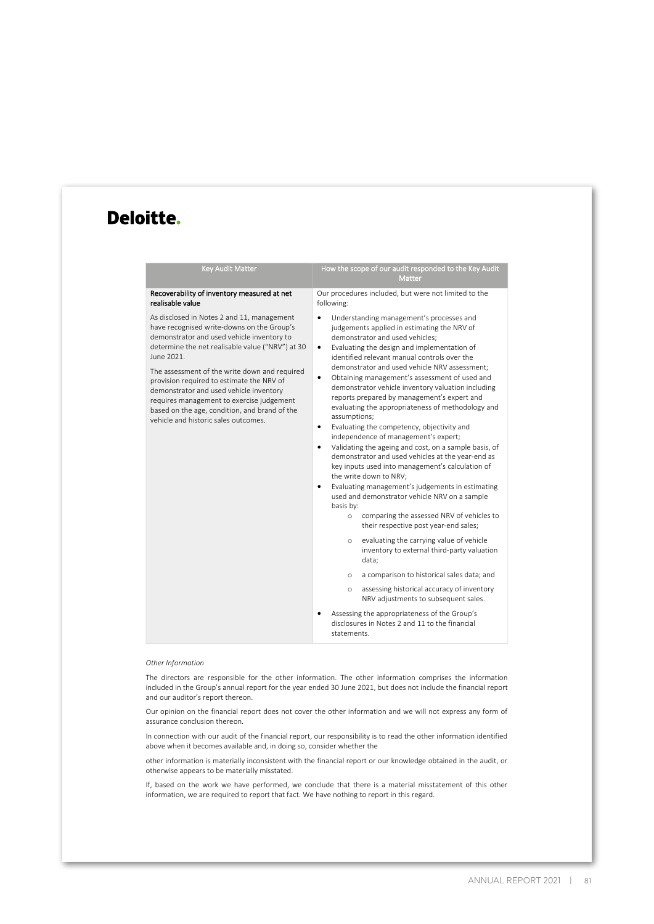# Deloitte.

| <b>Key Audit Matter</b>                                                                                                                                                                                                                                                                                                                                                                                                                                                                 | How the scope of our audit responded to the Key Audit<br><b>Matter</b>                                                                                                                                                                                                                                                                                                                                                                                                                                                                                                                                                                                                                                                                                                                                                                                                                                                                                                                                                                                                                                                                                                                                                                                                                                                                                                                                                                |
|-----------------------------------------------------------------------------------------------------------------------------------------------------------------------------------------------------------------------------------------------------------------------------------------------------------------------------------------------------------------------------------------------------------------------------------------------------------------------------------------|---------------------------------------------------------------------------------------------------------------------------------------------------------------------------------------------------------------------------------------------------------------------------------------------------------------------------------------------------------------------------------------------------------------------------------------------------------------------------------------------------------------------------------------------------------------------------------------------------------------------------------------------------------------------------------------------------------------------------------------------------------------------------------------------------------------------------------------------------------------------------------------------------------------------------------------------------------------------------------------------------------------------------------------------------------------------------------------------------------------------------------------------------------------------------------------------------------------------------------------------------------------------------------------------------------------------------------------------------------------------------------------------------------------------------------------|
| Recoverability of inventory measured at net<br>realisable value                                                                                                                                                                                                                                                                                                                                                                                                                         | Our procedures included, but were not limited to the<br>following:                                                                                                                                                                                                                                                                                                                                                                                                                                                                                                                                                                                                                                                                                                                                                                                                                                                                                                                                                                                                                                                                                                                                                                                                                                                                                                                                                                    |
| As disclosed in Notes 2 and 11, management<br>have recognised write-downs on the Group's<br>demonstrator and used vehicle inventory to<br>determine the net realisable value ("NRV") at 30<br>June 2021.<br>The assessment of the write down and required<br>provision required to estimate the NRV of<br>demonstrator and used vehicle inventory<br>requires management to exercise judgement<br>based on the age, condition, and brand of the<br>vehicle and historic sales outcomes. | Understanding management's processes and<br>judgements applied in estimating the NRV of<br>demonstrator and used vehicles;<br>Evaluating the design and implementation of<br>٠<br>identified relevant manual controls over the<br>demonstrator and used vehicle NRV assessment:<br>Obtaining management's assessment of used and<br>$\bullet$<br>demonstrator vehicle inventory valuation including<br>reports prepared by management's expert and<br>evaluating the appropriateness of methodology and<br>assumptions;<br>Evaluating the competency, objectivity and<br>٠<br>independence of management's expert;<br>Validating the ageing and cost, on a sample basis, of<br>٠<br>demonstrator and used vehicles at the year-end as<br>key inputs used into management's calculation of<br>the write down to NRV;<br>Evaluating management's judgements in estimating<br>٠<br>used and demonstrator vehicle NRV on a sample<br>basis by:<br>comparing the assessed NRV of vehicles to<br>$\circ$<br>their respective post year-end sales;<br>evaluating the carrying value of vehicle<br>$\circ$<br>inventory to external third-party valuation<br>data;<br>a comparison to historical sales data; and<br>$\circ$<br>assessing historical accuracy of inventory<br>$\circ$<br>NRV adjustments to subsequent sales.<br>Assessing the appropriateness of the Group's<br>disclosures in Notes 2 and 11 to the financial<br>statements. |

#### *Other Information*

The directors are responsible for the other information. The other information comprises the information included in the Group's annual report for the year ended 30 June 2021, but does not include the financial report and our auditor's report thereon.

Our opinion on the financial report does not cover the other information and we will not express any form of assurance conclusion thereon.

In connection with our audit of the financial report, our responsibility is to read the other information identified above when it becomes available and, in doing so, consider whether the

other information is materially inconsistent with the financial report or our knowledge obtained in the audit, or otherwise appears to be materially misstated.

If, based on the work we have performed, we conclude that there is a material misstatement of this other information, we are required to report that fact. We have nothing to report in this regard.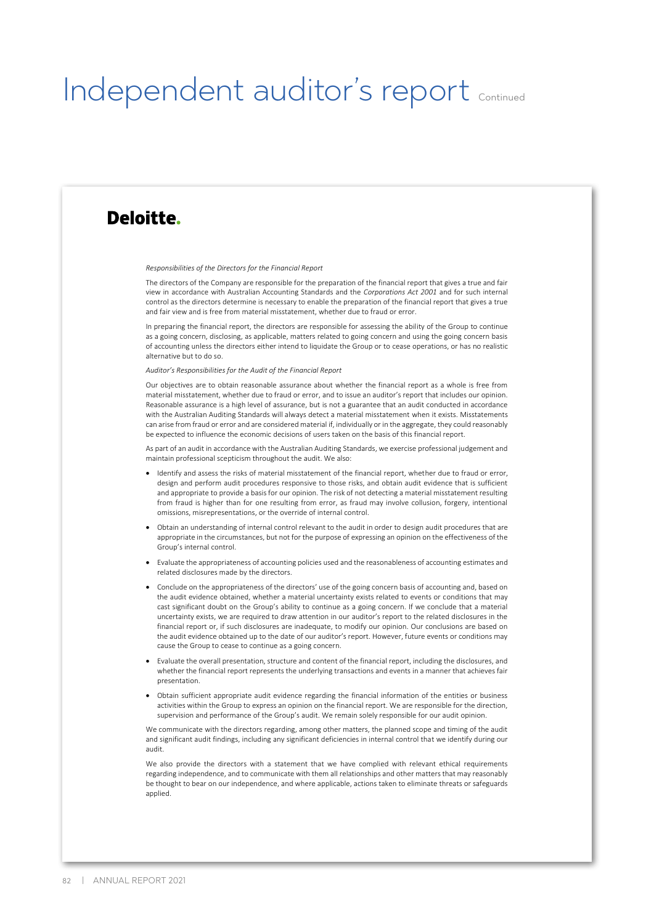# Independent auditor's report continued

# Deloitte.

*Responsibilities of the Directors for the Financial Report* 

The directors of the Company are responsible for the preparation of the financial report that gives a true and fair view in accordance with Australian Accounting Standards and the *Corporations Act 2001* and for such internal control as the directors determine is necessary to enable the preparation of the financial report that gives a true and fair view and is free from material misstatement, whether due to fraud or error.

In preparing the financial report, the directors are responsible for assessing the ability of the Group to continue as a going concern, disclosing, as applicable, matters related to going concern and using the going concern basis of accounting unless the directors either intend to liquidate the Group or to cease operations, or has no realistic alternative but to do so.

*Auditor's Responsibilities for the Audit of the Financial Report* 

Our objectives are to obtain reasonable assurance about whether the financial report as a whole is free from material misstatement, whether due to fraud or error, and to issue an auditor's report that includes our opinion. Reasonable assurance is a high level of assurance, but is not a guarantee that an audit conducted in accordance with the Australian Auditing Standards will always detect a material misstatement when it exists. Misstatements can arise from fraud or error and are considered material if, individually or in the aggregate, they could reasonably be expected to influence the economic decisions of users taken on the basis of this financial report.

As part of an audit in accordance with the Australian Auditing Standards, we exercise professional judgement and maintain professional scepticism throughout the audit. We also:

- Identify and assess the risks of material misstatement of the financial report, whether due to fraud or error, design and perform audit procedures responsive to those risks, and obtain audit evidence that is sufficient and appropriate to provide a basis for our opinion. The risk of not detecting a material misstatement resulting from fraud is higher than for one resulting from error, as fraud may involve collusion, forgery, intentional omissions, misrepresentations, or the override of internal control.
- Obtain an understanding of internal control relevant to the audit in order to design audit procedures that are appropriate in the circumstances, but not for the purpose of expressing an opinion on the effectiveness of the Group's internal control.
- Evaluate the appropriateness of accounting policies used and the reasonableness of accounting estimates and related disclosures made by the directors.
- Conclude on the appropriateness of the directors' use of the going concern basis of accounting and, based on the audit evidence obtained, whether a material uncertainty exists related to events or conditions that may cast significant doubt on the Group's ability to continue as a going concern. If we conclude that a material uncertainty exists, we are required to draw attention in our auditor's report to the related disclosures in the financial report or, if such disclosures are inadequate, to modify our opinion. Our conclusions are based on the audit evidence obtained up to the date of our auditor's report. However, future events or conditions may cause the Group to cease to continue as a going concern.
- Evaluate the overall presentation, structure and content of the financial report, including the disclosures, and whether the financial report represents the underlying transactions and events in a manner that achieves fair presentation.
- Obtain sufficient appropriate audit evidence regarding the financial information of the entities or business activities within the Group to express an opinion on the financial report. We are responsible for the direction, supervision and performance of the Group's audit. We remain solely responsible for our audit opinion.

We communicate with the directors regarding, among other matters, the planned scope and timing of the audit and significant audit findings, including any significant deficiencies in internal control that we identify during our audit.

We also provide the directors with a statement that we have complied with relevant ethical requirements regarding independence, and to communicate with them all relationships and other matters that may reasonably be thought to bear on our independence, and where applicable, actions taken to eliminate threats or safeguards applied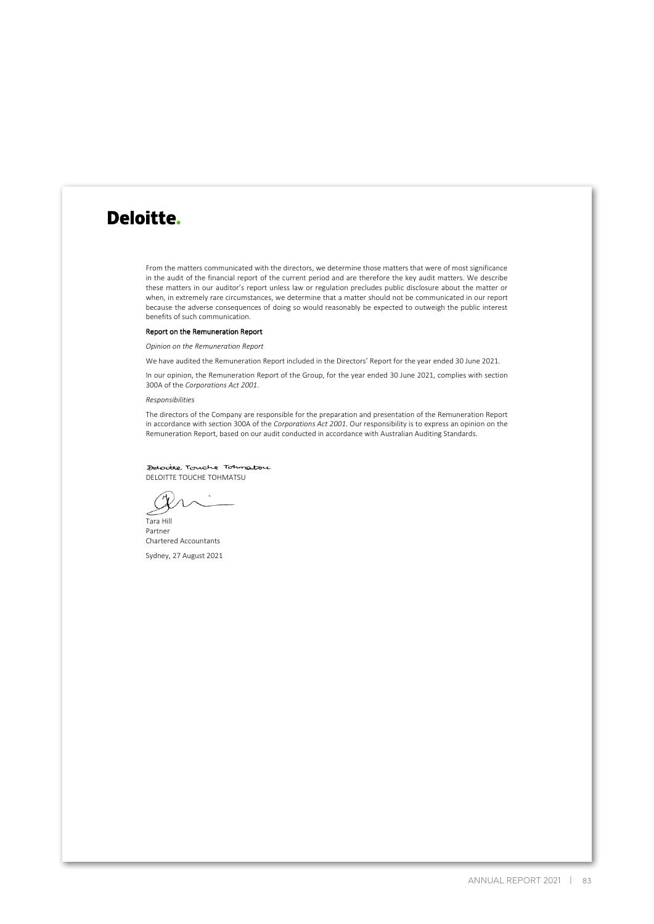# Deloitte.

From the matters communicated with the directors, we determine those matters that were of most significance in the audit of the financial report of the current period and are therefore the key audit matters. We describe these matters in our auditor's report unless law or regulation precludes public disclosure about the matter or when, in extremely rare circumstances, we determine that a matter should not be communicated in our report because the adverse consequences of doing so would reasonably be expected to outweigh the public interest benefits of such communication.

#### Report on the Remuneration Report

*Opinion on the Remuneration Report*

We have audited the Remuneration Report included in the Directors' Report for the year ended 30 June 2021.

In our opinion, the Remuneration Report of the Group, for the year ended 30 June 2021, complies with section 300A of the *Corporations Act 2001*.

*Responsibilities* 

The directors of the Company are responsible for the preparation and presentation of the Remuneration Report in accordance with section 300A of the *Corporations Act 2001*. Our responsibility is to express an opinion on the Remuneration Report, based on our audit conducted in accordance with Australian Auditing Standards.

Detocitte Touche Tohnstou DELOITTE TOUCHE TOHMATSU

Tara Hill Partner Chartered Accountants

Sydney, 27 August 2021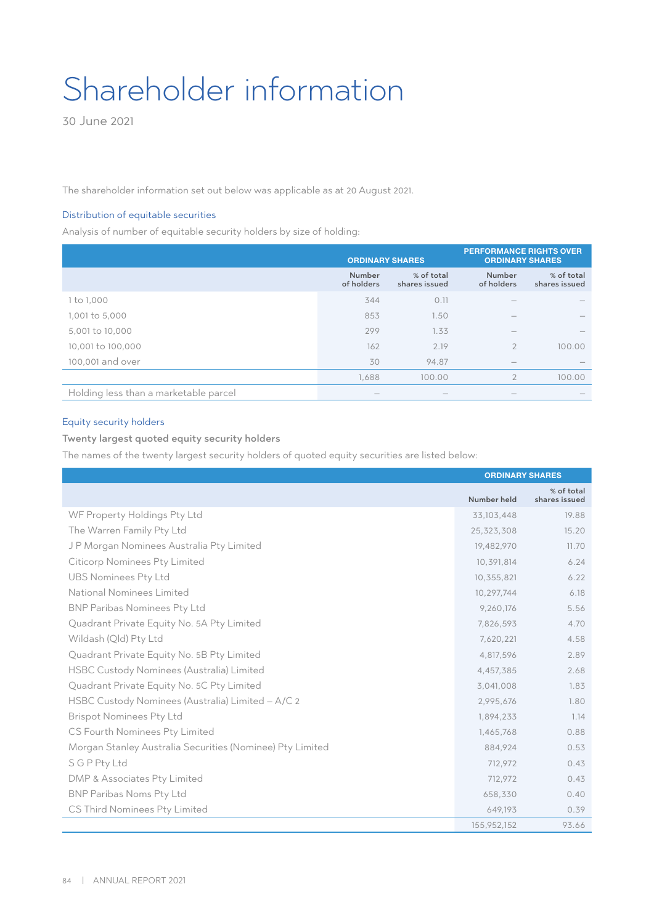# Shareholder information

30 June 2021

The shareholder information set out below was applicable as at 20 August 2021.

## Distribution of equitable securities

Analysis of number of equitable security holders by size of holding:

|                                       | <b>ORDINARY SHARES</b>          |                             |                                 | <b>PERFORMANCE RIGHTS OVER</b><br><b>ORDINARY SHARES</b> |
|---------------------------------------|---------------------------------|-----------------------------|---------------------------------|----------------------------------------------------------|
|                                       | Number<br>of holders            | % of total<br>shares issued | Number<br>of holders            | % of total<br>shares issued                              |
| 1 to 1,000                            | 344                             | 0.11                        |                                 |                                                          |
| 1,001 to 5,000                        | 853                             | 1.50                        |                                 |                                                          |
| 5,001 to 10,000                       | 299                             | 1.33                        | $\overline{\phantom{a}}$        |                                                          |
| 10,001 to 100,000                     | 162                             | 2.19                        | $\overline{2}$                  | 100.00                                                   |
| 100,001 and over                      | 30                              | 94.87                       | $\hspace{0.1mm}-\hspace{0.1mm}$ |                                                          |
|                                       | 1,688                           | 100.00                      | $\overline{2}$                  | 100.00                                                   |
| Holding less than a marketable parcel | $\hspace{0.1mm}-\hspace{0.1mm}$ | $\hspace{0.05cm}$           |                                 |                                                          |

# Equity security holders

# Twenty largest quoted equity security holders

The names of the twenty largest security holders of quoted equity securities are listed below:

|                                                           | <b>ORDINARY SHARES</b> |                             |
|-----------------------------------------------------------|------------------------|-----------------------------|
|                                                           | Number held            | % of total<br>shares issued |
| WF Property Holdings Pty Ltd                              | 33,103,448             | 19.88                       |
| The Warren Family Pty Ltd                                 | 25,323,308             | 15.20                       |
| JP Morgan Nominees Australia Pty Limited                  | 19,482,970             | 11.70                       |
| <b>Citicorp Nominees Pty Limited</b>                      | 10,391,814             | 6.24                        |
| <b>UBS Nominees Pty Ltd</b>                               | 10,355,821             | 6.22                        |
| National Nominees Limited                                 | 10,297,744             | 6.18                        |
| <b>BNP Paribas Nominees Pty Ltd</b>                       | 9,260,176              | 5.56                        |
| Quadrant Private Equity No. 5A Pty Limited                | 7,826,593              | 4.70                        |
| Wildash (Qld) Pty Ltd                                     | 7,620,221              | 4.58                        |
| Quadrant Private Equity No. 5B Pty Limited                | 4,817,596              | 2.89                        |
| HSBC Custody Nominees (Australia) Limited                 | 4,457,385              | 2.68                        |
| Quadrant Private Equity No. 5C Pty Limited                | 3,041,008              | 1.83                        |
| HSBC Custody Nominees (Australia) Limited - A/C 2         | 2,995,676              | 1.80                        |
| <b>Brispot Nominees Pty Ltd</b>                           | 1,894,233              | 1.14                        |
| CS Fourth Nominees Pty Limited                            | 1,465,768              | 0.88                        |
| Morgan Stanley Australia Securities (Nominee) Pty Limited | 884,924                | 0.53                        |
| SGPPtyLtd                                                 | 712,972                | 0.43                        |
| DMP & Associates Pty Limited                              | 712,972                | 0.43                        |
| <b>BNP Paribas Noms Pty Ltd</b>                           | 658,330                | 0.40                        |
| CS Third Nominees Pty Limited                             | 649,193                | 0.39                        |
|                                                           | 155,952,152            | 93.66                       |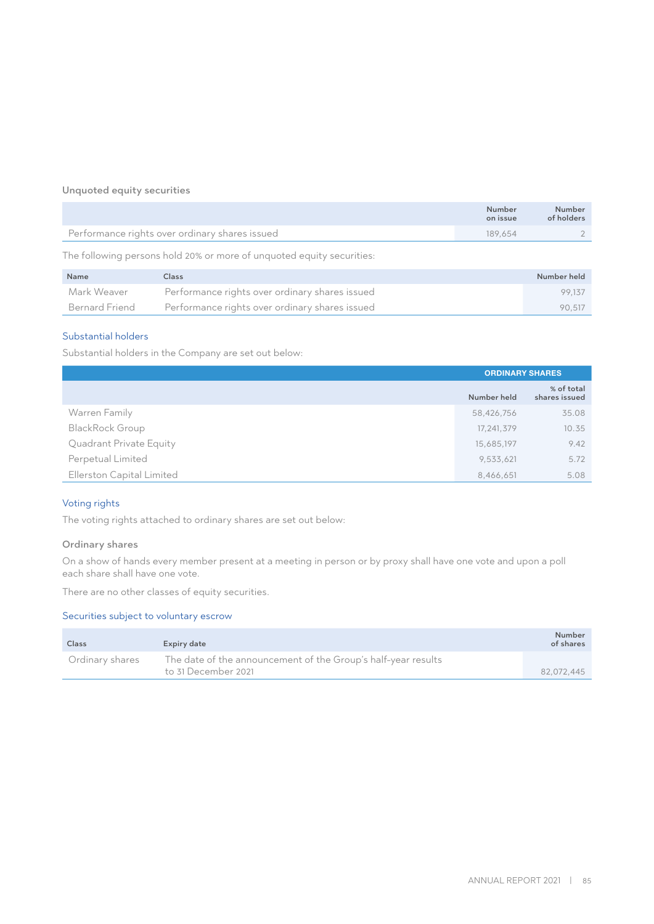# Unquoted equity securities

|                                                | Number<br>on issue | Number<br>of holders |
|------------------------------------------------|--------------------|----------------------|
| Performance rights over ordinary shares issued | 189.654            |                      |

The following persons hold 20% or more of unquoted equity securities:

| Name           | Class                                          | Number held |
|----------------|------------------------------------------------|-------------|
| Mark Weaver    | Performance rights over ordinary shares issued | 99.137      |
| Bernard Friend | Performance rights over ordinary shares issued | 90.517      |

# Substantial holders

Substantial holders in the Company are set out below:

|                           | <b>ORDINARY SHARES</b> |                             |
|---------------------------|------------------------|-----------------------------|
|                           | Number held            | % of total<br>shares issued |
| Warren Family             | 58,426,756             | 35.08                       |
| <b>BlackRock Group</b>    | 17,241,379             | 10.35                       |
| Quadrant Private Equity   | 15,685,197             | 9.42                        |
| Perpetual Limited         | 9,533,621              | 5.72                        |
| Ellerston Capital Limited | 8,466,651              | 5.08                        |

# Voting rights

The voting rights attached to ordinary shares are set out below:

## Ordinary shares

On a show of hands every member present at a meeting in person or by proxy shall have one vote and upon a poll each share shall have one vote.

There are no other classes of equity securities.

# Securities subject to voluntary escrow

| Class           | Expiry date                                                                          | Number<br>of shares |
|-----------------|--------------------------------------------------------------------------------------|---------------------|
| Ordinary shares | The date of the announcement of the Group's half-year results<br>to 31 December 2021 | 82.072.445          |